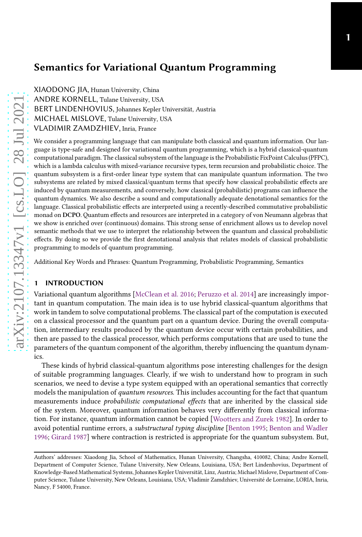XIAODONG JIA, Hunan University, China ANDRE KORNELL, Tulane University, USA BERT LINDENHOVIUS, Johannes Kepler Universität, Austria MICHAEL MISLOVE, Tulane University, USA VLADIMIR ZAMDZHIEV, Inria, France

We consider a programming language that can manipulate both classical and quantum information. Our language is type-safe and designed for variational quantum programming, which is a hybrid classical-quantum computational paradigm. The classical subsystem of the language is the Probabilistic FixPoint Calculus(PFPC), which is a lambda calculus with mixed-variance recursive types, term recursion and probabilistic choice. The quantum subsystem is a first-order linear type system that can manipulate quantum information. The two subsystems are related by mixed classical/quantum terms that specify how classical probabilistic effects are induced by quantum measurements, and conversely, how classical (probabilistic) programs can influence the quantum dynamics. We also describe a sound and computationally adequate denotational semantics for the language. Classical probabilistic effects are interpreted using a recently-described commutative probabilistic monad on DCPO. Quantum effects and resources are interpreted in a category of von Neumann algebras that we show is enriched over (continuous) domains. This strong sense of enrichment allows us to develop novel semantic methods that we use to interpret the relationship between the quantum and classical probabilistic effects. By doing so we provide the first denotational analysis that relates models of classical probabilistic programming to models of quantum programming.

Additional Key Words and Phrases: Quantum Programming, Probabilistic Programming, Semantics

# 1 INTRODUCTION

Variational quantum algorithms [\[McClean et al. 2016;](#page-26-0) [Peruzzo et al. 2014\]](#page-26-1) are increasingly important in quantum computation. The main idea is to use hybrid classical-quantum algorithms that work in tandem to solve computational problems. The classical part of the computation is executed on a classical processor and the quantum part on a quantum device. During the overall computation, intermediary results produced by the quantum device occur with certain probabilities, and then are passed to the classical processor, which performs computations that are used to tune the parameters of the quantum component of the algorithm, thereby influencing the quantum dynamics.

These kinds of hybrid classical-quantum algorithms pose interesting challenges for the design of suitable programming languages. Clearly, if we wish to understand how to program in such scenarios, we need to devise a type system equipped with an operational semantics that correctly models the manipulation of *quantum resources*. This includes accounting for the fact that quantum measurements induce probabilistic computational effects that are inherited by the classical side of the system. Moreover, quantum information behaves very differently from classical information. For instance, quantum information cannot be copied [\[Wootters and Zurek 1982\]](#page-27-0). In order to avoid potential runtime errors, a substructural typing discipline [\[Benton 1995](#page-25-0); [Benton and Wadler](#page-25-1) [1996](#page-25-1); [Girard 1987\]](#page-26-2) where contraction is restricted is appropriate for the quantum subsystem. But,

Authors' addresses: Xiaodong Jia, School of Mathematics, Hunan University, Changsha, 410082, China; Andre Kornell, Department of Computer Science, Tulane University, New Orleans, Louisiana, USA; Bert Lindenhovius, Department of Knowledge-Based Mathematical Systems, Johannes Kepler Universität, Linz, Austria; Michael Mislove, Department of Computer Science, Tulane University, New Orleans, Louisiana, USA; Vladimir Zamdzhiev, Université de Lorraine, LORIA, Inria, Nancy, F 54000, France.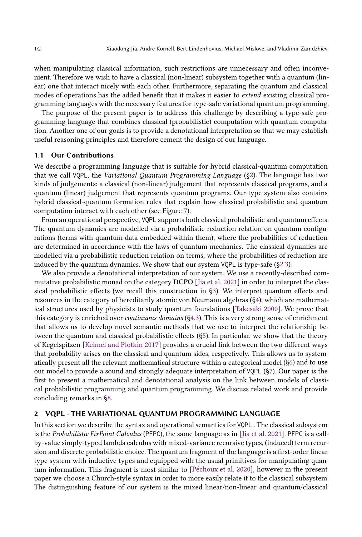when manipulating classical information, such restrictions are unnecessary and often inconvenient. Therefore we wish to have a classical (non-linear) subsystem together with a quantum (linear) one that interact nicely with each other. Furthermore, separating the quantum and classical modes of operations has the added benefit that it makes it easier to extend existing classical programming languages with the necessary features for type-safe variational quantum programming.

The purpose of the present paper is to address this challenge by describing a type-safe programming language that combines classical (probabilistic) computation with quantum computation. Another one of our goals is to provide a denotational interpretation so that we may establish useful reasoning principles and therefore cement the design of our language.

# 1.1 Our Contributions

We describe a programming language that is suitable for hybrid classical-quantum computation that we call VQPL, the Variational Quantum Programming Language ([§2\)](#page-1-0). The language has two kinds of judgements: a classical (non-linear) judgement that represents classical programs, and a quantum (linear) judgement that represents quantum programs. Our type system also contains hybrid classical-quantum formation rules that explain how classical probabilistic and quantum computation interact with each other (see Figure [7\)](#page-4-0).

From an operational perspective, VQPL supports both classical probabilistic and quantum effects. The quantum dynamics are modelled via a probabilistic reduction relation on quantum configurations (terms with quantum data embedded within them), where the probabilities of reduction are determined in accordance with the laws of quantum mechanics. The classical dynamics are modelled via a probabilistic reduction relation on terms, where the probabilities of reduction are induced by the quantum dynamics. We show that our system VQPL is type-safe ([§2.3\)](#page-8-0).

We also provide a denotational interpretation of our system. We use a recently-described commutative probabilistic monad on the category DCPO [\[Jia et al. 2021\]](#page-26-3) in order to interpret the classical probabilistic effects (we recall this construction in [§3\)](#page-9-0). We interpret quantum effects and resources in the category of hereditarily atomic von Neumann algebras ([§4\)](#page-11-0), which are mathematical structures used by physicists to study quantum foundations [\[Takesaki 2000](#page-27-1)]. We prove that this category is enriched over continuous domains ([§4.3\)](#page-14-0). This is a very strong sense of enrichment that allows us to develop novel semantic methods that we use to interpret the relationship between the quantum and classical probabilistic effects ([§5\)](#page-14-1). In particular, we show that the theory of Kegelspitzen [\[Keimel and Plotkin 2017](#page-26-4)] provides a crucial link between the two different ways that probability arises on the classical and quantum sides, respectively. This allows us to systematically present all the relevant mathematical structure within a categorical model ([§6\)](#page-16-0) and to use our model to provide a sound and strongly adequate interpretation of VQPL ([§7\)](#page-20-0). Our paper is the first to present a mathematical and denotational analysis on the link between models of classical probabilistic programming and quantum programming. We discuss related work and provide concluding remarks in [§8.](#page-24-0)

### <span id="page-1-0"></span>2 VQPL - THE VARIATIONAL QUANTUM PROGRAMMING LANGUAGE

In this section we describe the syntax and operational semantics for VQPL . The classical subsystem is the Probabilistic FixPoint Calculus (PFPC), the same language as in [\[Jia et al. 2021](#page-26-3)]. PFPC is a callby-value simply-typed lambda calculus with mixed-variance recursive types, (induced) term recursion and discrete probabilistic choice. The quantum fragment of the language is a first-order linear type system with inductive types and equipped with the usual primitives for manipulating quantum information. This fragment is most similar to [\[Péchoux et al. 2020](#page-26-5)], however in the present paper we choose a Church-style syntax in order to more easily relate it to the classical subsystem. The distinguishing feature of our system is the mixed linear/non-linear and quantum/classical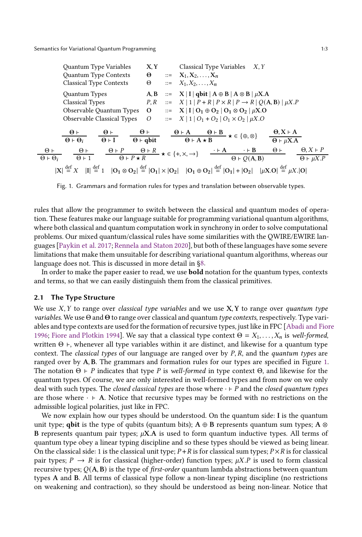<span id="page-2-0"></span>Quantum Type Variables X, Y  
\nQuantum Type Contexts 
$$
\Theta
$$
 ::= X<sub>1</sub>, X<sub>2</sub>,..., X<sub>n</sub>  
\nClassical Type Contexts  $\Theta$  ::= X<sub>1</sub>, X<sub>2</sub>,..., X<sub>n</sub>  
\nQuantum Types A, B ::= X | I | qbit | A  $\oplus$  B | A  $\otimes$  B |  $\mu$ X.A  
\nClassical Types  $P, R := X | 1 | P + R | P \times R | P \rightarrow R | Q(A, B) | \mu X.P$   
\nObserveable Quantum Types  $\Theta$  ::= X | I |  $\Theta_1 + \Theta_2$  |  $\Theta_3 \otimes \Theta_1$  |  $\mu$ X.  $\Theta$   
\nObserveable Classical Types  $\Theta$  ::= X | I |  $\Theta_1 + \Theta_2$  |  $\Theta_3 \otimes \Theta_2$  |  $\mu$ X.  $\Theta$   
\nObserveable Classical Types  $\Theta$  ::= X | 1 |  $\Theta_1 + \Theta_2$  |  $\Theta_3 \otimes \Theta_2$  |  $\mu$ X.  $\Theta$   
\n $\Theta \vdash_{\Theta_1} \Theta \vdash_{\Theta_1} \Theta \vdash_{\Theta_1} \Theta \vdash_{\Theta_2} \Theta \vdash_{\Theta_3} \Theta \vdash_{\Theta_3} \Theta \vdash_{\Theta_4} \vee_{\Theta_5} \Theta \vdash_{\Theta_5} \Theta \vdash_{\Theta_6} \Theta \vdash_{\Theta_7} \Theta \vdash_{\Theta_7} \Theta \vdash_{\Theta_7} \Theta \vdash_{\Theta_7} \Theta \vdash_{\Theta_7} \Theta \vdash_{\Theta_7} \Theta \vdash_{\Theta_7} \Theta \vdash_{\Theta_7} \Theta \vdash_{\Theta_7} \Theta \vdash_{\Theta_7} \Theta \vdash_{\Theta_7} \Theta \vdash_{\Theta_7} \Theta \vdash_{\Theta_7} \Theta \vdash_{\Theta_7} \Theta \vdash_{\Theta_7} \Theta \vdash_{\Theta_7} \Theta \vdash_{\Theta_7} \Theta \vdash_{\Theta_7} \Theta \vdash_{\Theta_7} \Theta \vdash_{\Theta_7} \Theta \vdash_{\Theta_7} \Theta \vdash_{\Theta_7} \Theta \vdash_{\Theta_7} \Theta \vdash_{\Theta_7} \Theta \vdash_{$ 

Fig. 1. Grammars and formation rules for types and translation between observable types.

rules that allow the programmer to switch between the classical and quantum modes of operation. These features make our language suitable for programming variational quantum algorithms, where both classical and quantum computation work in synchrony in order to solve computational problems. Our mixed quantum/classical rules have some similarities with the QWIRE/EWIRE languages [\[Paykin et al. 2017;](#page-26-6) [Rennela and Staton 2020\]](#page-26-7), but both of these languages have some severe limitations that make them unsuitable for describing variational quantum algorithms, whereas our language does not. This is discussed in more detail in [§8.](#page-24-0)

In order to make the paper easier to read, we use **bold** notation for the quantum types, contexts and terms, so that we can easily distinguish them from the classical primitives.

# 2.1 The Type Structure

We use  $X, Y$  to range over classical type variables and we use  $X, Y$  to range over quantum type variables. We use Θ and Θ to range over classical and quantum type contexts, respectively. Type variables and type contexts are used for the formation of recursive types, just like in FPC [\[Abadi and Fiore](#page-25-2) [1996](#page-25-2); [Fiore and Plotkin 1994\]](#page-26-8). We say that a classical type context  $Θ = X_1, \ldots, X_n$  is well-formed, written  $\Theta$  ⊦, whenever all type variables within it are distinct, and likewise for a quantum type context. The classical types of our language are ranged over by  $P$ ,  $R$ , and the *quantum types* are ranged over by A, B. The grammars and formation rules for our types are specified in Figure [1.](#page-2-0) The notation  $\Theta \vdash P$  indicates that type P is well-formed in type context  $\Theta$ , and likewise for the quantum types. Of course, we are only interested in well-formed types and from now on we only deal with such types. The closed classical types are those where  $\cdot \vdash P$  and the closed quantum types are those where · ⊢ A. Notice that recursive types may be formed with no restrictions on the admissible logical polarities, just like in FPC.

We now explain how our types should be understood. On the quantum side: I is the quantum unit type; **qbit** is the type of qubits (quantum bits);  $A \oplus B$  represents quantum sum types;  $A \otimes$ B represents quantum pair types;  $\mu$ X.A is used to form quantum inductive types. All terms of quantum type obey a linear typing discipline and so these types should be viewed as being linear. On the classical side: 1 is the classical unit type;  $P + R$  is for classical sum types;  $P \times R$  is for classical pair types;  $P \rightarrow R$  is for classical (higher-order) function types;  $\mu X.P$  is used to form classical recursive types;  $O(A, B)$  is the type of *first-order* quantum lambda abstractions between quantum types A and B. All terms of classical type follow a non-linear typing discipline (no restrictions on weakening and contraction), so they should be understood as being non-linear. Notice that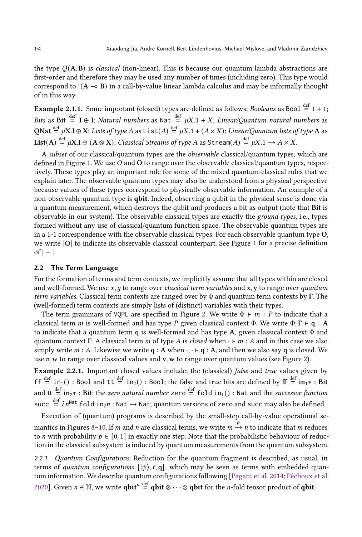the type  $Q(A, B)$  is *classical* (non-linear). This is because our quantum lambda abstractions are first-order and therefore they may be used any number of times (including zero). This type would correspond to ! $(A \rightarrow B)$  in a call-by-value linear lambda calculus and may be informally thought of in this way.

**Example 2.1.1.** Some important (closed) types are defined as follows: *Booleans* as Boo1  $\stackrel{\text{def}}{=}$  1 + 1; Bits as  $\text{Bit} \stackrel{\text{def}}{=} \text{I} \oplus \text{I}$ ; Natural numbers as Nat  $\stackrel{\text{def}}{=} \mu X.1 + X$ ; Linear/Quantum natural numbers as  ${\bf QNat} \stackrel{\rm def}{=} \mu{\bf X}.{\bf I} \oplus {\bf X};$  Lists of type  $A$  as  ${\sf List}(A) \stackrel{\rm def}{=} \mu{\rm X}.{\bf 1} + (A \times X);$  Linear/Quantum lists of type  ${\bf A}$  as  ${\rm List(A)}\stackrel{\rm def}{=}\mu{\rm X.I}\oplus({\rm A}\otimes{\rm X});$  Classical Streams of type  ${\rm A}$  as <code>Stream(A)</code>  $\stackrel{\rm def}{=}\mu{\rm X.1}\to {\rm A}\times {\rm X}.$ 

A subset of our classical/quantum types are the observable classical/quantum types, which are defined in Figure [1.](#page-2-0) We use  $O$  and  $O$  to range over the observable classical/quantum types, respectively. These types play an important role for some of the mixed quantum-classical rules that we explain later. The observable quantum types may also be understood from a physical perspective because values of these types correspond to physically observable information. An example of a non-observable quantum type is qbit. Indeed, observing a qubit in the physical sense is done via a quantum measurement, which destroys the qubit and produces a bit as output (note that Bit is observable in our system). The observable classical types are exactly the ground types, i.e., types formed without any use of classical/quantum function space. The observable quantum types are in a 1-1 correspondence with the observable classical types. For each observable quantum type O, we write |O| to indicate its observable classical counterpart. See Figure [1](#page-2-0) for a precise definition  $of |-$ .

### 2.2 The Term Language

For the formation of terms and term contexts, we implicitly assume that all types within are closed and well-formed. We use  $x, y$  to range over classical term variables and  $x, y$  to range over quantum term variables. Classical term contexts are ranged over by  $\Phi$  and quantum term contexts by  $\Gamma$ . The (well-formed) term contexts are simply lists of (distinct) variables with their types.

The term grammars of VOPL are specified in Figure [2.](#page-4-0) We write  $\Phi \vdash m : P$  to indicate that a classical term *m* is well-formed and has type *P* given classical context  $\Phi$ . We write  $\Phi$ ;  $\Gamma \vdash q : A$ to indicate that a quantum term q is well-formed and has type A, given classical context  $\Phi$  and quantum context Γ. A classical term m of type A is closed when  $\cdot \vdash m : A$  and in this case we also simply write  $m : A$ . Likewise we write q : A when  $\cdot; \cdot \vdash q : A$ , and then we also say q is closed. We use  $v, w$  to range over classical values and  $v, w$  to range over quantum values (see Figure [2\)](#page-4-0).

Example 2.2.1. Important closed values include: the (classical) false and true values given by  $ff \stackrel{\text{def}}{=} in_1() : \text{Bool} \text{ and } tt \stackrel{\text{def}}{=} in_2() : \text{Bool}; \text{ the false and true bits are defined by } ff \stackrel{\text{def}}{=} in_1 * : \text{Bit}$ and  ${\bf t}$   $\stackrel{\rm def}{=}$   ${\bf in}_{2} * :$   ${\bf Bit};$  the *zero natural number* zero  $\stackrel{\rm def}{=}$  <code>fold</code>  ${\bf in}_1()$  : Nat and the *successor function* succ  $\stackrel{\text{def}}{=} \lambda n^{\texttt{Nat}}.$  fold  $\texttt{in}_2 n:$  Nat $\rightarrow$  Nat; quantum versions of zero and succ may also be defined.

Execution of (quantum) programs is described by the small-step call-by-value operational se-mantics in Figures [8–10.](#page-7-0) If  $m$  and  $n$  are classical terms, we write  $m\stackrel{p}{\to}n$  to indicate that  $m$  reduces to *n* with probability  $p \in [0, 1]$  in exactly one step. Note that the probabilistic behaviour of reduction in the classical subsystem is induced by quantum measurements from the quantum subsystem.

2.2.1 Quantum Configurations. Reduction for the quantum fragment is described, as usual, in terms of quantum configurations  $[\psi, \ell, \mathbf{q}]$ , which may be seen as terms with embedded quantum information. We describe quantum configurations following [\[Pagani et al. 2014;](#page-26-9) [Péchoux et al.](#page-26-5) [2020\]](#page-26-5). Given  $n \in \mathbb{N}$ , we write  $\textbf{qbit}^n \stackrel{\text{def}}{=} \textbf{qbit} \otimes \cdots \otimes \textbf{qbit}$  for the *n-*fold tensor product of  $\textbf{qbit}$ .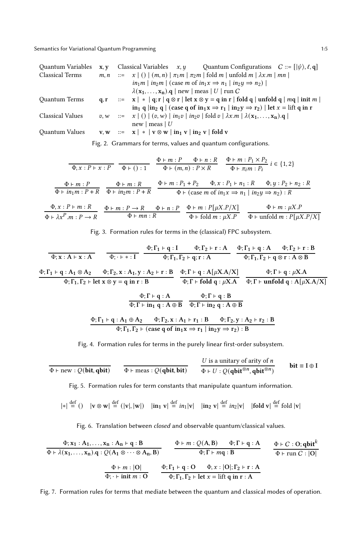<span id="page-4-0"></span>

| <b>Ouantum Variables</b> | X, V | Classical Variables $x, y$ Quantum Configurations $C ::= [ \psi\rangle, \ell, q]$                                                                             |
|--------------------------|------|---------------------------------------------------------------------------------------------------------------------------------------------------------------|
| <b>Classical Terms</b>   |      | $m, n \quad ::= \quad x \mid () \mid (m, n) \mid \pi_1 m \mid \pi_2 m \mid$ fold $m \mid \text{unfold } m \mid \lambda x.m \mid mn \mid$                      |
|                          |      | $in_1m \mid in_2m \mid (case \; m \; of \; in_1x \Rightarrow n_1 \mid in_2y \Rightarrow n_2) \mid$                                                            |
|                          |      | $\lambda$ ( <b>x</b> <sub>1</sub> , , <b>x</b> <sub>n</sub> ). <b>q</b>   new   meas   U   run C                                                              |
| <b>Ouantum Terms</b>     |      | $q, r \quad ::= \quad x \mid *  q; r   q \otimes r   \text{let } x \otimes y = q \text{ in } r   \text{ fold } q   \text{unfold } q   m q   \text{init } m  $ |
|                          |      | $in_1$ q $ in_2$ q $ $ (case q of $in_1 x \Rightarrow r_1   in_2 y \Rightarrow r_2  $ let $x =$ lift q in r                                                   |
| Classical Values         |      | $v, w \quad ::= \quad x \mid () \mid (v, w) \mid in_1v \mid in_2v \mid fold v \mid \lambda x.m \mid \lambda(x_1, \ldots, x_n).q \mid)$                        |
|                          |      | new   meas   $U$                                                                                                                                              |
| <b>Ouantum Values</b>    |      | $v, w ::= x \mid * \mid v \otimes w \mid in_1 v \mid in_2 v \mid fold v$                                                                                      |

Fig. 2. Grammars for terms, values and quantum configurations.

$$
\frac{\Phi + m : P \qquad \Phi + n : R}{\Phi + m : P \qquad \Phi + (n, n) : P \times R} \qquad \frac{\Phi + m : P_1 \times P_2}{\Phi + \pi_i m : P_i} i \in \{1, 2\}
$$
\n
$$
\frac{\Phi + m : P}{\Phi + in_1 m : P + R} \qquad \frac{\Phi + m : R}{\Phi + in_2 m : P + R} \qquad \frac{\Phi + m : P_1 + P_2 \qquad \Phi, x : P_1 + n_1 : R \qquad \Phi, y : P_2 + n_2 : R}{\Phi + (\text{case } m \text{ of } in_1 x \Rightarrow n_1 \mid in_2 y \Rightarrow n_2) : R}
$$
\n
$$
\frac{\Phi, x : P + m : R}{\Phi + \lambda x^P.m : P \rightarrow R} \qquad \frac{\Phi + m : P \rightarrow R \qquad \Phi + n : P}{\Phi + mn : R} \qquad \frac{\Phi + m : P[\mu X.P/X]}{\Phi + \text{fold } m : \mu X.P} \qquad \frac{\Phi + m : \mu X.P}{\Phi + \text{unfold } m : P[\mu X.P/X]}
$$

Fig. 3. Formation rules for terms in the (classical) FPC subsystem.

$$
\frac{\Phi; \Gamma_1 + \mathbf{q}: \mathbf{A} \quad \Phi; \Gamma_2 + \mathbf{r}: \mathbf{A}}{\Phi; \Gamma_1 + \mathbf{q}: \mathbf{A} \quad \Phi; \Gamma_1 + \mathbf{q}: \mathbf{A} \quad \Phi; \Gamma_2 + \mathbf{r}: \mathbf{B}}}{\Phi; \Gamma_1, \Gamma_2 + \mathbf{q}: \mathbf{r}: \mathbf{A} \quad \Phi; \Gamma_1, \Gamma_2 + \mathbf{q} \otimes \mathbf{r}: \mathbf{A} \otimes \mathbf{B}}
$$
\n
$$
\frac{\Phi; \Gamma_1 + \mathbf{q}: \mathbf{A} \otimes \mathbf{A}_2 \quad \Phi; \Gamma_2, \mathbf{x}: \mathbf{A}_1, \mathbf{y}: \mathbf{A}_2 + \mathbf{r}: \mathbf{B}}{\Phi; \Gamma + \mathbf{q}: \mathbf{A}[\mu \mathbf{X}.\mathbf{A}/\mathbf{X}]} \quad \frac{\Phi; \Gamma + \mathbf{q}: \mathbf{A} \otimes \mathbf{y}: \mathbf{A} \otimes \mathbf{B}}{\Phi; \Gamma + \mathbf{f} \circ \mathbf{I} \quad \Phi; \Gamma + \mathbf{q}: \mathbf{A}[\mu \mathbf{X}.\mathbf{A}/\mathbf{X}]}
$$
\n
$$
\frac{\Phi; \Gamma + \mathbf{q}: \mathbf{A} \quad \Phi; \Gamma + \mathbf{q}: \mathbf{A}}{\Phi; \Gamma + \mathbf{m}_1 \mathbf{q}: \mathbf{A} \oplus \mathbf{B} \quad \Phi; \Gamma + \mathbf{m}_2 \mathbf{q}: \mathbf{A} \oplus \mathbf{B}}
$$
\n
$$
\frac{\Phi; \Gamma + \mathbf{q}: \mathbf{A} \quad \Phi; \Gamma + \mathbf{m}_2 \mathbf{q}: \mathbf{A} \oplus \mathbf{B}}{\Phi; \Gamma + \mathbf{m}_2 \mathbf{q}: \mathbf{A} \oplus \mathbf{B}}
$$
\n
$$
\frac{\Phi; \Gamma_1 + \mathbf{q}: \mathbf{A}_1 \oplus \mathbf{A}_2 \quad \Phi; \Gamma_2, \mathbf{x}: \mathbf{A}_1 + \mathbf{r}_1: \mathbf{B} \quad \Phi; \Gamma_2, \mathbf{y}: \mathbf{A}_2 + \mathbf{r}_2: \mathbf{B}}{\Phi; \Gamma_1,
$$

Fig. 4. Formation rules for terms in the purely linear first-order subsystem.

$$
\overline{\Phi \vdash \text{new}: Q(\text{bit}, \text{qbit})}
$$
\n
$$
\overline{\Phi \vdash \text{meas}: Q(\text{qbit}, \text{bit})}
$$
\n
$$
\frac{U \text{ is a unitary of arity of } n}{\Phi \vdash U : Q(\text{qbit}^{\otimes n}, \text{qbit}^{\otimes n})}
$$
\n
$$
\text{bit} \equiv I \oplus I
$$

Fig. 5. Formation rules for term constants that manipulate quantum information.

$$
|*| \stackrel{\text{def}}{=} () \quad |v \otimes w| \stackrel{\text{def}}{=} (|v|, |w|) \quad |\text{in}_1 v| \stackrel{\text{def}}{=} in_1 |v| \quad |\text{in}_2 v| \stackrel{\text{def}}{=} in_2 |v| \quad |\text{fold } v| \stackrel{\text{def}}{=} \text{fold } |v|
$$

Fig. 6. Translation between closed and observable quantum/classical values.

$$
\frac{\Phi \vdash x_1 : A_1, \ldots, x_n : A_n \vdash q : B}{\Phi \vdash \lambda(x_1, \ldots, x_n).q : Q(A_1 \otimes \cdots \otimes A_n, B)} \qquad \frac{\Phi \vdash m : Q(A, B) \qquad \Phi; \Gamma \vdash q : A}{\Phi; \Gamma \vdash mq : B} \qquad \frac{\Phi \vdash C : O; \text{qbit}^k}{\Phi \vdash run C : |O|}
$$
\n
$$
\frac{\Phi \vdash m : |O|}{\Phi; \Gamma_1 \vdash q : O} \qquad \frac{\Phi; \Gamma_1 \vdash q : O \qquad \Phi, x : |O|; \Gamma_2 \vdash r : A}{\Phi; \Gamma_1, \Gamma_2 \vdash let x = \text{lift } q \text{ in } r : A}
$$

Fig. 7. Formation rules for terms that mediate between the quantum and classical modes of operation.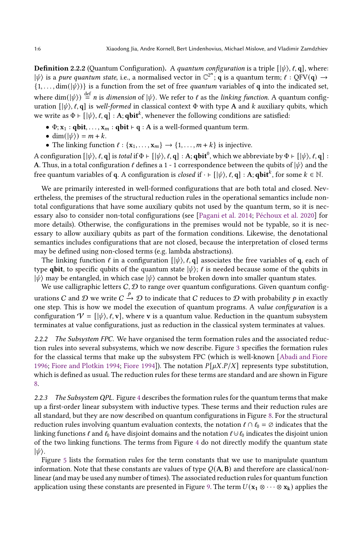**Definition 2.2.2** (Quantum Configuration). A quantum configuration is a triple  $[\psi\rangle, \ell, q]$ , where:  $|\psi\rangle$  is a pure quantum state, i.e., a normalised vector in  $\mathbb{C}^{2^n}$ ; q is a quantum term;  $\ell : \widetilde{QFV(q)} \to$  $\{1, \ldots, \dim(\ket{\psi})\}$  is a function from the set of free quantum variables of q into the indicated set, where  $\dim(\ket{\psi}) \stackrel{\text{def}}{=} n$  is *dimension* of  $\ket{\psi}$ . We refer to  $\ell$  as the *linking function*. A quantum configuration  $[|\psi\rangle, \ell, q]$  is well-formed in classical context  $\Phi$  with type A and k auxiliary qubits, which we write as  $\Phi \vdash [ \ket{\psi},\ell,\mathbf{q} ]: \mathbf{A}; \mathbf{qbit}^k,$  whenever the following conditions are satisfied:

- $\Phi$ ;  $x_1$ : qbit, ...,  $x_m$ : qbit  $\vdash q$ : A is a well-formed quantum term.
- dim( $|\psi\rangle$ ) =  $m + k$ .
- The linking function  $\ell : {\mathbf{x}_1, \ldots, \mathbf{x}_m} \rightarrow {1, \ldots, m+k}$  is injective.

A configuration [| $\psi$ ),  $\ell$ ,  ${\bf q}$ ] is *total* if  $\Phi \vdash [|\psi\rangle,\ell,{\bf q}] : {\bf A};$   ${\bf qbit}^0,$  which we abbreviate by  $\Phi \vdash [|\psi\rangle,\ell,{\bf q}] :$ A. Thus, in a total configuration  $\ell$  defines a 1 - 1 correspondence between the qubits of  $|\psi\rangle$  and the free quantum variables of **q**. A configuration is *closed* if  $\cdot \vdash [|\psi\rangle,\ell,\mathbf{q}] :$  A;  $\mathbf{qbit}^k$ , for some  $k \in \mathbb{N}.$ 

We are primarily interested in well-formed configurations that are both total and closed. Nevertheless, the premises of the structural reduction rules in the operational semantics include nontotal configurations that have some auxiliary qubits not used by the quantum term, so it is necessary also to consider non-total configurations (see [\[Pagani et al. 2014;](#page-26-9) [Péchoux et al. 2020\]](#page-26-5) for more details). Otherwise, the configurations in the premises would not be typable, so it is necessary to allow auxiliary qubits as part of the formation conditions. Likewise, the denotational semantics includes configurations that are not closed, because the interpretation of closed terms may be defined using non-closed terms (e.g. lambda abstractions).

The linking function  $\ell$  in a configuration  $[|\psi\rangle, \ell, q]$  associates the free variables of q, each of type **qbit**, to specific qubits of the quantum state  $|\psi\rangle$ ;  $\ell$  is needed because some of the qubits in  $|\psi\rangle$  may be entangled, in which case  $|\psi\rangle$  cannot be broken down into smaller quantum states.

We use calligraphic letters  $C, D$  to range over quantum configurations. Given quantum configurations  $C$  and  $\mathcal D$  we write  $C\stackrel{p}{\to}\mathcal D$  to indicate that  $C$  reduces to  $\mathcal D$  with probability  $p$  in exactly one step. This is how we model the execution of quantum programs. A value configuration is a configuration  $V = [|\psi\rangle, \ell, v]$ , where v is a quantum value. Reduction in the quantum subsystem terminates at value configurations, just as reduction in the classical system terminates at values.

2.2.2 The Subsystem FPC. We have organised the term formation rules and the associated reduction rules into several subsystems, which we now describe. Figure [3](#page-4-0) specifies the formation rules for the classical terms that make up the subsystem FPC (which is well-known [\[Abadi and Fiore](#page-25-2) [1996](#page-25-2); [Fiore and Plotkin 1994;](#page-26-8) [Fiore 1994](#page-26-10)]). The notation  $P[\mu X.P/X]$  represents type substitution, which is defined as usual. The reduction rules for these terms are standard and are shown in Figure [8.](#page-7-0)

2.2.3 The Subsystem QPL. Figure [4](#page-4-0) describes the formation rules for the quantum terms that make up a first-order linear subsystem with inductive types. These terms and their reduction rules are all standard, but they are now described on quantum configurations in Figure [8.](#page-7-0) For the structural reduction rules involving quantum evaluation contexts, the notation  $\ell \cap \ell_0 = \emptyset$  indicates that the linking functions  $\ell$  and  $\ell_0$  have disjoint domains and the notation  $\ell \cup \ell_0$  indicates the disjoint union of the two linking functions. The terms from Figure [4](#page-4-0) do not directly modify the quantum state  $|\psi\rangle$ .

Figure [5](#page-4-0) lists the formation rules for the term constants that we use to manipulate quantum information. Note that these constants are values of type  $O(A, B)$  and therefore are classical/nonlinear (and may be used any number of times). The associated reduction rules for quantum function application using these constants are presented in Figure [9.](#page-7-0) The term  $U(\mathbf{x}_1 \otimes \cdots \otimes \mathbf{x}_k)$  applies the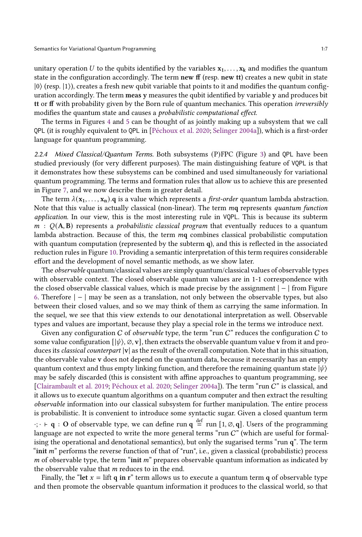unitary operation U to the qubits identified by the variables  $x_1, \ldots, x_k$  and modifies the quantum state in the configuration accordingly. The term new ff (resp. new tt) creates a new qubit in state  $|0\rangle$  (resp.  $|1\rangle$ ), creates a fresh new qubit variable that points to it and modifies the quantum configuration accordingly. The term meas y measures the qubit identified by variable y and produces bit tt or ff with probability given by the Born rule of quantum mechanics. This operation irreversibly modifies the quantum state and causes a probabilistic computational effect.

The terms in Figures [4](#page-4-0) and [5](#page-4-0) can be thought of as jointly making up a subsystem that we call QPL (it is roughly equivalent to QPL in [\[Péchoux et al. 2020;](#page-26-5) [Selinger 2004a\]](#page-26-11)), which is a first-order language for quantum programming.

2.2.4 Mixed Classical/Quantum Terms. Both subsystems (P)FPC (Figure [3\)](#page-4-0) and QPL have been studied previously (for very different purposes). The main distinguishing feature of VQPL is that it demonstrates how these subsystems can be combined and used simultaneously for variational quantum programming. The terms and formation rules that allow us to achieve this are presented in Figure [7,](#page-4-0) and we now describe them in greater detail.

The term  $\lambda(\mathbf{x}_1, \dots, \mathbf{x}_n)$  q is a value which represents a *first-order* quantum lambda abstraction. Note that this value is actually classical (non-linear). The term  $mq$  represents quantum function application. In our view, this is the most interesting rule in VQPL. This is because its subterm  $m$  :  $Q(A, B)$  represents a *probabilistic classical program* that eventually reduces to a quantum lambda abstraction. Because of this, the term  $mq$  combines classical probabilistic computation with quantum computation (represented by the subterm q), and this is reflected in the associated reduction rules in Figure [10.](#page-7-0) Providing a semantic interpretation of this term requires considerable effort and the development of novel semantic methods, as we show later.

The observable quantum/classical values are simply quantum/classical values of observable types with observable context. The closed observable quantum values are in 1-1 correspondence with the closed observable classical values, which is made precise by the assignment | − | from Figure [6.](#page-4-0) Therefore | − | may be seen as a translation, not only between the observable types, but also between their closed values, and so we may think of them as carrying the same information. In the sequel, we see that this view extends to our denotational interpretation as well. Observable types and values are important, because they play a special role in the terms we introduce next.

Given any configuration C of *observable* type, the term "run  $C$ " reduces the configuration C to some value configuration  $[\psi\rangle, \emptyset, \mathbf{v}]$ , then extracts the observable quantum value v from it and produces its classical counterpart  $|v|$  as the result of the overall computation. Note that in this situation, the observable value v does not depend on the quantum data, because it necessarily has an empty quantum context and thus empty linking function, and therefore the remaining quantum state  $|\psi\rangle$ may be safely discarded (this is consistent with affine approaches to quantum programming, see [\[Clairambault et al. 2019;](#page-25-3) [Péchoux et al. 2020](#page-26-5); [Selinger 2004a](#page-26-11)]). The term "run C" is classical, and it allows us to execute quantum algorithms on a quantum computer and then extract the resulting observable information into our classical subsystem for further manipulation. The entire process is probabilistic. It is convenient to introduce some syntactic sugar. Given a closed quantum term  $\cdot$ ;  $\cdot$  ⊢ q : O of observable type, we can define run q  $\stackrel{\text{def}}{=}$  run [1, ∅, q]. Users of the programming language are not expected to write the more general terms "run  $C$ " (which are useful for formalising the operational and denotational semantics), but only the sugarised terms "run q". The term "init  $m$ " performs the reverse function of that of "run", i.e., given a classical (probabilistic) process  $m$  of observable type, the term "init  $m$ " prepares observable quantum information as indicated by the observable value that  $m$  reduces to in the end.

Finally, the "let  $x = \text{lift } q$  in r" term allows us to execute a quantum term q of observable type and then promote the observable quantum information it produces to the classical world, so that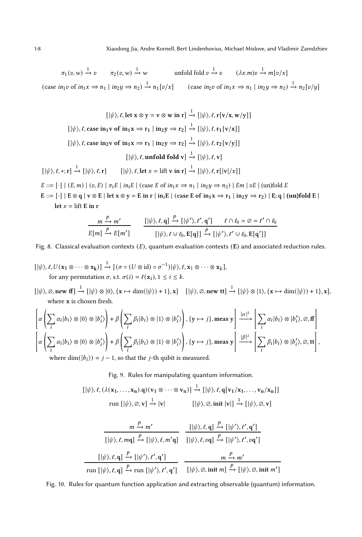<span id="page-7-0"></span>
$$
\pi_1(v, w) \xrightarrow{1} v \qquad \pi_2(v, w) \xrightarrow{1} w \qquad \text{unfold fold } v \xrightarrow{1} v \qquad (\lambda x. m)v \xrightarrow{1} m[v/x]
$$
\n
$$
\text{(case } in_1 v \text{ of } in_1 x \Rightarrow n_1 \mid in_2 y \Rightarrow n_2) \xrightarrow{1} n_1[v/x] \qquad \text{(case } in_2 v \text{ of } in_1 x \Rightarrow n_1 \mid in_2 y \Rightarrow n_2) \xrightarrow{1} n_2[v/y]
$$

$$
[|\psi\rangle, \ell, \text{let } x \otimes y = v \otimes w \text{ in } r] \xrightarrow{1} [|\psi\rangle, \ell, r[v/x, w/y]]
$$
  

$$
[|\psi\rangle, \ell, \text{case in}_1 v \text{ of } \text{in}_1 x \Rightarrow r_1 | \text{ in}_2 y \Rightarrow r_2] \xrightarrow{1} [|\psi\rangle, \ell, r_1 [v/x]]
$$
  

$$
[|\psi\rangle, \ell, \text{case in}_2 v \text{ of } \text{in}_1 x \Rightarrow r_1 | \text{ in}_2 y \Rightarrow r_2] \xrightarrow{1} [|\psi\rangle, \ell, r_2 [v/y]]
$$
  

$$
[|\psi\rangle, \ell, \text{unfold fold } v] \xrightarrow{1} [|\psi\rangle, \ell, v]
$$
  

$$
[|\psi\rangle, \ell, r_1] \xrightarrow{1} [|\psi\rangle, \ell, r] \qquad [|\psi\rangle, \ell, \text{let } x = \text{lift } v \text{ in } r] \xrightarrow{1} [|\psi\rangle, \ell, r[|v|/x]]
$$

 $E ::= [\cdot] | (E, m) | (v, E) | \pi_i E | in_i E | (case E of in_1 x \Rightarrow n_1 | in_2 y \Rightarrow n_2) | E m | v E | (un) fold E$ E ::=  $[\cdot] | E \otimes q | v \otimes E |$  let  $x \otimes y = E$  in r  $| in_1E |$  (case E of  $in_1x \Rightarrow r_1 | in_2y \Rightarrow r_2 |$   $|E; q |$  (un)fold E |

let  $x = \text{lift } E$  in r

$$
\frac{m \xrightarrow{p} m'}{E[m] \xrightarrow{p} E[m']} \qquad \frac{[\ket{\psi}, \ell, q] \xrightarrow{p} [\ket{\psi'}, \ell', q']} \qquad \ell \cap \ell_0 = \varnothing = \ell' \cap \ell_0}{[\ket{\psi}, \ell \cup \ell_0, E[q]] \xrightarrow{p} [\ket{\psi'}, \ell' \cup \ell_0, E[q']]}
$$

Fig. 8. Classical evaluation contexts  $(E)$ , quantum evaluation contexts  $(E)$  and associated reduction rules.

$$
[ |\psi \rangle, \ell, U(\mathbf{x}_1 \otimes \cdots \otimes \mathbf{x}_k) ] \xrightarrow{1} [ (\sigma \circ (U \otimes id) \circ \sigma^{-1}) | \psi \rangle, \ell, \mathbf{x}_1 \otimes \cdots \otimes \mathbf{x}_k ],
$$
  
for any permutation  $\sigma$ , s.t.  $\sigma(i) = \ell(\mathbf{x}_i), 1 \le i \le k$ .

 $[|\psi\rangle, \varnothing, \text{new ff}] \xrightarrow{1} [|\psi\rangle \otimes |0\rangle, \{x \mapsto \dim(|\psi\rangle) + 1\}, x] \quad [|\psi\rangle, \varnothing, \text{new tt}] \xrightarrow{1} [|\psi\rangle \otimes |1\rangle, \{x \mapsto \dim(|\psi\rangle) + 1\}, x]$ where x is chosen fresh.

$$
\left[\alpha\left(\sum_{i}\alpha_{i}|b_{i}\rangle\otimes|0\rangle\otimes|b'_{i}\rangle\right)+\beta\left(\sum_{i}\beta_{i}|b_{i}\rangle\otimes|1\rangle\otimes|b'_{i}\rangle\right),\{\mathbf{y}\mapsto j\},\text{meas }\mathbf{y}\right]\xrightarrow{|\alpha|^{2}}\left[\sum_{i}\alpha_{i}|b_{i}\rangle\otimes|b'_{i}\rangle,\emptyset,\mathbf{ff}\right]
$$
\n
$$
\left[\alpha\left(\sum_{i}\alpha_{i}|b_{i}\rangle\otimes|0\rangle\otimes|b'_{i}\rangle\right)+\beta\left(\sum_{i}\beta_{i}|b_{i}\rangle\otimes|1\rangle\otimes|b'_{i}\rangle\right),\{\mathbf{y}\mapsto j\},\text{meas }\mathbf{y}\right]\xrightarrow{|\beta|^{2}}\left[\sum_{i}\beta_{i}|b_{i}\rangle\otimes|b'_{i}\rangle,\emptyset,\mathbf{tt}\right],
$$
\nwhere  $\dim(|b_{i}\rangle)=j-1$ , so that the *j*-th qubit is measured.

Fig. 9. Rules for manipulating quantum information.

$$
\begin{aligned} [[\psi \rangle, \ell, (\lambda(x_1, \ldots, x_n).q)(v_1 \otimes \cdots \otimes v_n)] \xrightarrow{1} [[\psi \rangle, \ell, q[v_1/x_1, \ldots, v_n/x_n]] \\ &\text{run } [[\psi \rangle, \varnothing, v] \xrightarrow{1} |v| & [[\psi \rangle, \varnothing, init |v|] \xrightarrow{1} [[\psi \rangle, \varnothing, v] \end{aligned}
$$

$$
\frac{m \xrightarrow{p} m'}{\left[|\psi\rangle, \ell, mq\right] \xrightarrow{p} \left[|\psi\rangle, \ell, q\right]} \frac{\left[|\psi\rangle, \ell, q\right] \xrightarrow{p} \left[|\psi'\rangle, \ell', q'\right]}{\left[|\psi\rangle, \ell, qq\right] \xrightarrow{p} \left[|\psi'\rangle, \ell', qq'\right]}
$$
\n
$$
\frac{\left[|\psi\rangle, \ell, q\right] \xrightarrow{p} \left[|\psi'\rangle, \ell', q'\right]}{\left[|\psi\rangle, \ell, q\right] \xrightarrow{m} \frac{m \xrightarrow{p} m'}{\left[|\psi\rangle, \varnothing, \text{init } m\right] \xrightarrow{p} \left[|\psi\rangle, \varnothing, \text{init } m'\right]}
$$

Fig. 10. Rules for quantum function application and extracting observable (quantum) information.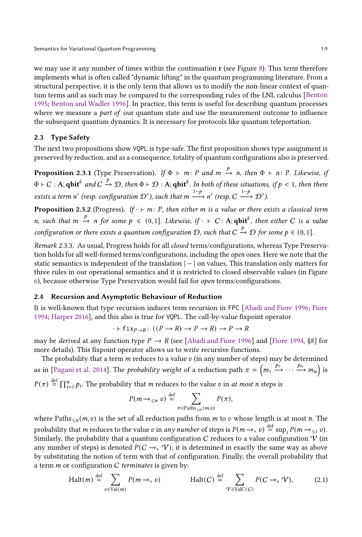we may use it any number of times within the continuation r (see Figure [8\)](#page-7-0). This term therefore implements what is often called "dynamic lifting" in the quantum programming literature. From a structural perspective, it is the only term that allows us to modify the non-linear context of quantum terms and as such may be compared to the corresponding rules of the LNL calculus [\[Benton](#page-25-0) [1995](#page-25-0); [Benton and Wadler 1996](#page-25-1)]. In practice, this term is useful for describing quantum processes where we measure a *part of* our quantum state and use the measurement outcome to influence the subsequent quantum dynamics. It is necessary for protocols like quantum teleportation.

# <span id="page-8-0"></span>2.3 Type Safety

The next two propositions show VQPL is type-safe. The first proposition shows type assignment is preserved by reduction, and as a consequence, totality of quantum configurations also is preserved.

**Proposition 2.3.1** (Type Preservation). If  $\Phi \vdash m: P$  and  $m \stackrel{p}{\to} n$ , then  $\Phi \vdash n: P$ . Likewise, if  $\Phi \vdash C : A; \textbf{qbit}^k$  and  $C \xrightarrow{p} \mathcal{D}$ , then  $\Phi \vdash \mathcal{D} : A; \textbf{qbit}^k$ . In both of these situations, if  $p < 1$ , then there exists a term n' (resp. configuration  $\mathcal{D}'$ ), such that  $m \xrightarrow{1-p} n'$  (resp.  $C \xrightarrow{1-p} \mathcal{D}'$ ).

**Proposition 2.3.2** (Progress). If  $\cdot \vdash m$ : P, then either m is a value or there exists a classical term n, such that  $m \stackrel{p}{\rightarrow} n$  for some  $p \in (0,1]$ . Likewise, if  $\cdot + C$ : A;  $\mathbf{qbit}^k$ , then either C is a value configuration or there exists a quantum configuration D, such that  $C \xrightarrow{p} \mathcal{D}$  for some  $p \in (0,1]$ .

<span id="page-8-1"></span>Remark 2.3.3. As usual, Progress holds for all closed terms/configurations, whereas Type Preservation holds for all well-formed terms/configurations, including the open ones. Here we note that the static semantics is independent of the translation  $|-|$  on values. This translation only matters for three rules in our operational semantics and it is restricted to closed observable values (in Figure [6\)](#page-4-0), because otherwise Type Preservation would fail for open terms/configurations.

# 2.4 Recursion and Asymptotic Behaviour of Reduction

It is well-known that type recursion induces term recursion in FPC [\[Abadi and Fiore 1996](#page-25-2); [Fiore](#page-26-10) [1994](#page-26-10); [Harper 2016\]](#page-26-12), and this also is true for VQPL. The call-by-value fixpoint operator

$$
\cdot \vdash \text{fix}_{P \to R} \colon ((P \to R) \to P \to R) \to P \to R
$$

may be *derived* at any function type  $P \rightarrow R$  (see [\[Abadi and Fiore 1996\]](#page-25-2) and [\[Fiore 1994,](#page-26-10) §8] for more details). This fixpoint operator allows us to write recursive functions.

The probability that a term  $m$  reduces to a value  $v$  (in any number of steps) may be determined as in [\[Pagani et al. 2014](#page-26-9)]. The *probability weight* of a reduction path  $\pi = \left(m_1 \xrightarrow{p_1} \cdots \xrightarrow{p_n} m_n\right)$  is  $P(\pi) \stackrel{\text{def}}{=} \prod_{i=1}^{n} p_i$ . The probability that *m* reduces to the value *v* in *at most n* steps is

$$
P(m \to_{\leq n} v) \stackrel{\text{def}}{=} \sum_{\pi \in \text{Paths}_{\leq n}(m,v)} P(\pi),
$$

where Paths<sub>≤n</sub>( $m, v$ ) is the set of all reduction paths from  $m$  to  $v$  whose length is at most  $n$ . The probability that  $m$  reduces to the value  $v$  in *any number* of steps is  $P(m\to_* v) \stackrel{\text{def}}{=} \sup_i P(m\to_{\leq i} v).$ Similarly, the probability that a quantum configuration  $C$  reduces to a value configuration  $\hat{V}$  (in any number of steps) is denoted  $P(C \rightarrow_{*} \mathcal{V})$ ; it is determined in exactly the same way as above by substituting the notion of term with that of configuration. Finally, the overall probability that a term  $m$  or configuration  $C$  terminates is given by:

<span id="page-8-2"></span>
$$
\text{Half}(m) \stackrel{\text{def}}{=} \sum_{v \in \text{Val}(m)} P(m \to_{*} v) \qquad \qquad \text{Half}(C) \stackrel{\text{def}}{=} \sum_{\mathcal{V} \in \text{ValC}(C)} P(C \to_{*} \mathcal{V}), \qquad (2.1)
$$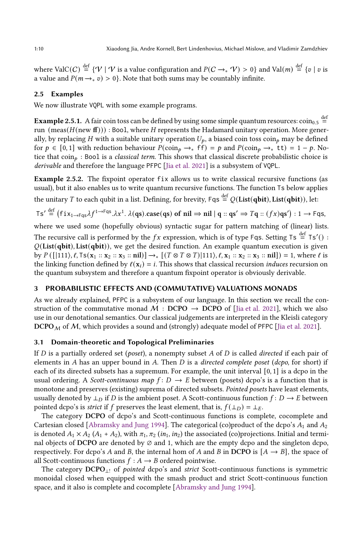where ValC(*C*)  $\stackrel{\text{def}}{=} \{ \mathcal{V} \mid \mathcal{V} \text{ is a value configuration and } P(C \to_{*} \mathcal{V}) > 0 \}$  and Val(*m*)  $\stackrel{\text{def}}{=} \{ v \mid v \text{ is } \mathcal{V} \}$ a value and  $P(m \rightarrow_{*} v) > 0$ . Note that both sums may be countably infinite.

# 2.5 Examples

We now illustrate VQPL with some example programs.

**Example 2.5.1.** A fair coin toss can be defined by using some simple quantum resources:  $\text{coin}_{0.5} \stackrel{\text{def}}{=}$ run  $(\text{meas}(H(\text{new ff})))$ : Bool, where H represents the Hadamard unitary operation. More generally, by replacing H with a suitable unitary operation  $U_p$ , a biased coin toss coin<sub>p</sub> may be defined for  $p \in [0, 1]$  with reduction behaviour  $P(\text{coin}_p \to_{*} \text{ ff}) = p$  and  $P(\text{coin}_p \to_{*} \text{ tt}) = 1 - p$ . Notice that  $\text{coin}_p$  : Bool is a *classical term*. This shows that classical discrete probabilistic choice is derivable and therefore the language PFPC [\[Jia et al. 2021](#page-26-3)] is a subsystem of VQPL.

Example 2.5.2. The fixpoint operator fix allows us to write classical recursive functions (as usual), but it also enables us to write quantum recursive functions. The function Ts below applies the unitary  $T$  to each qubit in a list. Defining, for brevity, Fqs  $\stackrel{\text{def}}{=} Q(\text{List}(\mathbf{qbit}),\text{List}(\mathbf{qbit})),$  let:

$$
\mathsf{Ts}' \stackrel{\text{def}}{=} (\mathsf{fix}_{1 \to \mathsf{Fqs}} \lambda f^{1 \to \mathsf{Fqs}}.\lambda x^1. \lambda(\mathsf{qs}).\mathsf{case}(\mathsf{qs}) \text{ of } \mathsf{nil} \Rightarrow \mathsf{nil} \mid \mathsf{q} :: \mathsf{qs}' \Rightarrow T\mathsf{q} :: (fx)\mathsf{qs}') : 1 \to \mathsf{Fqs},
$$

where we used some (hopefully obvious) syntactic sugar for pattern matching of (linear) lists. The recursive call is performed by the  $fx$  expression, which is of type Fqs. Setting Ts  $\stackrel{\text{def}}{=}$  Ts'():  $Q(List(qbit), List(qbit))$ , we get the desired function. An example quantum execution is given by  $P([|111\rangle, \ell, \text{Ts}(\mathbf{x}_1::\mathbf{x}_2::\mathbf{x}_3::\mathbf{nil})] \rightarrow_{*} [(\mathcal{T} \otimes \mathcal{T} \otimes \mathcal{T})|111\rangle, \ell, \mathbf{x}_1::\mathbf{x}_2::\mathbf{x}_3::\mathbf{nil}] = 1$ , where  $\ell$  is the linking function defined by  $\ell(\mathbf{x}_i) = i$ . This shows that classical recursion *induces* recursion on the quantum subsystem and therefore a quantum fixpoint operator is obviously derivable.

### <span id="page-9-0"></span>3 PROBABILISTIC EFFECTS AND (COMMUTATIVE) VALUATIONS MONADS

As we already explained, PFPC is a subsystem of our language. In this section we recall the construction of the commutative monad  $M : DCPO \rightarrow DCPO$  of [\[Jia et al. 2021](#page-26-3)], which we also use in our denotational semantics. Our classical judgements are interpreted in the Kleisli category DCPO<sub>M</sub> of M, which provides a sound and (strongly) adequate model of PFPC [\[Jia et al. 2021\]](#page-26-3).

# 3.1 Domain-theoretic and Topological Preliminaries

If  $D$  is a partially ordered set (poset), a nonempty subset  $A$  of  $D$  is called directed if each pair of elements in  $A$  has an upper bound in  $A$ . Then  $D$  is a directed complete poset (dcpo, for short) if each of its directed subsets has a supremum. For example, the unit interval  $[0, 1]$  is a dcpo in the usual ordering. A Scott-continuous map  $f: D \to E$  between (posets) dcpo's is a function that is monotone and preserves (existing) suprema of directed subsets. Pointed posets have least elements, usually denoted by  $\perp_D$  if D is the ambient poset. A Scott-continuous function  $f: D \to E$  between pointed dcpo's is *strict* if f preserves the least element, that is,  $f(\perp_D) = \perp_E$ .

The category DCPO of dcpo's and Scott-continuous functions is complete, cocomplete and Cartesian closed [\[Abramsky and Jung 1994](#page-25-4)]. The categorical (co)product of the dcpo's  $A_1$  and  $A_2$ is denoted  $A_1 \times A_2$  ( $A_1 + A_2$ ), with  $\pi_1, \pi_2$  (in<sub>1</sub>, in<sub>2</sub>) the associated (co)projections. Initial and terminal objects of DCPO are denoted by  $\varnothing$  and 1, which are the empty dcpo and the singleton dcpo, respectively. For dcpo's A and B, the internal hom of A and B in DCPO is  $[A \rightarrow B]$ , the space of all Scott-continuous functions  $f : A \rightarrow B$  ordered pointwise.

The category  $DCPO_{\perp}$  of *pointed* dcpo's and *strict* Scott-continuous functions is symmetric monoidal closed when equipped with the smash product and strict Scott-continuous function space, and it also is complete and cocomplete [\[Abramsky and Jung 1994\]](#page-25-4).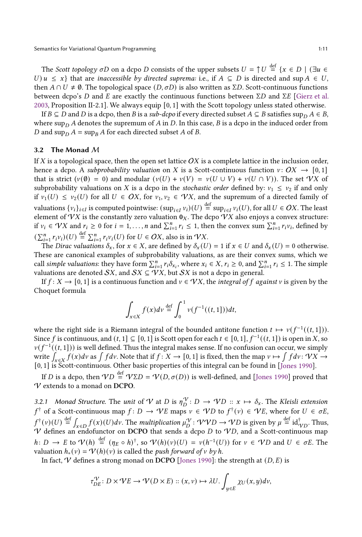Semantics for Variational Quantum Programming 1:11 and 1:11 and 1:11 and 1:11 and 1:11 and 1:11 and 1:11 and 1:11 and 1:11 and 1:11 and 1:11 and 1:11 and 1:11 and 1:11 and 1:11 and 1:11 and 1:11 and 1:11 and 1:11 and 1:11

The Scott topology  $\sigma D$  on a dcpo D consists of the upper subsets  $U = \uparrow U \stackrel{\text{def}}{=} \{x \in D \mid (\exists u \in D) | u \in D\}$  $U$ )  $u \leq x$ } that are *inaccessible by directed suprema:* i.e., if  $A \subseteq D$  is directed and sup  $A \in U$ , then  $A \cap U \neq \emptyset$ . The topological space  $(D, \sigma D)$  is also written as  $\Sigma D$ . Scott-continuous functions between dcpo's D and E are exactly the continuous functions between  $\Sigma D$  and  $\Sigma E$  [\[Gierz et al.](#page-26-13) [2003,](#page-26-13) Proposition II-2.1]. We always equip [0, 1] with the Scott topology unless stated otherwise.

If  $B \subseteq D$  and D is a dcpo, then B is a sub-dcpo if every directed subset  $A \subseteq B$  satisfies  $\sup_D A \in B$ , where  $\sup_D A$  denotes the supremum of A in D. In this case, B is a dcpo in the induced order from D and sup<sub>D</sub>  $A = \sup_B A$  for each directed subset A of B.

#### 3.2 The Monad M

If  $X$  is a topological space, then the open set lattice  $OX$  is a complete lattice in the inclusion order, hence a dcpo. A *subprobability valuation* on X is a Scott-continuous function  $v: OX \rightarrow [0, 1]$ that is strict  $(\nu(\emptyset) = 0)$  and modular  $(\nu(U) + \nu(V) = \nu(U \cup V) + \nu(U \cap V))$ . The set VX of subprobability valuations on X is a dcpo in the *stochastic order* defined by:  $v_1 \le v_2$  if and only if  $v_1(U) \le v_2(U)$  for all  $U \in OX$ , for  $v_1, v_2 \in VX$ , and the supremum of a directed family of valuations  $\{v_i\}_{i\in I}$  is computed pointwise:  $(\sup_{i\in I} v_i)(U)\stackrel{\text{def}}{=} \sup_{i\in I} v_i(U)$ , for all  $U\in OX$ . The least element of  $\forall X$  is the constantly zero valuation  $\mathbf{0}_X$ . The dcpo  $\forall X$  also enjoys a convex structure: if  $v_i \in \mathcal{V}X$  and  $r_i \geq 0$  for  $i = 1, ..., n$  and  $\sum_{i=1}^n r_i \leq 1$ , then the convex sum  $\sum_{i=1}^n r_i v_i$ , defined by  $(\sum_{i=1}^n r_i v_i)(U) \stackrel{\text{def}}{=} \sum_{i=1}^n r_i v_i(U)$  for  $U \in OX$ , also is in  $\gamma X$ .

The Dirac valuations  $\delta_x$ , for  $x \in X$ , are defined by  $\delta_x(U) = 1$  if  $x \in U$  and  $\delta_x(U) = 0$  otherwise. These are canonical examples of subprobability valuations, as are their convex sums, which we call simple valuations: they have form  $\sum_{i=1}^{n} r_i \delta_{x_i}$ , where  $x_i \in X$ ,  $r_i \geq 0$ , and  $\sum_{i=1}^{n} r_i \leq 1$ . The simple valuations are denoted  $SX$ , and  $SX \subseteq \mathcal{V}X$ , but  $SX$  is not a dcpo in general.

If  $f: X \to [0, 1]$  is a continuous function and  $v \in \mathcal{V}X$ , the *integral of f* against v is given by the Choquet formula

$$
\int_{x \in X} f(x) dv \stackrel{\text{def}}{=} \int_0^1 v(f^{-1}((t, 1])) dt,
$$

where the right side is a Riemann integral of the bounded antitone function  $t \mapsto \nu(f^{-1}((t,1]))$ . Since f is continuous, and  $(t,1] \subseteq [0,1]$  is Scott open for each  $t \in [0,1], f^{-1}((t,1])$  is open in X, so  $\nu(f^{-1}((t, 1]))$  is well defined. Thus the integral makes sense. If no confusion can occur, we simply write  $\int_{x \in X} f(x) dv$  as  $\int f dv$ . Note that if  $f: X \to [0, 1]$  is fixed, then the map  $v \mapsto \int f dv$ .  $V X \to$ [0, 1] is Scott-continuous. Other basic properties of this integral can be found in [\[Jones 1990\]](#page-26-14).

If D is a dcpo, then  $\mathcal{V}D\stackrel{\mathrm{def}}{=}\mathcal{V}\Sigma D=\mathcal{V}(D,\sigma(D))$  is well-defined, and [\[Jones 1990\]](#page-26-14) proved that V extends to a monad on DCPO.

3.2.1 Monad Structure. The unit of V at D is  $\eta_D^{\mathcal{V}}: D \to \mathcal{V}D :: x \mapsto \delta_x$ . The Kleisli extension  $f^{\dagger}$  of a Scott-continuous map  $f: D \to VE$  maps  $v \in \mathcal{V}D$  to  $f^{\dagger}(v) \in \mathcal{V}E$ , where for  $U \in \sigma E$ ,  $f^{\dagger}(v)(U) \stackrel{\text{def}}{=}$  $\int_{x \in D} f(x)(U) dv$ . The *multiplication*  $\mu_D^{\mathcal{V}} : V \mathcal{V} D \to \mathcal{V} D$  is given by  $\mu \stackrel{\text{def}}{=} \mathrm{id}_{\mathcal{V} D}^{\dagger}$ . Thus,  $V$  defines an endofunctor on DCPO that sends a dcpo  $D$  to  $VD$ , and a Scott-continuous map  $h: D \to E$  to  $V(h) \stackrel{\text{def}}{=} (\eta_E \circ h)^{\dagger}$ , so  $V(h)(v)(U) = v(h^{-1}(U))$  for  $v \in \mathcal{V}D$  and  $U \in \sigma E$ . The valuation  $h_*(v) = \mathcal{V}(h)(v)$  is called the *push forward of v by h*.

In fact,  $V$  defines a strong monad on DCPO [\[Jones 1990](#page-26-14)]: the strength at  $(D, E)$  is

$$
\tau_{DE}^{\mathcal{V}}\colon D\times \mathcal{V} E\to \mathcal{V}(D\times E)\colon (x,v)\mapsto \lambda U.\int_{y\in E}\chi_U(x,y)dv,
$$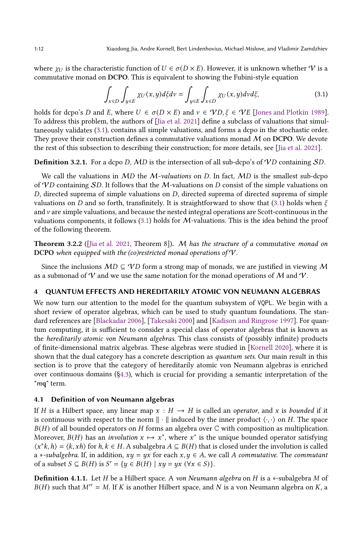where  $\chi_U$  is the characteristic function of  $U \in \sigma(D \times E)$ . However, it is unknown whether  $V$  is a commutative monad on DCPO. This is equivalent to showing the Fubini-style equation

<span id="page-11-1"></span>
$$
\int_{x \in D} \int_{y \in E} \chi_U(x, y) d\xi dv = \int_{y \in E} \int_{x \in D} \chi_U(x, y) d\nu d\xi,
$$
\n(3.1)

holds for dcpo's D and E, where  $U \in \sigma(D \times E)$  and  $\nu \in \mathcal{VD}, \xi \in \mathcal{VE}$  [\[Jones and Plotkin 1989\]](#page-26-15). To address this problem, the authors of [\[Jia et al. 2021\]](#page-26-3) define a subclass of valuations that simultaneously validates [\(3.1\)](#page-11-1), contains all simple valuations, and forms a dcpo in the stochastic order. They prove their construction defines a commutative valuations monad  $M$  on DCPO. We devote the rest of this subsection to describing their construction; for more details, see [\[Jia et al. 2021\]](#page-26-3).

**Definition 3.2.1.** For a dcpo D, MD is the intersection of all sub-dcpo's of  $VD$  containing SD.

We call the valuations in  $MD$  the M-valuations on D. In fact,  $MD$  is the smallest sub-dcpo of  $VD$  containing SD. It follows that the M-valuations on D consist of the simple valuations on  $D$ , directed suprema of simple valuations on  $D$ , directed suprema of directed suprema of simple valuations on D and so forth, transfinitely. It is straightforward to show that [\(3.1\)](#page-11-1) holds when  $\xi$ and  $\nu$  are simple valuations, and because the nested integral operations are Scott-continuous in the valuations components, it follows  $(3.1)$  holds for *M*-valuations. This is the idea behind the proof of the following theorem.

**Theorem 3.2.2** ([\[Jia et al. 2021](#page-26-3), Theorem 8]). M has the structure of a commutative monad on DCPO when equipped with the (co)restricted monad operations of  $V$ .

Since the inclusions  $MD \subseteq \mathcal{VD}$  form a strong map of monads, we are justified in viewing M as a submonad of  $V$  and we use the same notation for the monad operations of  $M$  and  $V$ .

### <span id="page-11-0"></span>4 QUANTUM EFFECTS AND HEREDITARILY ATOMIC VON NEUMANN ALGEBRAS

We now turn our attention to the model for the quantum subsystem of VQPL. We begin with a short review of operator algebras, which can be used to study quantum foundations. The standard references are [\[Blackadar 2006\]](#page-25-5), [\[Takesaki 2000](#page-27-1)] and [\[Kadison and Ringrose 1997\]](#page-26-16). For quantum computing, it is sufficient to consider a special class of operator algebras that is known as the hereditarily atomic von Neumann algebras. This class consists of (possibly infinite) products of finite-dimensional matrix algebras. These algebras were studied in [\[Kornell 2020\]](#page-26-17), where it is shown that the dual category has a concrete description as quantum sets. Our main result in this section is to prove that the category of hereditarily atomic von Neumann algebras is enriched over continuous domains  $(S4.3)$ , which is crucial for providing a semantic interpretation of the "mq" term.

# 4.1 Definition of von Neumann algebras

If H is a Hilbert space, any linear map  $x : H \to H$  is called an *operator*, and x is *bounded* if it is continuous with respect to the norm  $\|\cdot\|$  induced by the inner product  $\langle \cdot, \cdot \rangle$  on H. The space  $B(H)$  of all bounded operators on H forms an algebra over  $C$  with composition as multiplication. Moreover,  $B(H)$  has an *involution*  $x \mapsto x^*$ , where  $x^*$  is the unique bounded operator satisfying  $\langle x^*k, h \rangle = \langle k, xh \rangle$  for  $h, k \in H$ . A subalgebra  $A \subseteq B(H)$  that is closed under the involution is called a \*-subalgebra. If, in addition,  $xy = yx$  for each  $x, y \in A$ , we call A commutative. The commutant of a subset  $S \subseteq B(H)$  is  $S' = \{y \in B(H) \mid xy = yx \, (\forall x \in S)\}.$ 

**Definition 4.1.1.** Let  $H$  be a Hilbert space. A von Neumann algebra on  $H$  is a  $*$ -subalgebra  $M$  of  $B(H)$  such that  $M'' = M$ . If K is another Hilbert space, and N is a von Neumann algebra on K, a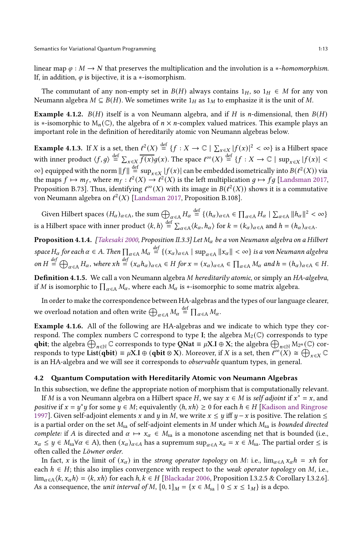linear map  $\varphi : M \to N$  that preserves the multiplication and the involution is a ∗-homomorphism. If, in addition,  $\varphi$  is bijective, it is a ∗-isomorphism.

The commutant of any non-empty set in  $B(H)$  always contains  $1_H$ , so  $1_H \in M$  for any von Neumann algebra  $M \subseteq B(H)$ . We sometimes write  $1_H$  as  $1_M$  to emphasize it is the unit of M.

Example 4.1.2.  $B(H)$  itself is a von Neumann algebra, and if  $H$  is *n*-dimensional, then  $B(H)$ is ∗-isomorphic to  $M_n(\mathbb{C})$ , the algebra of  $n \times n$ -complex valued matrices. This example plays an important role in the definition of hereditarily atomic von Neumann algebras below.

<span id="page-12-2"></span>**Example 4.1.3.** If  $X$  is a set, then  $\ell^2(X) \stackrel{\text{def}}{=} \{f: X \to \mathbb{C} \mid \sum_{x \in X} |f(x)|^2 < \infty\}$  is a Hilbert space with inner product  $\langle f, g \rangle \stackrel{\text{def}}{=} \sum_{x \in X} \overline{f(x)} g(x)$ . The space  $\ell^{\infty}(X) \stackrel{\text{def}}{=} \{f : X \to \mathbb{C} \mid \text{sup}_{x \in X} |f(x)| < \infty\}$  $\infty$ } equipped with the norm  $||f|| \stackrel{\text{def}}{=} \sup_{x \in X} |f(x)|$  can be embedded isometrically into  $B(f^2(X))$  via the maps  $f \mapsto m_f$ , where  $m_f : \ell^2(X) \to \ell^2(X)$  is the left multiplication  $g \mapsto fg$  [\[Landsman 2017](#page-26-18), Proposition B.73]. Thus, identifying  $\ell^{\infty}(X)$  with its image in  $B(\ell^2(X))$  shows it is a commutative von Neumann algebra on  $\ell^2(X)$  [\[Landsman 2017](#page-26-18), Proposition B.108].

Given Hilbert spaces  $(H_\alpha)_{\alpha \in A}$ , the sum  $\bigoplus_{\alpha \in A} H_\alpha \stackrel{\text{def}}{=} \{(h_\alpha)_{\alpha \in A} \in \prod_{\alpha \in A} H_\alpha \mid \sum_{\alpha \in A} ||h_\alpha||^2 < \infty\}$ is a Hilbert space with inner product  $\langle k, h \rangle \stackrel{\text{def}}{=} \sum_{\alpha \in A} \langle k_{\alpha}, h_{\alpha} \rangle$  for  $k = (k_{\alpha})_{\alpha \in A}$  and  $h = (h_{\alpha})_{\alpha \in A}$ .

<span id="page-12-0"></span>**Proposition 4.1.4.** [\[Takesaki 2000](#page-27-1), Proposition II.3.3] Let  $M_\alpha$  be a von Neumann algebra on a Hilbert space  $H_\alpha$  for each  $\alpha\in A$ . Then  $\prod_{\alpha\in A}M_\alpha\stackrel{def}{=}\{(x_\alpha)_{\alpha\in A}\mid \sup_{\alpha\in A}\|x_\alpha\|<\infty\}$  is a von Neumann algebra on  $H \stackrel{\text{def}}{=} \bigoplus_{\alpha \in A} H_{\alpha}$ , where  $xh \stackrel{\text{def}}{=} (x_{\alpha}h_{\alpha})_{\alpha \in A} \in H$  for  $x = (x_{\alpha})_{\alpha \in A} \in \prod_{\alpha \in A} M_{\alpha}$  and  $h = (h_{\alpha})_{\alpha \in A} \in H$ .

Definition 4.1.5. We call a von Neumann algebra M hereditarily atomic, or simply an HA-algebra, if M is isomorphic to  $\prod_{\alpha \in A} M_{\alpha}$ , where each  $M_{\alpha}$  is  $\ast$ -isomorphic to some matrix algebra.

In order to make the correspondence between HA-algebras and the types of our language clearer, we overload notation and often write  $\bigoplus_{\alpha \in A} M_{\alpha} \stackrel{\text{def}}{=} \prod_{\alpha \in A} M_{\alpha}.$ 

Example 4.1.6. All of the following are HA-algebras and we indicate to which type they correspond. The complex numbers  $\mathbb C$  correspond to type I; the algebra  $M_2(\mathbb C)$  corresponds to type qbit; the algebra  $\bigoplus_{n\in\mathbb{N}}\mathbb{C}$  corresponds to type QNat  $\equiv \mu X.I \oplus X$ ; the algebra  $\bigoplus_{n\in\mathbb{N}} M_{2^n}(\mathbb{C})$  corresponds to type List(qbit)  $\equiv \mu X.I \oplus (qbit \otimes X)$ . Moreover, if X is a set, then  $\ell^{\infty}(X) \cong \bigoplus_{x \in X} \mathbb{C}$ is an HA-algebra and we will see it corresponds to observable quantum types, in general.

### <span id="page-12-1"></span>4.2 Quantum Computation with Hereditarily Atomic von Neumann Algebras

In this subsection, we define the appropriate notion of morphism that is computationally relevant.

If M is a von Neumann algebra on a Hilbert space H, we say  $x \in M$  is self adjoint if  $x^* = x$ , and positive if  $x = y^*y$  for some  $y \in M$ ; equivalently  $\langle h, xh \rangle \ge 0$  for each  $h \in H$  [\[Kadison and Ringrose](#page-26-16) [1997](#page-26-16)]. Given self-adjoint elements x and  $\psi$  in  $M$ , we write  $x \leq \psi$  iff  $\psi - x$  is positive. The relation  $\leq$ is a partial order on the set  $M_{sa}$  of self-adjoint elements in M under which  $M_{sa}$  is bounded directed complete: if A is directed and  $\alpha \mapsto x_{\alpha} \in M_{sa}$  is a monotone ascending net that is bounded (i.e.,  $x_{\alpha} \leq y \in M_{sa} \forall \alpha \in A$ , then  $(x_{\alpha})_{\alpha \in A}$  has a supremum sup $_{\alpha \in A} x_{\alpha} = x \in M_{sa}$ . The partial order  $\leq$  is often called the Löwner order.

In fact, x is the limit of  $(x_\alpha)$  in the strong operator topology on M: i.e.,  $\lim_{\alpha \in A} x_\alpha h = xh$  for each  $h \in H$ ; this also implies convergence with respect to the *weak operator topology* on *M*, i.e.,  $\lim_{\alpha \in A} \langle k, x_{\alpha} h \rangle = \langle k, x h \rangle$  for each  $h, k \in H$  [\[Blackadar 2006](#page-25-5), Proposition I.3.2.5 & Corollary I.3.2.6]. As a consequence, the *unit interval of M*,  $[0, 1]_M = \{x \in M_{sa} \mid 0 \le x \le 1_M\}$  is a dcpo.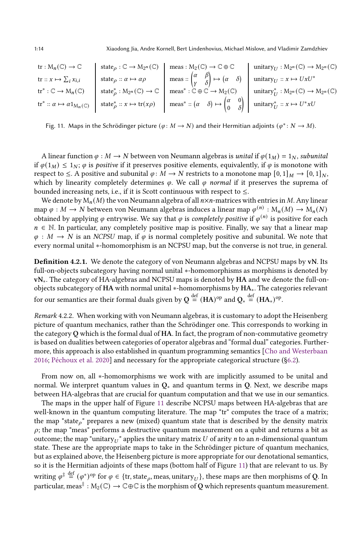<span id="page-13-0"></span>1:14 Xiaodong Jia, Andre Kornell, Bert Lindenhovius, Michael Mislove, and Vladimir Zamdzhiev

| tr: $M_n(\mathbb{C}) \to \mathbb{C}$                                        | state <sub><math>\rho</math></sub> : $\mathbb{C} \rightarrow M_{2^n}(\mathbb{C})$ | meas : $M_2(\mathbb{C}) \to \mathbb{C} \oplus \mathbb{C}$                                                                | unitary <sub>II</sub> : $M_{2^n}(\mathbb{C}) \to M_{2^n}(\mathbb{C})$                     |
|-----------------------------------------------------------------------------|-----------------------------------------------------------------------------------|--------------------------------------------------------------------------------------------------------------------------|-------------------------------------------------------------------------------------------|
| tr :: $x \mapsto \sum_i x_{i,i}$                                            | state $\rho$ :: $\alpha \mapsto \alpha \rho$                                      | meas :: $\begin{pmatrix} \alpha & \beta \\ \gamma & \delta \end{pmatrix} \mapsto (\alpha \ \delta)$                      | unitary $U : x \mapsto UxU^*$                                                             |
| $\mathrm{tr}^* : \mathbb{C} \to \mathrm{M}_n(\mathbb{C})$                   | state <sub><math>\rho</math></sub> : $M_{2^n}(\mathbb{C}) \to \mathbb{C}$         | meas <sup>*</sup> : $\mathbb{C} \oplus \mathbb{C} \to M_2(\mathbb{C})$                                                   | unitary <sup>*</sup> <sub><i>II</i></sub> : $M_{2^n}(\mathbb{C}) \to M_{2^n}(\mathbb{C})$ |
| $\operatorname{tr}^* :: \alpha \mapsto \alpha 1_{\mathrm{M}_n(\mathbb{C})}$ | state <sub><math>\rho</math></sub> :: $x \mapsto \text{tr}(x\rho)$                | <b>1</b> meas <sup>*</sup> :: $(\alpha \quad \delta) \mapsto \begin{pmatrix} \alpha & 0 \\ 0 & \delta \end{pmatrix}$   . | unitary $y_{II}^* :: x \mapsto U^*xU$                                                     |

Fig. 11. Maps in the Schrödinger picture  $(\varphi \colon M \to N)$  and their Hermitian adjoints  $(\varphi^* \colon N \to M)$ .

A linear function  $\varphi : M \to N$  between von Neumann algebras is *unital* if  $\varphi(1_M) = 1_N$ , *subunital* if  $\varphi(1_M) \leq 1_N$ ;  $\varphi$  is positive if it preserves positive elements, equivalently, if  $\varphi$  is monotone with respect to  $\leq$ . A positive and subunital  $\varphi: M \to N$  restricts to a monotone map  $[0, 1]_M \to [0, 1]_N$ , which by linearity completely determines  $\varphi$ . We call  $\varphi$  normal if it preserves the suprema of bounded increasing nets, i.e., if it is Scott continuous with respect to  $\leq$ .

We denote by  $M_n(M)$  the von Neumann algebra of all  $n \times n$ -matrices with entries in M. Any linear map  $\varphi: M \to N$  between von Neumann algebras induces a linear map  $\varphi^{(n)}: \mathrm{M}_n(M) \to \mathrm{M}_n(N)$ obtained by applying  $\varphi$  entrywise. We say that  $\varphi$  is *completely positive* if  $\varphi^{(n)}$  is positive for each  $n \in \mathbb{N}$ . In particular, any completely positive map is positive. Finally, we say that a linear map  $\varphi : M \to N$  is an NCPSU map, if  $\varphi$  is normal completely positive and subunital. We note that every normal unital ∗-homomorphism is an NCPSU map, but the converse is not true, in general.

Definition 4.2.1. We denote the category of von Neumann algebras and NCPSU maps by vN. Its full-on-objects subcategory having normal unital ∗-homomorphisms as morphisms is denoted by vN∗. The category of HA-algebras and NCPSU maps is denoted by HA and we denote the full-onobjects subcategory of HA with normal unital ∗-homomorphisms by HA∗. The categories relevant for our semantics are their formal duals given by  $\mathbf{Q}\overset{\text{def}}{=}(\mathbf{HA})^\text{op}$  and  $\mathbf{Q}_* \overset{\text{def}}{=}(\mathbf{HA}_*)^\text{op}.$ 

Remark 4.2.2. When working with von Neumann algebras, it is customary to adopt the Heisenberg picture of quantum mechanics, rather than the Schrödinger one. This corresponds to working in the category Q which is the formal dual of HA. In fact, the program of non-commutative geometry is based on dualities between categories of operator algebras and "formal dual" categories. Furthermore, this approach is also established in quantum programming semantics [\[Cho and Westerbaan](#page-25-6) [2016;](#page-25-6) [Péchoux et al. 2020\]](#page-26-5) and necessary for the appropriate categorical structure ([§6.2\)](#page-19-0).

From now on, all ∗-homomorphisms we work with are implicitly assumed to be unital and normal. We interpret quantum values in  $Q_*$  and quantum terms in Q. Next, we describe maps between HA-algebras that are crucial for quantum computation and that we use in our semantics.

The maps in the upper half of Figure [11](#page-13-0) describe NCPSU maps between HA-algebras that are well-known in the quantum computing literature. The map "tr" computes the trace of a matrix; the map "state<sub> $\rho$ </sub>" prepares a new (mixed) quantum state that is described by the density matrix  $\rho$ ; the map "meas" performs a destructive quantum measurement on a qubit and returns a bit as outcome; the map "unitary $_{U}$ " applies the unitary matrix  $U$  of arity  $\emph{n}$  to an  $\emph{n}$ -dimensional quantum state. These are the appropriate maps to take in the Schrödinger picture of quantum mechanics, but as explained above, the Heisenberg picture is more appropriate for our denotational semantics, so it is the Hermitian adjoints of these maps (bottom half of Figure [11\)](#page-13-0) that are relevant to us. By writing  $\varphi^{\ddagger} \stackrel{\text{def}}{=} (\varphi^*)^{\text{op}}$  for  $\varphi \in \{\text{tr}, \text{state}_{\rho}, \text{meas}, \text{unitary}_U\}$ , these maps are then morphisms of **Q**. In particular, meas $^{\ddagger}:\mathsf{M}_{2}(\mathbb{C})\to\mathbb{C}\oplus\mathbb{C}$  is the morphism of  $\mathsf Q$  which represents quantum measurement.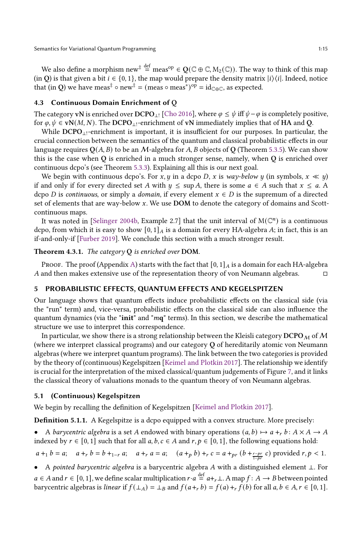We also define a morphism new $^{\ddagger}$   $\stackrel{\rm def}{=}$  meas $^{\rm op}\in {\rm Q}(\mathbb{C}\oplus\mathbb{C},{\rm M}_2(\mathbb{C}))$ . The way to think of this map (in O) is that given a bit  $i \in \{0, 1\}$ , the map would prepare the density matrix  $|i\rangle\langle i|$ . Indeed, notice that (in Q) we have meas‡  $\circ$  new $^{\ddagger}$  = (meas  $\circ$  meas $^*)^{\rm op}$  = id $_{\mathbb{C}\oplus\mathbb{C}}$ , as expected.

### <span id="page-14-0"></span>4.3 Continuous Domain Enrichment of Q

The category vN is enriched over  $DCPO_{\perp}$  [\[Cho 2016](#page-25-7)], where  $\varphi \leq \psi$  iff  $\psi - \varphi$  is completely positive, for  $\varphi, \psi \in \mathbf{vN}(M, N)$ . The DCPO<sub>11</sub>-enrichment of vN immediately implies that of HA and Q.

While DCPO<sub>⊥</sub>-enrichment is important, it is insufficient for our purposes. In particular, the crucial connection between the semantics of the quantum and classical probabilistic effects in our language requires  $O(A, B)$  to be an M-algebra for A, B objects of Q (Theorem [5.3.5\)](#page-16-1). We can show this is the case when Q is enriched in a much stronger sense, namely, when Q is enriched over continuous dcpo's (see Theorem [5.3.3\)](#page-16-2). Explaining all this is our next goal.

We begin with continuous dcpo's. For  $x, y$  in a dcpo D, x is way-below y (in symbols,  $x \ll y$ ) if and only if for every directed set A with  $y \leq \sup A$ , there is some  $a \in A$  such that  $x \leq a$ . dcpo D is continuous, or simply a domain, if every element  $x \in D$  is the supremum of a directed set of elements that are way-below  $x$ . We use **DOM** to denote the category of domains and Scottcontinuous maps.

It was noted in [\[Selinger 2004b,](#page-26-19) Example 2.7] that the unit interval of  $M(\mathbb{C}^n)$  is a continuous dcpo, from which it is easy to show  $[0, 1]_A$  is a domain for every HA-algebra A; in fact, this is an if-and-only-if [\[Furber 2019\]](#page-26-20). We conclude this section with a much stronger result.

### <span id="page-14-2"></span>**Theorem 4.3.1.** The category  $Q$  is enriched over DOM.

PROOF. The proof (Appendix [A\)](#page-28-0) starts with the fact that  $[0, 1]_A$  is a domain for each HA-algebra A and then makes extensive use of the representation theory of von Neumann algebras.  $\Box$ 

### <span id="page-14-1"></span>5 PROBABILISTIC EFFECTS, QUANTUM EFFECTS AND KEGELSPITZEN

Our language shows that quantum effects induce probabilistic effects on the classical side (via the "run" term) and, vice-versa, probabilistic effects on the classical side can also influence the quantum dynamics (via the "init" and " $mq$ " terms). In this section, we describe the mathematical structure we use to interpret this correspondence.

In particular, we show there is a strong relationship between the Kleisli category  $DCPO<sub>M</sub>$  of M (where we interpret classical programs) and our category Q of hereditarily atomic von Neumann algebras (where we interpret quantum programs). The link between the two categories is provided by the theory of (continuous) Kegelspitzen [\[Keimel and Plotkin 2017\]](#page-26-4). The relationship we identify is crucial for the interpretation of the mixed classical/quantum judgements of Figure [7,](#page-4-0) and it links the classical theory of valuations monads to the quantum theory of von Neumann algebras.

# <span id="page-14-3"></span>5.1 (Continuous) Kegelspitzen

We begin by recalling the definition of Kegelspitzen [\[Keimel and Plotkin 2017\]](#page-26-4).

**Definition 5.1.1.** A Kegelspitze is a dcpo equipped with a convex structure. More precisely:

• A barycentric algebra is a set A endowed with binary operations  $(a, b) \mapsto a +_r b : A \times A \rightarrow A$ indexed by  $r \in [0, 1]$  such that for all  $a, b, c \in A$  and  $r, p \in [0, 1]$ , the following equations hold:

$$
a +_1 b = a
$$
;  $a +_r b = b +_{1-r} a$ ;  $a +_r a = a$ ;  $(a +_p b) +_r c = a +_{pr} (b +_{\frac{r-pr}{1-pr}} c)$  provided  $r, p < 1$ .

• A pointed barycentric algebra is a barycentric algebra A with a distinguished element ⊥. For  $a \in A$  and  $r \in [0, 1]$ , we define scalar multiplication  $r \cdot a \stackrel{\text{def}}{=} a +_r \bot$ . A map  $f \colon A \to B$  between pointed barycentric algebras is linear if  $f(\perp_A) = \perp_B$  and  $f(a+r) = f(a) + f(b)$  for all  $a, b \in A, r \in [0, 1]$ .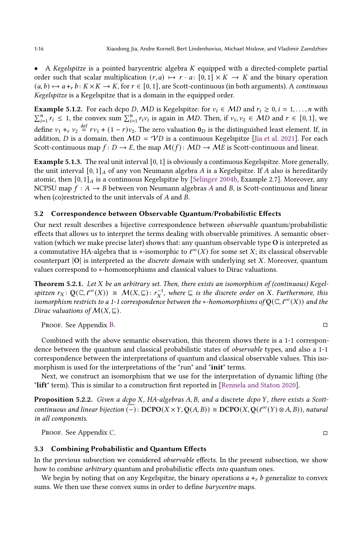• A Kegelspitze is a pointed barycentric algebra  $K$  equipped with a directed-complete partial order such that scalar multiplication  $(r, a) \mapsto r \cdot a$ :  $[0, 1] \times K \to K$  and the binary operation  $(a, b) \mapsto a + b : K \times K \to K$ , for  $r \in [0, 1]$ , are Scott-continuous (in both arguments). A *continuous* Kegelspitze is a Kegelspitze that is a domain in the equipped order.

<span id="page-15-0"></span>**Example 5.1.2.** For each dcpo D, MD is Kegelspitze: for  $v_i \in MD$  and  $r_i \geq 0, i = 1, \ldots, n$  with  $\sum_{i=1}^{n} r_i \leq 1$ , the convex sum  $\sum_{i=1}^{n} r_i v_i$  is again in MD. Then, if  $v_1, v_2 \in MD$  and  $r \in [0, 1]$ , we define  $v_1 +_r v_2 \stackrel{\text{def}}{=} rv_1 + (1 - r)v_2$ . The zero valuation  $\mathbf{0}_D$  is the distinguished least element. If, in addition, *D* is a domain, then  $MD = \gamma D$  is a continuous Kegelspitze [\[Jia et al. 2021](#page-26-3)]. For each Scott-continuous map  $f: D \to E$ , the map  $\mathcal{M}(f): \mathcal{M} \to \mathcal{M} E$  is Scott-continuous and linear.

**Example 5.1.3.** The real unit interval  $[0, 1]$  is obviously a continuous Kegelspitze. More generally, the unit interval  $[0, 1]_A$  of any von Neumann algebra A is a Kegelspitze. If A also is hereditarily atomic, then  $[0, 1]_A$  is a continuous Kegelspitze by [\[Selinger 2004b,](#page-26-19) Example 2.7]. Moreover, any NCPSU map  $f: A \rightarrow B$  between von Neumann algebras A and B, is Scott-continuous and linear when (co)restricted to the unit intervals of  $A$  and  $B$ .

# 5.2 Correspondence between Observable Quantum/Probabilistic Effects

Our next result describes a bijective correspondence between observable quantum/probabilistic effects that allows us to interpret the terms dealing with observable primitives. A semantic observation (which we make precise later) shows that: any quantum observable type O is interpreted as a commutative HA-algebra that is  $\ast$ -isomorphic to  $\ell^{\infty}(X)$  for some set X; its classical observable counterpart  $|O|$  is interpreted as the *discrete domain* with underlying set  $X$ . Moreover, quantum values correspond to ∗-homomorphisms and classical values to Dirac valuations.

<span id="page-15-1"></span>**Theorem 5.2.1.** Let  $X$  be an arbitrary set. Then, there exists an isomorphism of (continuous) Kegelspitzen  $r_X: Q(\mathbb{C}, \ell^{\infty}(X)) \cong \mathcal{M}(X, \sqsubseteq)$ :  $r_X^{-1}$ , where  $\sqsubseteq$  is the discrete order on X. Furthermore, this isomorphism restricts to a 1-1 correspondence between the \*-homomorphisms of  $\mathbf{Q}(\mathbb{C}, \ell^{\infty}(X))$  and the Dirac valuations of  $\mathcal{M}(X,\sqsubseteq)$ .

Proof. See Appendix [B.](#page-36-0)

Combined with the above semantic observation, this theorem shows there is a 1-1 correspondence between the quantum and classical probabilistic states of observable types, and also a 1-1 correspondence between the interpretations of quantum and classical observable values. This isomorphism is used for the interpretations of the "run" and "init" terms.

Next, we construct an isomorphism that we use for the interpretation of dynamic lifting (the "lift" term). This is similar to a construction first reported in [\[Rennela and Staton 2020](#page-26-7)].

<span id="page-15-2"></span>**Proposition 5.2.2.** Given a dcpo  $X$ , HA-algebras  $A$ ,  $B$ , and a discrete dcpo  $Y$ , there exists a Scottcontinuous and linear bijection  $\widehat{(-)}\colon \text{DCPO}(X \times Y, Q(A,B)) \cong \text{DCPO}(X, Q(\ell^{\infty}(Y) \otimes A,B))$ , natural in all components.

Proof. See Appendix [C.](#page-39-0)

### <span id="page-15-3"></span>5.3 Combining Probabilistic and Quantum Effects

In the previous subsection we considered observable effects. In the present subsection, we show how to combine *arbitrary* quantum and probabilistic effects *into* quantum ones.

We begin by noting that on any Kegelspitze, the binary operations  $a +<sub>r</sub> b$  generalize to convex sums. We then use these convex sums in order to define *barycentre* maps.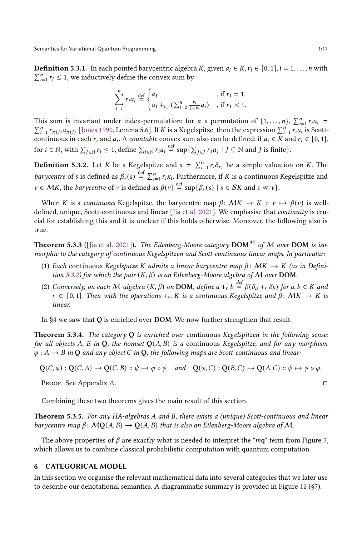<span id="page-16-4"></span>**Definition 5.3.1.** In each pointed barycentric algebra K, given  $a_i \in K$ ,  $r_i \in [0, 1]$ ,  $i = 1, \ldots, n$  with  $\sum_{i=1}^{n} r_i \leq 1$ , we inductively define the convex sum by

$$
\sum_{i=1}^{n} r_i a_i \stackrel{\text{def}}{=} \begin{cases} a_1, & \text{if } r_1 = 1, \\ a_1 + r_1 \left( \sum_{i=2}^{n} \frac{r_i}{1 - r_1} a_i \right), & \text{if } r_1 < 1. \end{cases}
$$

This sum is invariant under index-permutation: for  $\pi$  a permutation of  $\{1, \ldots, n\}$ ,  $\sum_{i=1}^{n} r_i a_i = \sum_{i=1}^{n} r_i a_{i-1}$ ;  $\sum_{i=1}^{n} r_i a_i$  is Scott- $\sum_{i=1}^{n} r_{\pi(i)} a_{\pi(i)}$  [\[Jones 1990,](#page-26-14) Lemma 5.6]. If K is a Kegelspitze, then the expression  $\sum_{i=1}^{n} r_i a_i$  is Scottcontinuous in each  $r_i$  and  $a_i$ . A *countable* convex sum also can be defined: if  $a_i \in K$  and  $r_i \in [0, 1]$ , for  $i \in \mathbb{N}$ , with  $\sum_{i \in \mathbb{N}} r_i \leq 1$ , define  $\sum_{i \in \mathbb{N}} r_i a_i \stackrel{\text{def}}{=} \sup \{ \sum_{j \in J} r_j a_j \mid J \subseteq \mathbb{N} \text{ and } J \text{ is finite} \}.$ 

<span id="page-16-3"></span>**Definition 5.3.2.** Let K be a Kegelspitze and  $s = \sum_{i=1}^{n} r_i \delta_{x_i}$  be a simple valuation on K. The *barycentre* of *s* is defined as  $\beta_*(s) \stackrel{\text{def}}{=} \sum_{i=1}^n r_i x_i$ . Furthermore, if K is a continuous Kegelspitze and  $v \in \mathcal{M}K$ , the *barycentre* of  $v$  is defined as  $\beta(v) \stackrel{\text{def}}{=} \sup \{\beta_*(s) \mid s \in \mathcal{S}K \text{ and } s \ll v\}.$ 

When K is a continuous Kegelspitze, the barycentre map  $\beta$ :  $MK \rightarrow K :: \nu \mapsto \beta(\nu)$  is welldefined, unique, Scott-continuous and linear [\[Jia et al. 2021\]](#page-26-3). We emphasise that continuity is crucial for establishing this and it is unclear if this holds otherwise. Moreover, the following also is true.

<span id="page-16-2"></span>**Theorem 5.3.3** ([\[Jia et al. 2021\]](#page-26-3)). The Eilenberg-Moore category  $DOM^M$  of  $M$  over  $DOM$  is isomorphic to the category of continuous Kegelspitzen and Scott-continuous linear maps. In particular:

- (1) Each continuous Kegelspitze K admits a linear barycentre map  $\beta$ : MK  $\rightarrow$  K (as in Defini-tion [5.3.2\)](#page-16-3) for which the pair  $(K, \beta)$  is an Eilenberg-Moore algebra of M over DOM.
- (2) Conversely, on each M-algebra  $(K, \beta)$  on DOM, define a +<sub>r</sub> b  $\stackrel{def}{=} \beta(\delta_a +_r \delta_b)$  for a, b  $\in K$  and  $r \in [0, 1]$ . Then with the operations  $+_r$ , K is a continuous Kegelspitze and  $\beta \colon MK \to K$  is linear.

In [§4](#page-11-0) we saw that Q is enriched over DOM. We now further strengthen that result.

**Theorem 5.3.4.** The category  $Q$  is enriched over continuous Kegelspitzen in the following sense: for all objects A, B in Q, the homset  $Q(A, B)$  is a continuous Kegelspitze, and for any morphism  $\varphi : A \to B$  in Q and any object C in Q, the following maps are Scott-continuous and linear:

 $Q(C, \varphi): Q(C, A) \to Q(C, B): \psi \mapsto \varphi \circ \psi$  and  $Q(\varphi, C): Q(B, C) \to Q(A, C): \psi \mapsto \psi \circ \varphi$ .

PROOF. See Appendix [A.](#page-28-0)

Combining these two theorems gives the main result of this section.

<span id="page-16-1"></span>**Theorem 5.3.5.** For any HA-algebras A and B, there exists a (unique) Scott-continuous and linear barycentre map  $\beta$ :  $MQ(A, B) \rightarrow Q(A, B)$  that is also an Eilenberg-Moore algebra of M.

The above properties of  $\beta$  are exactly what is needed to interpret the "mq" term from Figure [7,](#page-4-0) which allows us to combine classical probabilistic computation with quantum computation.

#### <span id="page-16-0"></span>6 CATEGORICAL MODEL

In this section we organise the relevant mathematical data into several categories that we later use to describe our denotational semantics. A diagrammatic summary is provided in Figure [12](#page-20-1) ( $\S$ [7\)](#page-20-0).

$$
\Box
$$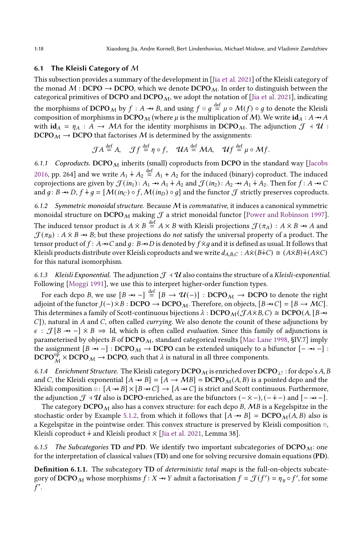# <span id="page-17-0"></span>6.1 The Kleisli Category of  $M$

This subsection provides a summary of the development in [\[Jia et al. 2021\]](#page-26-3) of the Kleisli category of the monad  $M: DCPO \rightarrow DCPO$ , which we denote  $DCPO_M$ . In order to distinguish between the categorical primitives of DCPO and DCPO<sub>M</sub>, we adopt the notation of [\[Jia et al. 2021](#page-26-3)], indicating the morphisms of DCPO<sub>M</sub> by  $f : A \rightarrow B$ , and using  $f \circ g \stackrel{\text{def}}{=} \mu \circ \mathcal{M}(f) \circ g$  to denote the Kleisli composition of morphisms in DCPO<sub>M</sub> (where  $\mu$  is the multiplication of M). We write  $id_A : A \rightarrow A$ with  $id_A = \eta_A : A \to MA$  for the identity morphisms in DCPO<sub>M</sub>. The adjunction  $\mathcal{J} \dashv \mathcal{U}$ :  $DCPO_M \rightarrow DCPO$  that factorises M is determined by the assignments:

$$
\mathcal{J}A \stackrel{\text{def}}{=} A, \quad \mathcal{J}f \stackrel{\text{def}}{=} \eta \circ f, \quad \mathcal{U}A \stackrel{\text{def}}{=} \mathcal{M}A, \quad \mathcal{U}f \stackrel{\text{def}}{=} \mu \circ \mathcal{M}f.
$$

6.1.1 Coproducts. DCPO $_M$  inherits (small) coproducts from DCPO in the standard way [\[Jacobs](#page-26-21) [2016,](#page-26-21) pp. 264] and we write  $A_1 \dot{+} A_2 \stackrel{\text{def}}{=} A_1 + A_2$  for the induced (binary) coproduct. The induced 2016, pp. 264] and we write  $A_1 + A_2 = A_1 + A_2$  for the induced (binary) coproduct. The induced coprojections are given by  $\mathcal{J}(in_1)$ :  $A_1 \rightarrow A_1 \dot{+} A_2$  and  $\mathcal{J}(in_2)$ :  $A_2 \rightarrow A_1 \dot{+} A_2$ . Then for  $f: A \rightarrow C$ coprojections are given by  $\mathcal{J}(n_1) : A_1 \rightarrow A_1 + A_2$  and  $\mathcal{J}(n_2) : A_2 \rightarrow A_1 + A_2$ . Then for  $f : A \rightarrow C$ <br>and  $g: B \rightarrow D, f \doteq g = [\mathcal{M}(n_C) \circ f, \mathcal{M}(n_D) \circ g]$  and the functor  $\mathcal{J}$  strictly preserves coproducts.

6.1.2 Symmetric monoidal structure. Because  $M$  is commutative, it induces a canonical symmetric monoidal structure on  $DCPO_M$  making  $J$  a strict monoidal functor [\[Power and Robinson 1997\]](#page-26-22). The induced tensor product is  $A \times B \stackrel{\text{def}}{=} A \times B$  with Kleisli projections  $\mathcal{J}(\pi_A) : A \times B \rightarrow A$  and The induced tensor product is  $A \times B = A \times B$  with Kleisli projections  $\mathcal{J}(\pi_A) : A \times B \rightarrow A$  and  $\mathcal{J}(\pi_B) : A \times B \rightarrow B$ ; but these projections do *not* satisfy the universal property of a product. The  $t(\pi_B): A\times B\to B;$  but these projections do *not sa*tisfy the universal property of a product. The tensor product of  $f:A\to C$  and  $g\colon B\to D$  is denoted by  $f\times g$  and it is defined as usual. It follows that Kleisli products distribute over Kleisli coproducts and we write  $d_{A,B,C}: A\times(B+C) \cong (A\times B)+(A\times C)$ for this natural isomorphism.

6.1.3 Kleisli Exponential. The adjunction  $\mathcal{J}$  +  $\mathcal{U}$  also contains the structure of a Kleisli-exponential. Following [\[Moggi 1991\]](#page-26-23), we use this to interpret higher-order function types.

For each dcpo *B*, we use  $[B \rightarrow e] \stackrel{\text{def}}{=} [B \rightarrow \mathcal{U}(-)]$  : DCPO<sub>*M*</sub>  $\rightarrow$  DCPO to denote the right For each dcpo *B*, we use  $[B \rightarrow -] = [B \rightarrow 'U(-)]$ : DCPO<sub>*M*</sub>  $\rightarrow$  DCPO to denote the right adjoint of the functor  $J(-) \times B$ : DCPO  $\rightarrow$  DCPO<sub>*M*</sub>. Therefore, on objects,  $[B \rightarrow C] = [B \rightarrow \mathcal{MC}]$ . adjoint of the functor  $J(-) \times B$  : DCPO  $\rightarrow$  DCPO $_{\mathcal{M}}$ . Therefore, on objects,  $[B \rightarrow C] = [B \rightarrow \mathcal{M}C]$ .<br>This determines a family of Scott-continuous bijections  $\lambda$  : DCPO  $_{\mathcal{M}}(J A \times B, C) \cong DCPO(A, [B \rightarrow \mathcal{M}C])$  $C$ ]), natural in A and C, often called *currying*. We also denote the counit of these adjunctions by C]), natural in *A* and C, often called *currying*. We also denote the counit of these adjunctions by  $\epsilon$  :  $\mathcal{J}[B \rightarrow -] \times B \Rightarrow$  Id, which is often called *evaluation*. Since this family of adjunctions is parameterised by objects  $B$  of DCPO<sub>M</sub>, standard categorical results [\[Mac Lane 1998](#page-26-24), §IV.7] imply the assignment  $[B \rightarrow -]$  : DCPO  $_M \rightarrow$  DCPO can be extended uniquely to a bifunctor  $[- \rightarrow -]$  :  $DCPO_M^{\text{op}} \times DCPO_M \rightarrow DCPO$ , such that  $\lambda$  is natural in all three components.

6.1.4 Enrichment Structure. The Kleisli category  $\mathsf{DCPO}_\mathcal{M}$  is enriched over  $\mathsf{DCPO}_{\perp !}$  : for dcpo's A, B and C, the Kleisli exponential  $[A \rightarrow B] = [A \rightarrow MB] = DCPO<sub>M</sub>(A, B)$  is a pointed dcpo and the Kleisli composition  $\circ : [A \rightarrow B] \times [B \rightarrow C] \rightarrow [A \rightarrow C]$  is strict and Scott continuous. Furthermore, Kleisli composition ⊙: [A → B] × [B → C] → [A → C] is strict and Scott continuous. Furthermore,<br>the adjunction  $\mathcal{J}$  +  $\mathcal{U}$  also is DCPO-enriched, as are the bifunctors  $(-\times -), (-\dot{+} -)$  and  $[- \rightarrow -]$ .

The category  $DCPO_M$  also has a convex structure: for each dcpo B, MB is a Kegelspitze in the stochastic order by Example [5.1.2,](#page-15-0) from which it follows that  $[A \rightarrow B] = DCPO<sub>M</sub>(A, B)$  also is a Kegelspitze in the pointwise order. This convex structure is preserved by Kleisli composition  $\circ$ , a regemplize in the pointwise order. This convex structure is preser<br>Kleisli coproduct + and Kleisli product  $\times$  [\[Jia et al. 2021,](#page-26-3) Lemma 38].

6.1.5 The Subcategories TD and PD. We identify two important subcategories of DCPO $_M$ : one for the interpretation of classical values (TD) and one for solving recursive domain equations (PD).

<span id="page-17-1"></span>Definition 6.1.1. The subcategory TD of *deterministic total maps* is the full-on-objects subcate-**Definition 6.1.1.** The subcategory **TD** of *deterministic total maps* is the full-on-objects subcategory of DCPO<sub>M</sub> whose morphisms  $f: X \rightarrow Y$  admit a factorisation  $f = \mathcal{J}(f') = \eta_y \circ f'$ , for some  $f^{\prime}$ .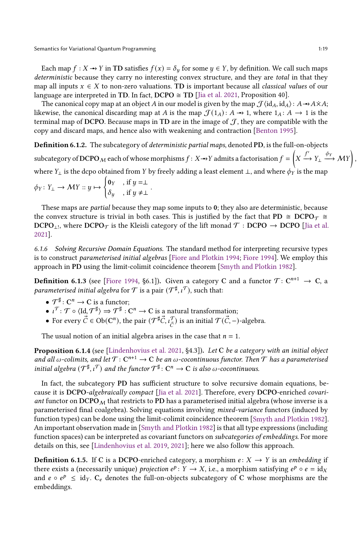Each map  $f: X \rightarrow Y$  in TD satisfies  $f(x) = \delta_u$  for some  $y \in Y$ , by definition. We call such maps deterministic because they carry no interesting convex structure, and they are total in that they map all inputs  $x \in X$  to non-zero valuations. TD is important because all *classical values* of our language are interpreted in TD. In fact,  $DCPO \cong TD$  [\[Jia et al. 2021](#page-26-3), Proposition 40].

nguage are interpreted in TD. In fact, DCPO  $\cong$  TD [Jia et al. 2021, Proposition 40].<br>The canonical copy map at an object  $A$  in our model is given by the map  $\mathcal{J}\langle\mathrm{id}_A,\mathrm{id}_A\rangle\colon A{\rightarrowtail} A{\times} A;$ likewise, the canonical discarding map at A is the map  $\mathcal{J}(1_A)$ : A  $\rightarrow$  1, where  $1_A$ : A  $\rightarrow$  1 is the terminal map of DCPO. Because maps in TD are in the image of  $J$ , they are compatible with the copy and discard maps, and hence also with weakening and contraction [\[Benton 1995](#page-25-0)].

Definition 6.1.2. The subcategory of deterministic partial maps, denoted PD, is the full-on-objects subcategory of DCPO  $_M$  each of whose morphisms  $f: X \rightarrow Y$  admits a factorisation  $f = \left( \begin{array}{c} 0 & 0 \end{array} \right)$  $X \xrightarrow{f'} Y_{\perp} \xrightarrow{\phi_Y} \mathcal{M}Y$ where  $Y_\perp$  is the dcpo obtained from Y by freely adding a least element  $\perp$ , and where  $\phi_Y$  is the map (  $\mathbf{0}_Y$ , if  $y = \perp$ 

$$
\phi_Y\colon Y_\perp \to \mathcal{M}Y :: y \mapsto \begin{cases} \mathbf{0}_Y & , \text{ if } y = \perp \\ \delta_y & , \text{ if } y \neq \perp \end{cases}.
$$

These maps are *partial* because they map some inputs to 0; they also are deterministic, because the convex structure is trivial in both cases. This is justified by the fact that PD  $\cong$  DCPO $\tau \cong$ DCPO<sub>⊥!</sub>, where DCPO $_{\cal T}$  is the Kleisli category of the lift monad  ${\cal T}$  : DCPO  $\to$  DCPO [\[Jia et al.](#page-26-3) [2021\]](#page-26-3).

6.1.6 Solving Recursive Domain Equations. The standard method for interpreting recursive types is to construct parameterised initial algebras [\[Fiore and Plotkin 1994;](#page-26-8) [Fiore 1994\]](#page-26-10). We employ this approach in PD using the limit-colimit coincidence theorem [\[Smyth and Plotkin 1982\]](#page-26-25).

<span id="page-18-1"></span>**Definition 6.1.3** (see [\[Fiore 1994,](#page-26-10) §6.1]). Given a category C and a functor  $\mathcal{T}: C^{n+1} \to C$ , a parameterised initial algebra for  $\mathcal T$  is a pair  $(\mathcal T^\sharp,\iota^\mathcal T),$  such that:

- $\mathcal{T}^\sharp\colon \mathbf{C}^n \to \mathbf{C}$  is a functor;
- $\bullet\,\,\iota^{\mathcal{T}}\colon\mathcal{T}\circ\langle \mathrm{Id},\mathcal{T}^\sharp\rangle\Rightarrow\mathcal{T}^\sharp:\mathrm{C}^n\rightarrow\mathrm{C}$  is a natural transformation;
- For every  $\vec{C} \in Ob(C^n)$ , the pair  $(\mathcal{T}^\sharp \vec{C}, \iota_{\vec{C}}^T)$  is an initial  $\mathcal{T}(\vec{C}, -)$ -algebra.

The usual notion of an initial algebra arises in the case that  $n = 1$ .

<span id="page-18-0"></span>Proposition 6.1.4 (see [\[Lindenhovius et al. 2021](#page-26-26), §4.3]). Let C be a category with an initial object and all  $\omega$ -colimits, and let  $\mathcal{T}\colon C^{n+1}\to \mathbb{C}$  be an  $\omega$ -cocontinuous functor. Then  $\mathcal T$  has a parameterised initial algebra  $(\mathcal{T}^\sharp, \iota^\mathcal{T})$  and the functor  $\mathcal{T}^\sharp \colon \mathbb{C}^n \to \mathbb{C}$  is also  $\omega$ -cocontinuous.

In fact, the subcategory PD has sufficient structure to solve recursive domain equations, because it is DCPO-algebraically compact [\[Jia et al. 2021\]](#page-26-3). Therefore, every DCPO-enriched covariant functor on  $DCPO<sub>M</sub>$  that restricts to PD has a parameterised initial algebra (whose inverse is a parameterised final coalgebra). Solving equations involving mixed-variance functors (induced by function types) can be done using the limit-colimit coincidence theorem [\[Smyth and Plotkin 1982\]](#page-26-25). An important observation made in [\[Smyth and Plotkin 1982\]](#page-26-25) is that all type expressions (including function spaces) can be interpreted as covariant functors on subcategories of embeddings. For more details on this, see [\[Lindenhovius et al. 2019,](#page-26-27) [2021\]](#page-26-26); here we also follow this approach.

**Definition 6.1.5.** If C is a DCPO-enriched category, a morphism  $e: X \rightarrow Y$  is an embedding if there exists a (necessarily unique) *projection*  $e^p: Y \to X$ , i.e., a morphism satisfying  $e^p \circ e = id_X$ and  $e \circ e^p \leq id_Y$ .  $C_e$  denotes the full-on-objects subcategory of C whose morphisms are the embeddings.

 $\overline{\phantom{0}}$ ,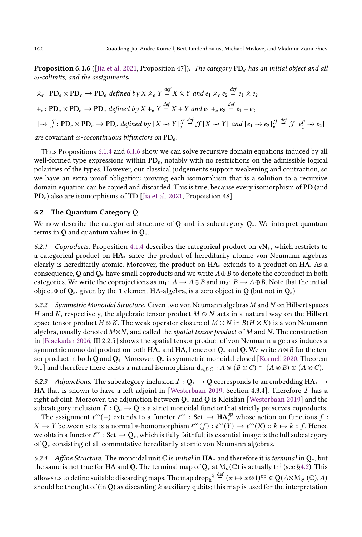<span id="page-19-1"></span>**Proposition 6.1.6** ([\[Jia et al. 2021,](#page-26-3) Proposition 47]). The category  $PD_e$  has an initial object and all  $\omega$ -colimits, and the assignments:

 $\dot{\times}_e$ :  $PD_e \times PD_e \rightarrow PD_e$  defined by  $X \times_e Y \stackrel{def}{=} X \times Y$  and  $e_1 \times_e e_2 \stackrel{def}{=} e_1 \times e_2$  $\dot{+}_e \colon \mathbf{PD}_e \times \mathbf{PD}_e \to \mathbf{PD}_e$  defined by  $X \dot{+}_e Y \stackrel{def}{=} X \dot{+} Y$  and  $e_1 \dot{+}_e e_2 \stackrel{def}{=} e_1 \dot{+} e_2$  $\left[\rightarrow\right]_e^{\mathcal{J}}: \text{PD}_e \times \text{PD}_e \rightarrow \text{PD}_e$  defined by  $[X \rightarrow Y]_e^{\mathcal{J}}$  $\stackrel{def}{=} \mathcal{J}[X \rightarrow Y]$  and  $[e_1 \rightarrow e_2]_e^{\mathcal{J}}$  $\stackrel{def}{=} \mathcal{J}[e_1^p \rightarrow e_2]$ are covariant  $\omega$ -cocontinuous bifunctors on PD<sub>e</sub>.

Thus Propositions [6.1.4](#page-18-0) and [6.1.6](#page-19-1) show we can solve recursive domain equations induced by all well-formed type expressions within  $PD_e$ , notably with no restrictions on the admissible logical polarities of the types. However, our classical judgements support weakening and contraction, so we have an extra proof obligation: proving each isomorphism that is a solution to a recursive domain equation can be copied and discarded. This is true, because every isomorphism of PD (and  $PD_e$ ) also are isomorphisms of TD [\[Jia et al. 2021,](#page-26-3) Propoistion 48].

# <span id="page-19-0"></span>6.2 The Quantum Category Q

We now describe the categorical structure of Q and its subcategory  $Q_*$ . We interpret quantum terms in Q and quantum values in  $Q_*$ .

6.2.1 Coproducts. Proposition [4.1.4](#page-12-0) describes the categorical product on  $vN_{*}$ , which restricts to a categorical product on HA<sup>∗</sup> since the product of hereditarily atomic von Neumann algebras clearly is hereditarily atomic. Moreover, the product on HA<sup>∗</sup> extends to a product on HA. As a consequence, Q and Q∗ have small coproducts and we write  $A \oplus B$  to denote the coproduct in both categories. We write the coprojections as  $\text{in}_1: A \to A \oplus B$  and  $\text{in}_2: B \to A \oplus B$ . Note that the initial object 0 of  $Q_*$ , given by the 1 element HA-algebra, is a zero object in Q (but not in  $Q_*$ ).

6.2.2 Symmetric Monoidal Structure. Given two von Neumann algebras  $M$  and  $N$  on Hilbert spaces H and K, respectively, the algebraic tensor product  $M \odot N$  acts in a natural way on the Hilbert space tensor product  $H \otimes K$ . The weak operator closure of  $M \odot N$  in  $B(H \otimes K)$  is a von Neumann algebra, usually denoted  $M\bar{\otimes}N$ , and called the spatial tensor product of M and N. The construction in [\[Blackadar 2006](#page-25-5), III.2.2.5] shows the spatial tensor product of von Neumann algebras induces a symmetric monoidal product on both  $HA_*$  and  $HA$ , hence on  $Q_*$  and Q. We write  $A \otimes B$  for the tensor product in both Q and Q∗. Moreover, Q<sup>∗</sup> is symmetric monoidal closed [\[Kornell 2020](#page-26-17), Theorem 9.1] and therefore there exists a natural isomorphism  $d_{A,B,C}: A \otimes (B \oplus C) \cong (A \otimes B) \oplus (A \otimes C)$ .

6.2.3 Adjunctions. The subcategory inclusion  $I: \mathbb{Q}_* \to \mathbb{Q}$  corresponds to an embedding  $HA_* \to$ HA that is shown to have a left adjoint in [\[Westerbaan 2019,](#page-27-2) Section 4.3.4]. Therefore  $I$  has a right adjoint. Moreover, the adjunction between Q<sup>∗</sup> and Q is Kleislian [\[Westerbaan 2019\]](#page-27-2) and the subcategory inclusion  $\mathcal{I}: \mathbf{Q}_* \to \mathbf{Q}$  is a strict monoidal functor that strictly preserves coproducts.

The assignment  $\ell^{\infty}(-)$  extends to a functor  $\ell^{\infty}$  : Set  $\rightarrow$  HA<sup>op</sup> whose action on functions f :  $X \to Y$  between sets is a normal  $*$ -homomorphism  $\ell^{\infty}(f) : \ell^{\infty}(Y) \to \ell^{\infty}(X) :: k \mapsto k \circ f$ . Hence we obtain a functor  $\ell^{\infty}$  :  $\textbf{Set} \to \textbf{Q}_*$ , which is fully faithful; its essential image is the full subcategory of Q<sup>∗</sup> consisting of all commutative hereditarily atomic von Neumann algebras.

6.2.4 Affine Structure. The monoidal unit  $\mathbb C$  is *initial* in  $HA_*$  and therefore it is *terminal* in  $Q_*$ , but the same is not true for  $HA$  and  $Q$ . The terminal map of  $Q_*$  at  $\mathrm{M}_n(\mathbb{C})$  is actually  $\mathrm{tr}^\ddagger$  (see [§4.2\)](#page-12-1). This allows us to define suitable discarding maps. The map drop $_k^\ddag\stackrel{\rm def}{=} (x\mapsto x\otimes 1)^{\rm op}\in {\bf Q}(A\otimes {\bf M}_{2^k}({\mathbb C}),A)$ should be thought of (in  $Q$ ) as discarding  $k$  auxiliary qubits; this map is used for the interpretation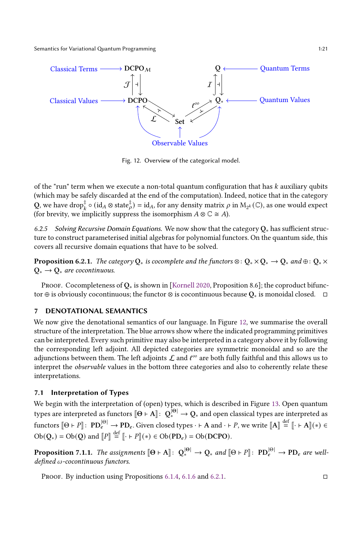<span id="page-20-1"></span>

Fig. 12. Overview of the categorical model.

of the "run" term when we execute a non-total quantum configuration that has  $k$  auxiliary qubits (which may be safely discarded at the end of the computation). Indeed, notice that in the category Q, we have drop $^{\ddagger}_{k} \circ (\mathrm{id}_{A} \otimes \mathrm{state}_{\rho}^{\ddagger}) = \mathrm{id}_{A}$ , for any density matrix  $\rho$  in  $\mathrm{M}_{2^{k}}(\mathbb{C})$ , as one would expect (for brevity, we implicitly suppress the isomorphism  $A \otimes \mathbb{C} \cong A$ ).

6.2.5 Solving Recursive Domain Equations. We now show that the category Q<sup>∗</sup> has sufficient structure to construct parameterised initial algebras for polynomial functors. On the quantum side, this covers all recursive domain equations that have to be solved.

<span id="page-20-2"></span>**Proposition 6.2.1.** The category  $Q_*$  is cocomplete and the functors  $\otimes : Q_* \times Q_* \to Q_*$  and  $\oplus : Q_* \times$  $Q_* \rightarrow Q_*$  are cocontinuous.

Proof. Cocompleteness of Q<sub>∗</sub> is shown in [\[Kornell 2020,](#page-26-17) Proposition 8.6]; the coproduct bifunctor ⊕ is obviously cocontinuous; the functor ⊗ is cocontinuous because  $Q_*$  is monoidal closed.  $\Box$ 

# <span id="page-20-0"></span>7 DENOTATIONAL SEMANTICS

We now give the denotational semantics of our language. In Figure [12,](#page-20-1) we summarise the overall structure of the interpretation. The blue arrows show where the indicated programming primitives can be interpreted. Every such primitive may also be interpreted in a category above it by following the corresponding left adjoint. All depicted categories are symmetric monoidal and so are the adjunctions between them. The left adjoints  $\mathcal L$  and  $\ell^\infty$  are both fully faithful and this allows us to interpret the observable values in the bottom three categories and also to coherently relate these interpretations.

# 7.1 Interpretation of Types

We begin with the interpretation of (open) types, which is described in Figure [13.](#page-21-0) Open quantum types are interpreted as functors  $[\![\Theta \vdash A]\!] \colon \operatorname{Q}_*^{|\Theta|} \to \operatorname{Q}_*$  and open classical types are interpreted as functors  $[\![\Theta \vdash P]\!] \colon \operatorname{PD}_e^{\left[\Theta\right]} \to \operatorname{PD}_e.$  Given closed types  $\cdot \vdash A$  and  $\cdot \vdash P$ , we write  $[\![A]\!] \stackrel{\text{def}}{=} [\![\cdot \vdash A]\!] (\ast) \in$  $Ob(Q_*) = Ob(Q)$  and  $[[P]] \stackrel{\text{def}}{=} [[\cdot \vdash P]](*) \in Ob(PD_e) = Ob(DCPO).$ 

**Proposition 7.1.1.** The assignments  $[\Theta \vdash A] \colon \ Q_*^{|\Theta|} \to Q_*$  and  $[\Theta \vdash P] \colon \ {\rm PD}_e^{|\Theta|} \to {\rm PD}_e$  are welldefined  $\omega$ -cocontinuous functors.

Proof. By induction using Propositions [6.1.4,](#page-18-0) [6.1.6](#page-19-1) and [6.2.1.](#page-20-2)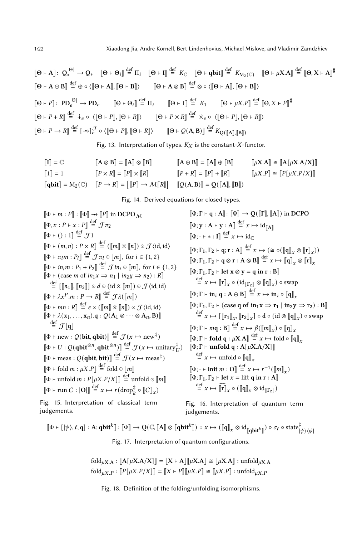<span id="page-21-0"></span> $[\mathbf{\Theta} \vdash \mathbf{A}] : \mathbf{Q}^{|\Theta|}_* \to \mathbf{Q}_* \quad [\mathbf{\Theta} \vdash \mathbf{\Theta}_i] \stackrel{\text{def}}{=} \Pi_i \quad [\mathbf{\Theta} \vdash \mathbf{I}] \stackrel{\text{def}}{=} K_{\mathbb{C}} \quad [\mathbf{\Theta} \vdash \mathbf{q} \mathbf{bit}] \stackrel{\text{def}}{=} K_{M_2(\mathbb{C})} \quad [\mathbf{\Theta} \vdash \mu \mathbf{X} \mathbf{A}] \stackrel{\text{def}}{=} [\mathbf{\Theta}, \mathbf{X} \vdash \mathbf{A}]^\sharp$  $[\![\Theta \vdash A \oplus B]\!] \stackrel{\text{def}}{=} \oplus \circ \langle [\![\Theta \vdash A]\!] , [\![\Theta \vdash B]\!] \rangle$   $[\![\Theta \vdash A \otimes B]\!] \stackrel{\text{def}}{=} \otimes \circ \langle [\![\Theta \vdash A]\!] , [\![\Theta \vdash B]\!] \rangle$  $\begin{aligned} \llbracket \Theta \vdash P \rrbracket \colon \operatorname{PD}_e^{\vert \Theta \vert} \to \operatorname{PD}_e \end{aligned} \qquad \llbracket \Theta \vdash \Theta_i \rrbracket \stackrel{\text{def}}{=} \Pi_i \qquad \llbracket \Theta \vdash \mathbf{1} \rrbracket \stackrel{\text{def}}{=} \ K_1 \qquad \llbracket \Theta \vdash \mu X . P \rrbracket \stackrel{\text{def}}{=} \llbracket \Theta, X \vdash P \rrbracket^\sharp$  $[\![\Theta \vdash P + R]\!] \stackrel{\text{def}}{=} \; \dot{\div}_e \, \circ \, \langle [\![\Theta \vdash P]\!], [\![\Theta \vdash R]\!] \rangle \qquad \ [\![\Theta \vdash P \times R]\!] \stackrel{\text{def}}{=} \; \dot{\times}_e \, \circ \, \langle [\![\Theta \vdash P]\!], [\![\Theta \vdash R]\!] \rangle$  $[\Theta \vdash P \to R] \stackrel{\text{def}}{=} [\to]_{e}^{\mathcal{J}} \circ \langle [\Theta \vdash P], [\Theta \vdash R] \rangle$   $[\Theta \vdash Q(\mathbf{A}, \mathbf{B})] \stackrel{\text{def}}{=} K_{Q([\![\mathbf{A}],[\mathbf{B}])}$ 

Fig. 13. Interpretation of types.  $K_X$  is the constant- $X$ -functor.

$$
\begin{aligned} \llbracket \mathbf{I} \rrbracket & = \mathbb{C} & \llbracket \mathbf{A} \otimes \mathbf{B} \rrbracket & = \llbracket \mathbf{A} \rrbracket \otimes \llbracket \mathbf{B} \rrbracket & \llbracket \mathbf{A} \oplus \mathbf{B} \rrbracket & = \llbracket \mathbf{A} \rrbracket \oplus \llbracket \mathbf{B} \rrbracket & \llbracket \mu \mathbf{X} . \mathbf{A} \rrbracket \cong \llbracket \mathbf{A} [\mu \mathbf{X} . \mathbf{A} / \mathbf{X}] \rrbracket \\ \llbracket \mathbf{I} \rrbracket & = 1 & \llbracket P \times R \rrbracket & = \llbracket P \rrbracket \times \llbracket R \rrbracket & \llbracket P + R \rrbracket & = \llbracket P \rrbracket + \llbracket R \rrbracket & \llbracket \mu \mathbf{X} . P \rrbracket \cong \llbracket P [\mu \mathbf{X} . P / X] \rrbracket \\ \llbracket \mathbf{qbit} \rrbracket & = \mathbf{M}_2(\mathbb{C}) & \llbracket P \to R \rrbracket & = \llbracket \llbracket P \rrbracket \to \mathcal{M}[\llbracket R \rrbracket] & \llbracket Q(\mathbf{A}, \mathbf{B}) \rrbracket & = \mathbf{Q}(\llbracket \mathbf{A} \rrbracket, \llbracket \mathbf{B} \rrbracket) \end{aligned}
$$

Fig. 14. Derived equations for closed types.

$$
[\![\Phi \vdash m : P]\!] : [\![\Phi]\!] \rightarrow [\![P]\!] \text{ in DCPO}_{\mathcal{M}}
$$

$$
[\![\Phi, x : P \vdash x : P]\!] \stackrel{\text{def}}{=} \mathcal{J}\pi_2
$$

$$
[\![\Phi \vdash () : 1]\!] \stackrel{\text{def}}{=} \mathcal{J}1
$$

$$
[\![\Phi \vdash (m, n) : P \times R]\!] \stackrel{\text{def}}{=} ([\![m]\!] \times [\![n]\!]) \circ \mathcal{J} \langle \text{id}, \text{id} \rangle
$$

$$
[\![\Phi \vdash \pi_i m : P_i]\!] \stackrel{\text{def}}{=} \mathcal{J}\pi_i \circ [\![m]\!], \text{ for } i \in \{1, 2\}
$$

$$
[\![\Phi \vdash \text{in}_i m : P_1 + P_2]\!] \stackrel{\text{def}}{=} \mathcal{J}\pi_i \circ [\![m]\!], \text{ for } i \in \{1, 2\}
$$

$$
[\![\Phi \vdash (\text{case } m \text{ of } \text{in}_1 x \Rightarrow n_1 \mid \text{in}_2 y \Rightarrow n_2) : R]\!] \stackrel{\text{def}}{=} [[\![n_1]\!], [\![n_2]\!]] \circ \mathcal{d} \circ (\text{id} \times [\![m]\!]) \circ \mathcal{J} \langle \text{id}, \text{id} \rangle
$$

$$
[\![\Phi \vdash \lambda x^P.m : P \rightarrow R]\!] \stackrel{\text{def}}{=} \mathcal{J}\lambda([\![m]\!])
$$

$$
[\![\Phi \vdash m n : R]\!] \stackrel{\text{def}}{=} \mathcal{J}\lambda([\![m]\!]) \circ \mathcal{J} \langle \text{id}, \text{id} \rangle
$$

$$
[\![\Phi \vdash \lambda(x_1, \ldots, x_n), q : Q(A_1 \otimes \cdots \otimes A_n, B)]\!] \stackrel{\text{def}}{=} \mathcal{J}([\![q]\!])
$$

$$
[\![\Phi \vdash \text{new} : Q(\text{bit}, \text{qbit})\!] \stackrel{\text{def}}{=} \mathcal{J}(x \mapsto \text{new}^*)
$$

$$
[\![\Phi \vdash \text{meas} : Q(\text{qbit}, \text{bit})\!] \stackrel{\text{def}}{=} \mathcal{J}(x \map
$$

$$
[\![\Phi; \Gamma \vdash q : A]\!] : [\![\Phi]\!] \rightarrow Q([\![\Gamma]\!], [\![A]\!]) \text{ in DCPO}
$$
\n
$$
[\![\Phi; y : A \vdash y : A]\!] \stackrel{\text{def}}{=} x \mapsto \text{id}_{\llcorner}
$$
\n
$$
[\![\Phi; \Gamma_1, \Gamma_2 \vdash q; r : A]\!] \stackrel{\text{def}}{=} x \mapsto (\cong \circ([\![q]\!]_x \otimes [\![r]\!]_x))
$$
\n
$$
[\![\Phi; \Gamma_1, \Gamma_2 \vdash q; r : A \otimes B]\!] \stackrel{\text{def}}{=} x \mapsto [\![q]\!]_x \otimes [\![r]\!]_x
$$
\n
$$
[\![\Phi; \Gamma_1, \Gamma_2 \vdash t \otimes r : A \otimes B]\!] \stackrel{\text{def}}{=} x \mapsto [\![q]\!]_x \otimes [\![r]\!]_x
$$
\n
$$
[\![\Phi; \Gamma_1, \Gamma_2 \vdash t \otimes g \vee g = q \text{ in } r : B]\!]
$$
\n
$$
\stackrel{\text{def}}{=} x \mapsto [\![r]\!]_x \circ (\text{id}_{[\![\Gamma_2]\!]} \otimes [\![q]\!]_x) \circ \text{swap}
$$
\n
$$
[\![\Phi; \Gamma \vdash \text{in } q : A \oplus B]\!] \stackrel{\text{def}}{=} x \mapsto \text{in } i \circ [\![q]\!]_x
$$
\n
$$
[\![\Phi; \Gamma_1, \Gamma_2 \vdash (\text{case } q \text{ of } \text{in } x \Rightarrow r_1 \mid \text{in } y \Rightarrow r_2) : B]\!]
$$
\n
$$
\stackrel{\text{def}}{=} x \mapsto [\![r_1]\!]_x, [\![r_2]\!]_x] \circ d \circ (\text{id } \otimes [\![q]\!]_x) \circ \text{swap}
$$
\n
$$
[\![\Phi; \Gamma \vdash mq : B]\!] \stackrel{\text{def}}{=} x \mapsto \beta([\![m]\!]_x) \circ [\![q]\!]_x
$$
\n
$$
[\![\Phi; \Gamma \vdash \text{unfold } q : A[\mu X.A/X]\!]]
$$
\n
$$
\stackrel{\text{def}}{=} x \mapsto \text{unfold}[\![q]\!]_x
$$
\n
$$
[\![\Phi; \Gamma
$$

Fig. 15. Interpretation of classical term judgements.

Fig. 16. Interpretation of quantum term judgements.

$$
[\![\Phi \vdash [|\psi\rangle, \ell, q] : A; \mathbf{qbit}^k]\!] : [\![\Phi]\!] \to Q(\mathbb{C}, [\![A]\!] \otimes [\![\mathbf{qbit}^k]\!]) :: x \mapsto ([\![q]\!]_x \otimes \mathrm{id}_{[\![\mathbf{qbit}^k]\!]}) \circ \sigma_\ell \circ \mathrm{state}_{|\psi\rangle\langle\psi|}^{\ddagger}
$$
\n
$$
\text{Fig. 17. Interpretation of quantum configurations.}
$$

$$
\begin{aligned} &\text{fold}_{\mu\mathbf{X}.\mathbf{A}}:\llbracket \mathbf{A}[\mu\mathbf{X}.\mathbf{A}/\mathbf{X}]\rrbracket = \llbracket \mathbf{X} \vdash \mathbf{A} \rrbracket \llbracket \mu\mathbf{X}.\mathbf{A}\rrbracket \cong \llbracket \mu\mathbf{X}.\mathbf{A}\rrbracket: \text{unfold}_{\mu\mathbf{X}.\mathbf{A}} \\ &\text{fold}_{\mu\mathbf{X},P}:\llbracket P[\mu\mathbf{X}.P/X]\rrbracket = \llbracket \mathbf{X} \vdash P \rrbracket \llbracket \mu\mathbf{X}.P \rrbracket \cong \llbracket \mu\mathbf{X}.P \rrbracket: \text{unfold}_{\mu\mathbf{X}.P} \end{aligned}
$$

Fig. 18. Definition of the folding/unfolding isomorphisms.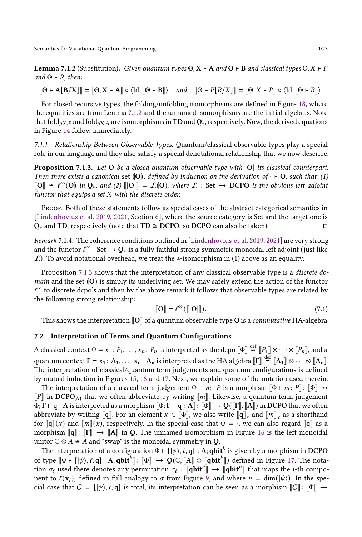<span id="page-22-0"></span>**Lemma 7.1.2** (Substitution). Given quantum types  $\Theta$ ,  $X \vdash A$  and  $\Theta \vdash B$  and classical types  $\Theta$ ,  $X \vdash P$  $and \Theta \vdash R, then:$ 

$$
\llbracket \Theta \vdash A[B/X] \rrbracket = \llbracket \Theta, X \vdash A \rrbracket \circ \langle \mathrm{Id}, \llbracket \Theta \vdash B \rrbracket \rangle \quad \text{and} \quad \llbracket \Theta \vdash P[R/X] \rrbracket = \llbracket \Theta, X \vdash P \rrbracket \circ \langle \mathrm{Id}, \llbracket \Theta \vdash R \rrbracket \rangle.
$$

For closed recursive types, the folding/unfolding isomorphisms are defined in Figure [18,](#page-21-0) where the equalities are from Lemma [7.1.2](#page-22-0) and the unnamed isomorphisms are the initial algebras. Note that fold<sub>uX.P</sub> and fold<sub>uX.A</sub> are isomorphisms in TD and  $Q_*$ , respectively. Now, the derived equations in Figure [14](#page-21-0) follow immediately.

7.1.1 Relationship Between Observable Types. Quantum/classical observable types play a special role in our language and they also satisfy a special denotational relationship that we now describe.

<span id="page-22-1"></span>**Proposition 7.1.3.** Let O be a closed quantum observable type with  $|O|$  its classical counterpart. Then there exists a canonical set  $[O]$ , defined by induction on the derivation of  $\cdot \vdash O$ , such that: (1)  $\llbracket \mathbf{O} \rrbracket \cong \ell^{\infty}(\mathsf{O})$  in  $\mathsf{Q}_*$ ; and (2)  $\llbracket |\mathbf{O}| \rrbracket = \mathcal{L}(\mathsf{O})$ , where  $\mathcal{L} : \mathsf{Set} \to \mathsf{DCPO}$  is the obvious left adjoint functor that equips a set  $X$  with the discrete order.

PROOF. Both of these statements follow as special cases of the abstract categorical semantics in [\[Lindenhovius et al. 2019,](#page-26-27) [2021](#page-26-26), Section 6], where the source category is Set and the target one is  $Q_*$  and TD, respectively (note that TD  $\cong$  DCPO, so DCPO can also be taken).  $□$ 

<span id="page-22-2"></span>Remark 7.1.4. The coherence conditions outlined in [\[Lindenhovius et al. 2019,](#page-26-27) [2021](#page-26-26)] are very strong and the functor  $\ell^{\infty} :$  Set  $\to Q_*$  is a fully faithful strong symmetric monoidal left adjoint (just like  $\mathcal{L}$ ). To avoid notational overhead, we treat the ∗-isomorphism in (1) above as an equality.

Proposition [7.1.3](#page-22-1) shows that the interpretation of any classical observable type is a *discrete domain* and the set  $[O]$  is simply its underlying set. We may safely extend the action of the functor  $\ell^{\infty}$  to discrete dcpo's and then by the above remark it follows that observable types are related by the following strong relationship:

$$
\llbracket \mathbf{O} \rrbracket = \ell^{\infty}(\llbracket |\mathbf{O}| \rrbracket). \tag{7.1}
$$

This shows the interpretation  $\llbracket \textbf{O} \rrbracket$  of a quantum observable type **O** is a *commutative* HA-algebra.

### 7.2 Interpretation of Terms and Quantum Configurations

A classical context  $\Phi = x_1\colon P_1,\ldots,x_n\colon P_n$  is interpreted as the dcpo  $\llbracket \Phi \rrbracket \stackrel{\text{def}}{=} \llbracket P_1 \rrbracket \times \cdots \times \llbracket P_n \rrbracket,$  and a quantum context  $\Gamma={\bf x_1}\colon A_1,\ldots,{\bf x_n}\colon A_n$  is interpreted as the HA algebra  $\llbracket\Gamma\rrbracket\stackrel{\rm def}{=}\llbracket A_1\rrbracket\otimes\cdots\otimes\llbracket A_n\rrbracket.$ The interpretation of classical/quantum term judgements and quantum configurations is defined by mutual induction in Figures [15,](#page-21-0) [16](#page-21-0) and [17.](#page-21-0) Next, we explain some of the notation used therein.

The interpretation of a classical term judgement  $\Phi \vdash m : P$  is a morphism  $[\![\Phi \vdash m : P] \!] : [\![\Phi]\!] \rightarrow$  $\llbracket P \rrbracket$  in DCPO<sub>M</sub> that we often abbreviate by writing  $\llbracket m \rrbracket$ . Likewise, a quantum term judgement  $\Phi$ ;  $\Gamma \vdash q : A$  is interpreted as a morphism  $\lbrack\lbrack \Phi \rbrack \rbrack \rightarrow R \rbrack$ :  $\lbrack\lbrack \Gamma \rbrack \rbrack$ ,  $\lbrack\lbrack \Gamma \rbrack \rbrack$ ,  $\lbrack\lbrack A \rbrack \rbrack$ ) in DCPO that we often abbreviate by writing  $[\![\mathbf{q}]\!]$ . For an element  $x \in [\![\Phi]\!]$ , we also write  $[\![\mathbf{q}]\!]_x$  and  $[\![m]\!]_x$  as a shorthand for  $\llbracket \mathbf{q} \rrbracket(x)$  and  $\llbracket m \rrbracket(x)$ , respectively. In the special case that  $\Phi = \cdot$ , we can also regard  $\llbracket \mathbf{q} \rrbracket$  as a morphism  $\llbracket q \rrbracket$  :  $\llbracket \Gamma \rrbracket \rightarrow \llbracket A \rrbracket$  in Q. The unnamed isomorphism in Figure [16](#page-21-0) is the left monoidal unitor  $\mathbb{C} \otimes A \cong A$  and "swap" is the monoidal symmetry in Q.

The interpretation of a configuration  $\Phi \vdash [ \ket{\psi},\ell,\mathbf{q}] : \mathbf{A};\mathbf{qbit}^k$  is given by a morphism in  $\mathbf{DCPO}$ of type  $[\![\Phi\vdash[[\psi\rangle,\ell,\mathsf{q}]\!]:\mathrm{A};\mathsf{qbit}^k]\!] \colon [\![\Phi]\!] \,\to\, \mathrm{Q}(\mathbb{C}, [\![\mathrm{A}]\!]\otimes [\![\mathsf{qbit}^k]\!])$  defined in Figure [17.](#page-21-0) The notation  $\sigma_\ell$  used there denotes any permutation  $\sigma_\ell : \llbracket \mathbf{qbit}^n \rrbracket \to \llbracket \mathbf{qbit}^n \rrbracket$  that maps the *i*-th component to  $\ell(\mathbf{x}_i)$ , defined in full analogy to  $\sigma$  from Figure [9,](#page-7-0) and where  $n = \dim(\ket{\psi})$ . In the special case that  $C = [|\psi\rangle, \ell, q]$  is total, its interpretation can be seen as a morphism  $\|C\|$ :  $\|\Phi\| \to$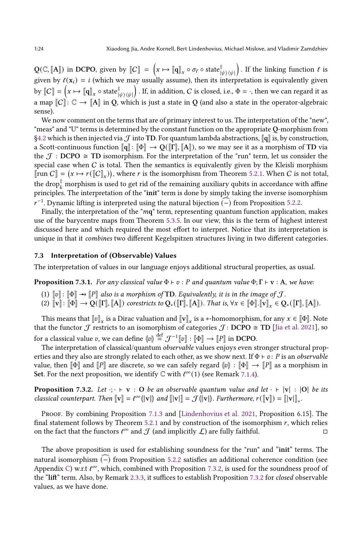$Q(\mathbb{C}, [\![A]\!])$  in DCPO, given by  $[\![C]\!] = \Big(x \mapsto [\![q]\!]_x \circ \sigma_\ell \circ {\rm state}^\ddagger_{|\psi\rangle\langle\psi|}$ ). If the linking function  $\ell$  is given by  $\ell(\mathbf{x}_i) = i$  (which we may usually assume), then its interpretation is equivalently given by  $\llbracket C \rrbracket = \left( x \mapsto \llbracket \mathbf{q} \rrbracket_x \circ \text{state}^\ddagger_{\mid \psi \rangle \langle \psi \mid} \right)$ . If, in addition, C is closed, i.e.,  $\Phi = \cdot$ , then we can regard it as a map  $\llbracket C \rrbracket$ :  $\mathbb{C} \to \llbracket A \rrbracket$  in Q, which is just a state in Q (and also a state in the operator-algebraic sense).

We now comment on the terms that are of primary interest to us. The interpretation of the "new", "meas" and "U" terms is determined by the constant function on the appropriate Q-morphism from [§4.2](#page-12-1) which is then injected via  $\mathcal J$  into TD. For quantum lambda abstractions,  $\llbracket q \rrbracket$  is, by construction, a Scott-continuous function  $\llbracket \mathbf{q} \rrbracket : \llbracket \Phi \rrbracket \to \mathbf{Q}(\llbracket \mathbf{\Gamma} \rrbracket, \llbracket \mathbf{A} \rrbracket)$ , so we may see it as a morphism of TD via the  $\mathcal J$  : DCPO  $\cong$  TD isomorphism. For the interpretation of the "run" term, let us consider the special case when  $C$  is total. Then the semantics is equivalently given by the Kleisli morphism  $\[\text{run } C\] = (x \mapsto r(\llbracket C \rrbracket_x)),$  where r is the isomorphism from Theorem [5.2.1.](#page-15-1) When C is not total, the drop $^{\ddagger}_k$  morphism is used to get rid of the remaining auxiliary qubits in accordance with affine principles. The interpretation of the "init" term is done by simply taking the inverse isomorphism  $r^{-1}$ . Dynamic lifting is interpreted using the natural bijection  $\widehat{(-)}$  from Proposition [5.2.2.](#page-15-2)

Finally, the interpretation of the " $mq$ " term, representing quantum function application, makes use of the barycentre maps from Theorem [5.3.5.](#page-16-1) In our view, this is the term of highest interest discussed here and which required the most effort to interpret. Notice that its interpretation is unique in that it combines two different Kegelspitzen structures living in two different categories.

#### Interpretation of (Observable) Values

The interpretation of values in our language enjoys additional structural properties, as usual.

**Proposition 7.3.1.** For any classical value  $\Phi \vdash v : P$  and quantum value  $\Phi$ ;  $\Gamma \vdash v : A$ , we have:

- (1)  $\llbracket v \rrbracket$ :  $\llbracket \Phi \rrbracket \rightarrow \llbracket P \rrbracket$  also is a morphism of **TD**. Equivalently, it is in the image of  $\mathcal{J}$ .
- (2)  $\[\![\mathbf{v}\]] : \[\![\Phi]\!] \to \mathbf{Q}(\[\![\Gamma]\!], \[\![\mathbf{A}]\!])$  corestricts to  $\mathbf{Q}_*(\[\![\Gamma]\!], \[\![\mathbf{A}]\!])$ . That is,  $\forall x \in [\![\Phi]\!], \[\![\mathbf{v}\!]_x \in \mathbf{Q}_*(\[\![\Gamma]\!], \[\![\mathbf{A}]\!]).$

This means that  $[\![v]\!]_x$  is a Dirac valuation and  $[\![v]\!]_x$  is a ∗-homomorphism, for any  $x \in [\![\Phi]\!]$ . Note that the functor  $\mathcal J$  restricts to an isomorphism of categories  $\mathcal J$ : DCPO  $\cong$  TD [\[Jia et al. 2021\]](#page-26-3), so for a classical value  $v,$  we can define  $\llbracket v \rrbracket \stackrel{\text{def}}{=} \mathcal{J}^{-1} \llbracket v \rrbracket : \llbracket \Phi \rrbracket \to \llbracket P \rrbracket$  in  $\text{DCPO}.$ 

The interpretation of classical/quantum observable values enjoys even stronger structural properties and they also are strongly related to each other, as we show next. If  $\Phi \vdash v : P$  is an *observable* value, then  $\llbracket \Phi \rrbracket$  and  $\llbracket P \rrbracket$  are discrete, so we can safely regard  $\llbracket \psi \rrbracket$  :  $\llbracket \Phi \rrbracket \to \llbracket P \rrbracket$  as a morphism in Set. For the next proposition, we identify  $\mathbb C$  with  $\ell^\infty(1)$  (see Remark [7.1.4\)](#page-22-2).

<span id="page-23-0"></span>**Proposition** 7.3.2. Let  $\cdot$ ;  $\cdot \cdot \cdot$  v : O be an observable quantum value and let  $\cdot \cdot \cdot |v|$  :  $|O|$  be its classical counterpart. Then  $\llbracket v \rrbracket = t^{\infty}(\llbracket v \rrbracket)$  and  $\llbracket \llbracket v \rrbracket = \mathcal{J}(\llbracket v \rrbracket)$ . Furthermore,  $r(\llbracket v \rrbracket) = \llbracket \llbracket v \rrbracket_*$ .

Proof. By combining Proposition [7.1.3](#page-22-1) and [\[Lindenhovius et al. 2021,](#page-26-26) Proposition 6.15]. The final statement follows by Theorem [5.2.1](#page-15-1) and by construction of the isomorphism  $r$ , which relies on the fact that the functors  $\ell^\infty$  and  $\mathcal J$  (and implicitly  $\mathcal L$ ) are fully faithful.  $\hskip10mm \square$ 

The above proposition is used for establishing soundness for the "run" and "init" terms. The natural isomorphism (−) from Proposition [5.2.2](#page-15-2) satisfies an additional coherence condition (see Appendix [C\)](#page-39-0) w.r.t  $\ell^{\infty}$ , which, combined with Proposition [7.3.2,](#page-23-0) is used for the soundness proof of the "lift" term. Also, by Remark [2.3.3,](#page-8-1) it suffices to establish Proposition [7.3.2](#page-23-0) for closed observable values, as we have done.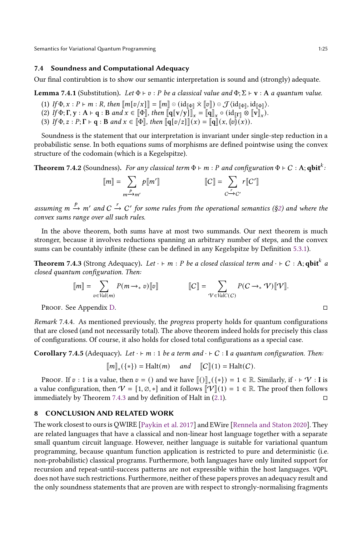# 7.4 Soundness and Computational Adequacy

Our final contirubtion is to show our semantic interpretation is sound and (strongly) adequate.

<span id="page-24-2"></span>**Lemma 7.4.1** (Substitution). Let  $\Phi \vdash v : P$  be a classical value and  $\Phi; \Sigma \vdash v : A$  a quantum value.

(1) If  $\Phi, x : P \vdash m : R$ , then  $\llbracket m[v/x] \rrbracket = \llbracket m \rrbracket \circ (\mathrm{id}_{\llbracket \Phi \rrbracket} \times \llbracket v \rrbracket) \circ \mathcal{J} \langle \mathrm{id}_{\llbracket \Phi \rrbracket}, \mathrm{id}_{\llbracket \Phi \rrbracket} \rangle.$ (2) If  $\Phi$ ;  $\Gamma$ ,  $y$  :  $A \vdash q$  :  $B$  and  $x \in [\![\Phi]\!]$ , then  $[\![q[\![v/y]\!]] \!]_x = [\![q]\!]_x \circ (\mathrm{id}_{[\![\Gamma]\!]}) \otimes [\![v]\!]_x$ . (3) If  $\Phi$ ,  $z : P$ ;  $\Gamma \vdash q : B$  and  $x \in [\![\Phi]\!]$ , then  $[\![q][v/z]]\!] (x) = [\![q]\!] (x, \{\!\{v\}\!\}(x))$ .

Soundness is the statement that our interpretation is invariant under single-step reduction in a probabilistic sense. In both equations sums of morphisms are defined pointwise using the convex structure of the codomain (which is a Kegelspitze).

**Theorem 7.4.2** (Soundness). For any classical term  $\Phi \vdash m : P$  and configuration  $\Phi \vdash C : A; \textbf{qbit}^k :$ 

$$
\llbracket m \rrbracket = \sum_{\substack{p \\ m \to m'}} p \llbracket m' \rrbracket \qquad \qquad \llbracket C \rrbracket = \sum_{C \to C'} r \llbracket C' \rrbracket
$$

assuming m  $\stackrel{p}{\to}$  m' and  $C \stackrel{r}{\to} C'$  for some rules from the operational semantics ([§2\)](#page-1-0) and where the convex sums range over all such rules.

In the above theorem, both sums have at most two summands. Our next theorem is much stronger, because it involves reductions spanning an arbitrary number of steps, and the convex sums can be countably infinite (these can be defined in any Kegelspitze by Definition [5.3.1\)](#page-16-4).

<span id="page-24-1"></span>**Theorem 7.4.3** (Strong Adequacy). Let  $\cdot \vdash m : P$  be a closed classical term and  $\cdot \vdash C :$  A;  $\mathbf{qbit}^k$  a closed quantum configuration. Then:

$$
\llbracket m \rrbracket = \sum_{v \in Val(m)} P(m \rightarrow_* v) \llbracket v \rrbracket \qquad \qquad \llbracket C \rrbracket = \sum_{\mathcal{V} \in ValC(C)} P(C \rightarrow_* \mathcal{V}) \llbracket \mathcal{V} \rrbracket.
$$

Proof. See Appendix [D.](#page-41-0)

Remark 7.4.4. As mentioned previously, the progress property holds for quantum configurations that are closed (and not necessarily total). The above theorem indeed holds for precisely this class of configurations. Of course, it also holds for closed total configurations as a special case.

Corollary 7.4.5 (Adequacy). Let  $\cdot \vdash m: 1$  be a term and  $\cdot \vdash C: I$  a quantum configuration. Then:

$$
[\![m]\!]_*(\{*\}) = \text{Halt}(m) \quad \text{and} \quad [\![C]\!](1) = \text{Halt}(C).
$$

Proof. If  $v : 1$  is a value, then  $v = ()$  and we have  $[[()]]_*(\{*\}) = 1 \in \mathbb{R}$ . Similarly, if  $\cdot \vdash \mathcal{V} : I$  is a value configuration, then  $V = [1, \emptyset, *]$  and it follows  $\lVert \mathcal{V} \rVert(1) = 1 \in \mathbb{R}$ . The proof then follows  $\Box$  immediately by Theorem [7.4.3](#page-24-1) and by definition of Halt in [\(2.1\)](#page-8-2).

# <span id="page-24-0"></span>8 CONCLUSION AND RELATED WORK

The work closest to ours is QWIRE [\[Paykin et al. 2017\]](#page-26-6) and EWire [\[Rennela and Staton 2020](#page-26-7)]. They are related languages that have a classical and non-linear host language together with a separate small quantum circuit language. However, neither language is suitable for variational quantum programming, because quantum function application is restricted to pure and deterministic (i.e. non-probabilistic) classical programs. Furthermore, both languages have only limited support for recursion and repeat-until-success patterns are not expressible within the host languages. VQPL does not have such restrictions. Furthermore, neither of these papers proves an adequacy result and the only soundness statements that are proven are with respect to strongly-normalising fragments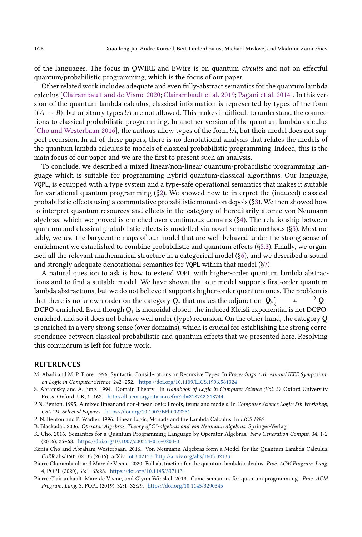of the languages. The focus in QWIRE and EWire is on quantum circuits and not on effectful quantum/probabilistic programming, which is the focus of our paper.

Other related work includes adequate and even fully-abstract semantics for the quantum lambda calculus [\[Clairambault and de Visme 2020;](#page-25-8) [Clairambault et al. 2019](#page-25-3); [Pagani et al. 2014](#page-26-9)]. In this version of the quantum lambda calculus, classical information is represented by types of the form !( $A \rightarrow B$ ), but arbitrary types !A are not allowed. This makes it difficult to understand the connections to classical probabilistic programming. In another version of the quantum lambda calculus [\[Cho and Westerbaan 2016\]](#page-25-6), the authors allow types of the form !A, but their model does not support recursion. In all of these papers, there is no denotational analysis that relates the models of the quantum lambda calculus to models of classical probabilistic programming. Indeed, this is the main focus of our paper and we are the first to present such an analysis.

To conclude, we described a mixed linear/non-linear quantum/probabilistic programming language which is suitable for programming hybrid quantum-classical algorithms. Our language, VQPL, is equipped with a type system and a type-safe operational semantics that makes it suitable for variational quantum programming ([§2\)](#page-1-0). We showed how to interpret the (induced) classical probabilistic effects using a commutative probabilistic monad on dcpo's ([§3\)](#page-9-0). We then showed how to interpret quantum resources and effects in the category of hereditarily atomic von Neumann algebras, which we proved is enriched over continuous domains ([§4\)](#page-11-0). The relationship between quantum and classical probabilistic effects is modelled via novel semantic methods ([§5\)](#page-14-1). Most notably, we use the barycentre maps of our model that are well-behaved under the strong sense of enrichment we established to combine probabilistic and quantum effects ([§5.3\)](#page-15-3). Finally, we organised all the relevant mathematical structure in a categorical model ([§6\)](#page-16-0), and we described a sound and strongly adequate denotational semantics for VQPL within that model ([§7\)](#page-20-0).

A natural question to ask is how to extend VQPL with higher-order quantum lambda abstractions and to find a suitable model. We have shown that our model supports first-order quantum lambda abstractions, but we do not believe it supports higher-order quantum ones. The problem is that there is no known order on the category Q<sub>∗</sub> that makes the adjunction  $Q_*$  <del>⊥</del>  $\rightarrow$  0 DCPO-enriched. Even though Q<sub>∗</sub> is monoidal closed, the induced Kleisli exponential is not DCPOenriched, and so it does not behave well under (type) recursion. On the other hand, the category Q is enriched in a very strong sense (over domains), which is crucial for establishing the strong correspondence between classical probabilistic and quantum effects that we presented here. Resolving this conundrum is left for future work.

#### REFERENCES

- <span id="page-25-2"></span>M. Abadi and M. P. Fiore. 1996. Syntactic Considerations on Recursive Types. In Proceedings 11th Annual IEEE Symposium on Logic in Computer Science. 242–252. <https://doi.org/10.1109/LICS.1996.561324>
- <span id="page-25-4"></span>S. Abramsky and A. Jung. 1994. Domain Theory. In Handbook of Logic in Computer Science (Vol. 3). Oxford University Press, Oxford, UK, 1–168. <http://dl.acm.org/citation.cfm?id=218742.218744>
- <span id="page-25-0"></span>P.N. Benton. 1995. A mixed linear and non-linear logic: Proofs, terms and models. In Computer Science Logic: 8th Workshop, CSL '94, Selected Papaers. <https://doi.org/10.1007/BFb0022251>
- <span id="page-25-1"></span>P. N. Benton and P. Wadler. 1996. Linear Logic, Monads and the Lambda Calculus. In LICS 1996.
- <span id="page-25-5"></span>B. Blackadar. 2006. Operator Algebras: Theory of C\*-algebras and von Neumann algebras. Springer-Verlag.
- <span id="page-25-7"></span>K. Cho. 2016. Semantics for a Quantum Programming Language by Operator Algebras. New Generation Comput. 34, 1-2 (2016), 25–68. <https://doi.org/10.1007/s00354-016-0204-3>
- <span id="page-25-6"></span>Kenta Cho and Abraham Westerbaan. 2016. Von Neumann Algebras form a Model for the Quantum Lambda Calculus. CoRR abs/1603.02133 (2016). arXiv[:1603.02133](https://arxiv.org/abs/1603.02133)<http://arxiv.org/abs/1603.02133>
- <span id="page-25-8"></span>Pierre Clairambault and Marc de Visme. 2020. Full abstraction for the quantum lambda-calculus. Proc. ACM Program. Lang. 4, POPL (2020), 63:1–63:28. <https://doi.org/10.1145/3371131>
- <span id="page-25-3"></span>Pierre Clairambault, Marc de Visme, and Glynn Winskel. 2019. Game semantics for quantum programming. Proc. ACM Program. Lang. 3, POPL (2019), 32:1–32:29. <https://doi.org/10.1145/3290345>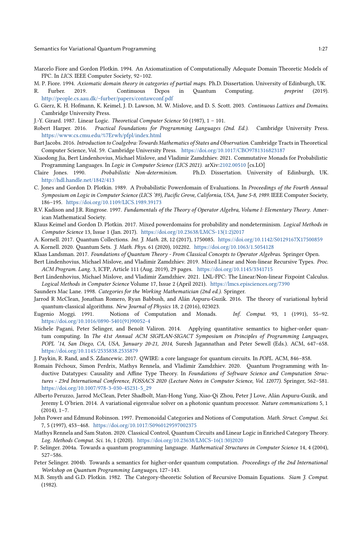- <span id="page-26-8"></span>Marcelo Fiore and Gordon Plotkin. 1994. An Axiomatization of Computationally Adequate Domain Theoretic Models of FPC. In LICS. IEEE Computer Society, 92–102.
- <span id="page-26-10"></span>M. P. Fiore. 1994. Axiomatic domain theory in categories of partial maps. Ph.D. Dissertation. University of Edinburgh, UK.
- <span id="page-26-20"></span>R. Furber. 2019. Continuous Dcpos in Quantum Computing. *preprint* (2019). <http://people.cs.aau.dk/~furber/papers/contawconf.pdf>
- <span id="page-26-13"></span>G. Gierz, K. H. Hofmann, K. Keimel, J. D. Lawson, M. W. Mislove, and D. S. Scott. 2003. Continuous Lattices and Domains. Cambridge University Press.
- <span id="page-26-2"></span>J.-Y. Girard. 1987. Linear Logic. Theoretical Computer Science 50 (1987), 1 – 101.
- <span id="page-26-12"></span>Robert Harper. 2016. Practical Foundations for Programming Languages (2nd. Ed.). Cambridge University Press. <https://www.cs.cmu.edu/%7Erwh/pfpl/index.html>
- <span id="page-26-21"></span>Bart Jacobs. 2016. Introduction to Coalgebra: Towards Mathematics of States and Observation. Cambridge Tracts in Theoretical Computer Science, Vol. 59. Cambridge University Press. <https://doi.org/10.1017/CBO9781316823187>
- <span id="page-26-3"></span>Xiaodong Jia, Bert Lindenhovius, Michael Mislove, and Vladimir Zamdzhiev. 2021. Commutative Monads for Probabilistic Programming Languages. In Logic in Computer Science (LICS 2021). arXiv[:2102.00510](https://arxiv.org/abs/2102.00510) [cs.LO]
- <span id="page-26-14"></span>Claire Jones. 1990. Probabilistic Non-determinism. Ph.D. Dissertation. University of Edinburgh, UK. <http://hdl.handle.net/1842/413>
- <span id="page-26-15"></span>C. Jones and Gordon D. Plotkin. 1989. A Probabilistic Powerdomain of Evaluations. In Proceedings of the Fourth Annual Symposium on Logic in Computer Science (LICS '89), Pacific Grove, California, USA, June 5-8, 1989. IEEE Computer Society, 186–195. <https://doi.org/10.1109/LICS.1989.39173>
- <span id="page-26-16"></span>R.V. Kadison and J.R. Ringrose. 1997. Fundamentals of the Theory of Operator Algebra, Volume I: Elementary Theory. American Mathematical Society.
- <span id="page-26-4"></span>Klaus Keimel and Gordon D. Plotkin. 2017. Mixed powerdomains for probability and nondeterminism. Logical Methods in Computer Science 13, Issue 1 (Jan. 2017). [https://doi.org/10.23638/LMCS-13\(1:2\)2017](https://doi.org/10.23638/LMCS-13(1:2)2017)
- <span id="page-26-28"></span>A. Kornell. 2017. Quantum Collections. Int. J. Math. 28, 12 (2017), 1750085. <https://doi.org/10.1142/S0129167X17500859>
- <span id="page-26-17"></span>A. Kornell. 2020. Quantum Sets. J. Math. Phys. 61 (2020), 102202. <https://doi.org/10.1063/1.5054128>
- <span id="page-26-18"></span>Klaas Landsman. 2017. Foundations of Quantum Theory - From Classical Concepts to Operator Algebras. Springer Open.
- <span id="page-26-27"></span>Bert Lindenhovius, Michael Mislove, and Vladimir Zamdzhiev. 2019. Mixed Linear and Non-linear Recursive Types. Proc. ACM Program. Lang. 3, ICFP, Article 111 (Aug. 2019), 29 pages. <https://doi.org/10.1145/3341715>
- <span id="page-26-26"></span>Bert Lindenhovius, Michael Mislove, and Vladimir Zamdzhiev. 2021. LNL-FPC: The Linear/Non-linear Fixpoint Calculus. Logical Methods in Computer Science Volume 17, Issue 2 (April 2021). <https://lmcs.episciences.org/7390>
- <span id="page-26-24"></span>Saunders Mac Lane. 1998. Categories for the Working Mathematician (2nd ed.). Springer.
- <span id="page-26-0"></span>Jarrod R McClean, Jonathan Romero, Ryan Babbush, and Alán Aspuru-Guzik. 2016. The theory of variational hybrid quantum-classical algorithms. New Journal of Physics 18, 2 (2016), 023023.
- <span id="page-26-23"></span>Eugenio Moggi. 1991. Notions of Computation and Monads. Inf. Comput. 93, 1 (1991), 55–92. [https://doi.org/10.1016/0890-5401\(91\)90052-4](https://doi.org/10.1016/0890-5401(91)90052-4)
- <span id="page-26-9"></span>Michele Pagani, Peter Selinger, and Benoît Valiron. 2014. Applying quantitative semantics to higher-order quantum computing. In The 41st Annual ACM SIGPLAN-SIGACT Symposium on Principles of Programming Languages, POPL '14, San Diego, CA, USA, January 20-21, 2014, Suresh Jagannathan and Peter Sewell (Eds.). ACM, 647–658. <https://doi.org/10.1145/2535838.2535879>
- <span id="page-26-6"></span>J. Paykin, R. Rand, and S. Zdancewic. 2017. QWIRE: a core language for quantum circuits. In POPL. ACM, 846–858.
- <span id="page-26-5"></span>Romain Péchoux, Simon Perdrix, Mathys Rennela, and Vladimir Zamdzhiev. 2020. Quantum Programming with Inductive Datatypes: Causality and Affine Type Theory. In Foundations of Software Science and Computation Structures - 23rd International Conference, FOSSACS 2020 (Lecture Notes in Computer Science, Vol. 12077). Springer, 562–581. [https://doi.org/10.1007/978-3-030-45231-5\\_29](https://doi.org/10.1007/978-3-030-45231-5_29)
- <span id="page-26-1"></span>Alberto Peruzzo, Jarrod McClean, Peter Shadbolt, Man-Hong Yung, Xiao-Qi Zhou, Peter J Love, Alán Aspuru-Guzik, and Jeremy L O'brien. 2014. A variational eigenvalue solver on a photonic quantum processor. Nature communications 5, 1 (2014), 1–7.
- <span id="page-26-22"></span>John Power and Edmund Robinson. 1997. Premonoidal Categories and Notions of Computation. Math. Struct. Comput. Sci. 7, 5 (1997), 453–468. <https://doi.org/10.1017/S0960129597002375>
- <span id="page-26-7"></span>Mathys Rennela and Sam Staton. 2020. Classical Control, Quantum Circuits and Linear Logic in Enriched Category Theory. Log. Methods Comput. Sci. 16, 1 (2020). [https://doi.org/10.23638/LMCS-16\(1:30\)2020](https://doi.org/10.23638/LMCS-16(1:30)2020)
- <span id="page-26-11"></span>P. Selinger. 2004a. Towards a quantum programming language. Mathematical Structures in Computer Science 14, 4 (2004), 527–586.
- <span id="page-26-19"></span>Peter Selinger. 2004b. Towards a semantics for higher-order quantum computation. Proceedings of the 2nd International Workshop on Quantum Programming Languages, 127–143.
- <span id="page-26-25"></span>M.B. Smyth and G.D. Plotkin. 1982. The Category-theoretic Solution of Recursive Domain Equations. Siam J. Comput. (1982).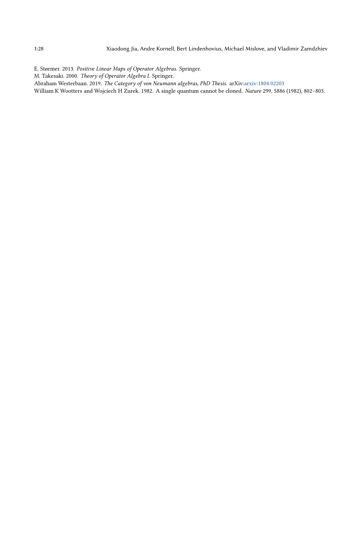- <span id="page-27-3"></span>E. Størmer. 2013. Positive Linear Maps of Operator Algebras. Springer.
- <span id="page-27-1"></span>M. Takesaki. 2000. Theory of Operator Algebra I. Springer.
- <span id="page-27-2"></span>Abraham Westerbaan. 2019. The Category of von Neumann algebras, PhD Thesis. arXiv[:arxiv:1804.02203](https://arxiv.org/abs/arxiv:1804.02203)
- <span id="page-27-0"></span>William K Wootters and Wojciech H Zurek. 1982. A single quantum cannot be cloned. Nature 299, 5886 (1982), 802–803.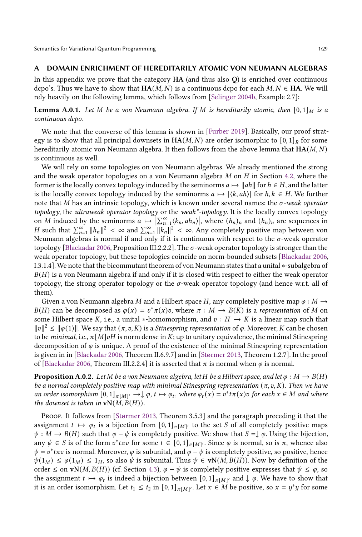# <span id="page-28-0"></span>A DOMAIN ENRICHMENT OF HEREDITARILY ATOMIC VON NEUMANN ALGEBRAS

In this appendix we prove that the category  $HA$  (and thus also  $Q$ ) is enriched over continuous dcpo's. Thus we have to show that  $HA(M, N)$  is a continuous dcpo for each  $M, N \in HA$ . We will rely heavily on the following lemma, which follows from [\[Selinger 2004b,](#page-26-19) Example 2.7]:

<span id="page-28-1"></span>**Lemma A.0.1.** Let M be a von Neumann algebra. If M is hereditarily atomic, then  $[0,1]_M$  is a continuous dcpo.

We note that the converse of this lemma is shown in [\[Furber 2019\]](#page-26-20). Basically, our proof strategy is to show that all principal downsets in  $HA(M, N)$  are order isomorphic to [0, 1]<sub>R</sub> for some hereditarily atomic von Neumann algebra. It then follows from the above lemma that  $HA(M, N)$ is continuous as well.

We will rely on some topologies on von Neumann algebras. We already mentioned the strong and the weak operator topologies on a von Neumann algebra  $M$  on  $H$  in Section [4.2,](#page-12-1) where the former is the locally convex topology induced by the seminorms  $a \mapsto ||ah||$  for  $h \in H$ , and the latter is the locally convex topology induced by the seminorms  $a \mapsto |\langle k, ah \rangle|$  for  $h, k \in H$ . We further note that M has an intrinsic topology, which is known under several names: the  $\sigma$ -weak operator topology, the *ultraweak operator topology* or the *weak*<sup>\*</sup>-topology. It is the locally convex topology on M induced by the seminorms  $a \mapsto \left[\sum_{n=1}^{\infty} (k_n, ah_n)\right]$ , where  $(h_n)_n$  and  $(k_n)_n$  are sequences in H such that  $\sum_{n=1}^{\infty} ||h_n||^2 < \infty$  and  $\sum_{n=1}^{\infty} ||k_n||^2 < \infty$ . Any completely positive map between von Neumann algebras is normal if and only if it is continuous with respect to the  $\sigma$ -weak operator topology [\[Blackadar 2006,](#page-25-5) Proposition III.2.2.2]. The  $\sigma$ -weak operator topology is stronger than the weak operator topology, but these topologies coincide on norm-bounded subsets [\[Blackadar 2006](#page-25-5), I.3.1.4].We note that the bicommutant theorem of von Neumann states that a unital ∗-subalgebra of  $B(H)$  is a von Neumann algebra if and only if it is closed with respect to either the weak operator topology, the strong operator topology or the  $\sigma$ -weak operator topology (and hence w.r.t. all of them).

Given a von Neumann algebra M and a Hilbert space H, any completely positive map  $\varphi : M \to$  $B(H)$  can be decomposed as  $\varphi(x) = v^*\pi(x)v$ , where  $\pi : M \to B(K)$  is a representation of M on some Hilbert space K, i.e., a unital ∗-homomorphism, and  $v : H \to K$  is a linear map such that  $||v||^2 \le ||\varphi(1)||$ . We say that  $(\pi, v, K)$  is a Stinespring representation of  $\varphi$ . Moreover, K can be chosen to be *minimal*, i.e.,  $\pi[M]\nu H$  is norm dense in K; up to unitary equivalence, the minimal Stinespring decomposition of  $\varphi$  is unique. A proof of the existence of the minimal Stinespring representation is given in in [\[Blackadar 2006,](#page-25-5) Theorem II.6.9.7] and in [\[Størmer 2013,](#page-27-3) Theorem 1.2.7]. In the proof of [\[Blackadar 2006](#page-25-5), Theorem III.2.2.4] it is asserted that  $\pi$  is normal when  $\varphi$  is normal.

<span id="page-28-2"></span>**Proposition A.0.2.** Let M be a von Neumann algebra, let H be a Hilbert space, and let  $\varphi : M \to B(H)$ be a normal completely positive map with minimal Stinespring representation  $(\pi, v, K)$ . Then we have an order isomorphism  $[0,1]_{\pi[M]}$ ,  $\to \downarrow \varphi$ ,  $t \mapsto \varphi_t$ , where  $\varphi_t(x) = v^* t \pi(x) v$  for each  $x \in M$  and where the downset is taken in  $vN(M, B(H))$ .

Proof. It follows from [\[Størmer 2013,](#page-27-3) Theorem 3.5.3] and the paragraph preceding it that the assignment  $t \mapsto \varphi_t$  is a bijection from  $[0,1]_{\pi[M]}$  to the set S of all completely positive maps  $\psi : M \to B(H)$  such that  $\varphi - \psi$  is completely positive. We show that  $S = \psi \varphi$ . Using the bijection, any  $\psi \in S$  is of the form  $v^*t\pi v$  for some  $t \in [0,1]_{\pi[M]}$ . Since  $\varphi$  is normal, so is  $\pi$ , whence also  $\psi = v^* t \pi v$  is normal. Moreover,  $\varphi$  is subunital, and  $\varphi - \psi$  is completely positive, so positive, hence  $\psi(1_M) \le \varphi(1_M) \le 1_H$ , so also  $\psi$  is subunital. Thus  $\psi \in \mathbf{vN}(M, B(H))$ . Now by definition of the order ≤ on vN(*M*, *B*(*H*)) (cf. Section [4.3\)](#page-14-0),  $\varphi$  −  $\psi$  is completely positive expresses that  $\psi$  ≤  $\varphi$ , so the assignment  $t \mapsto \varphi_t$  is indeed a bijection between  $[0,1]_{\pi[M]'}$  and  $\downarrow \varphi$ . We have to show that it is an order isomorphism. Let  $t_1 \leq t_2$  in  $[0,1]_{\pi[M]'}$ . Let  $x \in M$  be positive, so  $x = y^*y$  for some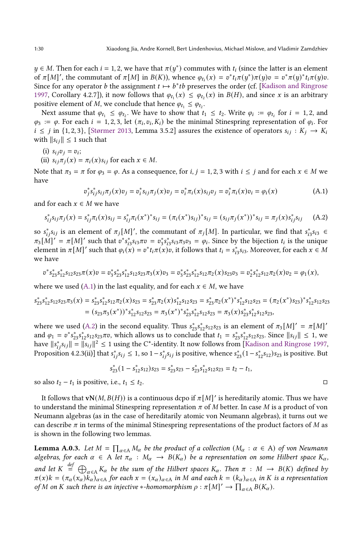$y \in M$ . Then for each  $i = 1, 2$ , we have that  $\pi(y^*)$  commutes with  $t_i$  (since the latter is an element of  $\pi[M]'$ , the commutant of  $\pi[M]$  in  $B(K)$ ), whence  $\varphi_{t_i}(x) = v^* t_i \pi(y^*) \pi(y) v = v^* \pi(y)^* t_i \pi(y) v$ . Since for any operator b the assignment  $t \mapsto b^*tb$  preserves the order (cf. [\[Kadison and Ringrose](#page-26-16) [1997](#page-26-16), Corollary 4.2.7]), it now follows that  $\varphi_{t_1}(x) \leq \varphi_{t_2}(x)$  in  $B(H)$ , and since x is an arbitrary positive element of  $M$ , we conclude that hence  $\varphi_{t_1} \leq \varphi_{t_2}$ .

Next assume that  $\varphi_{t_1} \leq \varphi_{t_2}$ . We have to show that  $t_1 \leq t_2$ . Write  $\varphi_i := \varphi_{t_i}$  for  $i = 1, 2$ , and  $\varphi_3 := \varphi$ . For each  $i = 1, 2, 3$ , let  $(\pi_i, v_i, K_i)$  be the minimal Stinespring representation of  $\varphi_i$ . For  $i \leq j$  in  $\{1, 2, 3\}$ , [\[Størmer 2013,](#page-27-3) Lemma 3.5.2] assures the existence of operators  $s_{ij}: K_j \to K_i$ with  $||s_{ij}|| \leq 1$  such that

- (i)  $s_{ij}v_j = v_i;$
- (ii)  $s_{ij}\pi_j(x) = \pi_i(x)s_{ij}$  for each  $x \in M$ .

Note that  $\pi_3 = \pi$  for  $\varphi_3 = \varphi$ . As a consequence, for *i*, *j* = 1, 2, 3 with  $i \leq j$  and for each  $x \in M$  we have

<span id="page-29-0"></span>
$$
v_j^* s_{ij}^* s_{ij} \pi_j(x) v_j = v_i^* s_{ij} \pi_j(x) v_j = v_i^* \pi_i(x) s_{ij} v_j = v_i^* \pi_i(x) v_i = \varphi_i(x)
$$
 (A.1)

and for each  $x \in M$  we have

<span id="page-29-1"></span>
$$
s_{ij}^* s_{ij} \pi_j(x) = s_{ij}^* \pi_i(x) s_{ij} = s_{ij}^* \pi_i(x^*)^* s_{ij} = (\pi_i(x^*) s_{ij})^* s_{ij} = (s_{ij} \pi_j(x^*))^* s_{ij} = \pi_j(x) s_{ij}^* s_{ij}
$$
 (A.2)

so  $s_{ij}^*s_{ij}$  is an element of  $\pi_j[M]'$ , the commutant of  $\pi_j[M]$ . In particular, we find that  $s_{i3}^*s_{i3} \in$  $\pi_3[\tilde{M}]' = \pi[M]'$  such that  $v^*s_{i3}^*s_{i3}\pi v = v_3^*s_{i3}^*s_{i3}\pi_3 v_3 = \varphi_i$ . Since by the bijection  $t_i$  is the unique element in  $\pi[M]'$  such that  $\varphi_i(x) = v^* t_i \pi(x)v$ , it follows that  $t_i = s^*_{i3} s_{i3}$ . Moreover, for each  $x \in M$ we have

$$
v^*s_{23}^*s_{12}^*s_{12}s_{23}\pi(x)v=v_3^*s_{23}^*s_{12}^*s_{12}s_{23}\pi_3(x)v_3=v_3^*s_{23}^*s_{12}^*s_{12}\pi_2(x)s_{23}v_3=v_2^*s_{12}^*s_{12}\pi_2(x)v_2=\varphi_1(x),
$$

where we used [\(A.1\)](#page-29-0) in the last equality, and for each  $x \in M$ , we have

$$
s_{23}^*s_{12}^*s_{12}s_{23}\pi_3(x) = s_{23}^*s_{12}^*s_{12}\pi_2(x)s_{23} = s_{23}^*\pi_2(x)s_{12}^*s_{12}s_{23} = s_{23}^*\pi_2(x^*)^*s_{12}^*s_{12}s_{12}s_{23} = (\pi_2(x^*)s_{23})^*s_{12}^*s_{12}s_{12}s_{23}
$$
  
=  $(s_{23}\pi_3(x^*))^*s_{12}^*s_{12}s_{23} = \pi_3(x^*)^*s_{23}^*s_{12}^*s_{12}s_{23} = \pi_3(x)s_{23}^*s_{12}^*s_{12}s_{23}$ ,

where we used [\(A.2\)](#page-29-1) in the second equality. Thus  $s_{23}^* s_{12}^* s_{12} s_{23}$  is an element of  $\pi_3[M]' = \pi[M]'$ and  $\varphi_1 = v^* s_{23}^* s_{12}^* s_{12} s_{23} \pi v$ , which allows us to conclude that  $t_1 = s_{23}^* s_{12}^* s_{12} s_{23}$ . Since  $||s_{ij}|| \le 1$ , we have  $||s_{ij}^* s_{ij}|| = ||s_{ij}||^2 \le 1$  using the C\*-identity. It now follows from [\[Kadison and Ringrose 1997](#page-26-16), Proposition 4.2.3(ii)] that  $s_{ij}^* s_{ij} \leq 1$ , so  $1-s_{ij}^* s_{ij}$  is positive, whence  $s_{23}^*(1-s_{12}^* s_{12}) s_{23}$  is positive. But

$$
s_{23}^*(1-s_{12}^*s_{12})s_{23}=s_{23}^*s_{23}-s_{23}^*s_{12}^*s_{12}s_{23}=t_2-t_1,
$$

so also  $t_2 - t_1$  is positive, i.e.,  $t_1 \leq t_2$ .

It follows that  $vN(M, B(H))$  is a continuous dcpo if  $\pi[M]'$  is hereditarily atomic. Thus we have to understand the minimal Stinespring representation  $\pi$  of M better. In case M is a product of von Neumann algebras (as in the case of hereditarily atomic von Neumann algebras), it turns out we can describe  $\pi$  in terms of the minimal Stinespring representations of the product factors of M as is shown in the following two lemmas.

<span id="page-29-2"></span>**Lemma A.0.3.** Let  $M = \prod_{\alpha \in A} M_{\alpha}$  be the product of a collection  $(M_{\alpha} : \alpha \in A)$  of von Neumann algebras, for each  $\alpha \in A$  let  $\pi_{\alpha} : M_{\alpha} \to B(K_{\alpha})$  be a representation on some Hilbert space  $K_{\alpha}$ , and let  $K \stackrel{def}{=} \bigoplus_{\alpha \in A} K_{\alpha}$  be the sum of the Hilbert spaces  $K_{\alpha}$ . Then  $\pi : M \to B(K)$  defined by  $\pi(x)k = (\pi_\alpha(x_\alpha)k_\alpha)_{\alpha \in A}$  for each  $x = (x_\alpha)_{\alpha \in A}$  in M and each  $k = (k_\alpha)_{\alpha \in A}$  in K is a representation of M on K such there is an injective \*-homomorphism  $\rho : \pi[M]' \to \prod_{\alpha \in A} B(K_{\alpha}).$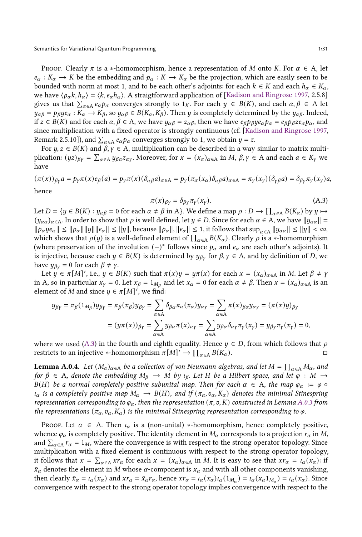Proof. Clearly  $\pi$  is a ∗-homomorphism, hence a representation of M onto K. For  $\alpha \in A$ , let  $e_{\alpha}: K_{\alpha} \to K$  be the embedding and  $p_{\alpha}: K \to K_{\alpha}$  be the projection, which are easily seen to be bounded with norm at most 1, and to be each other's adjoints: for each  $k \in K$  and each  $h_{\alpha} \in K_{\alpha}$ , we have  $\langle p_\alpha k, h_\alpha \rangle = \langle k, e_\alpha h_\alpha \rangle$ . A straigtforward application of [\[Kadison and Ringrose 1997,](#page-26-16) 2.5.8] gives us that  $\sum_{\alpha \in A} e_{\alpha} p_{\alpha}$  converges strongly to  $1_K$ . For each  $y \in B(K)$ , and each  $\alpha, \beta \in A$  let  $y_{\alpha\beta} = p_\beta y e_\alpha : K_\alpha \to K_\beta$ , so  $y_{\alpha\beta} \in B(K_\alpha, K_\beta)$ . Then y is completely determined by the  $y_{\alpha\beta}$ . Indeed, if  $z \in B(K)$  and for each  $\alpha, \beta \in A$ , we have  $y_{\alpha\beta} = z_{\alpha\beta}$ , then we have  $e_{\beta}p_{\beta}y e_{\alpha}p_{\alpha} = e_{\beta}p_{\beta}z e_{\alpha}p_{\alpha}$ , and since multiplication with a fixed operator is strongly continuous (cf. [\[Kadison and Ringrose 1997](#page-26-16), Remark 2.5.10]), and  $\sum_{\alpha \in A} e_{\alpha} p_{\alpha}$  converges strongly to 1, we obtain  $y = z$ .

For  $y, z \in B(K)$  and  $\beta, \gamma \in A$ , multiplication can be described in a way similar to matrix multiplication:  $(yz)_{\beta\gamma} = \sum_{\alpha \in A} y_{\beta\alpha} z_{\alpha\gamma}$ . Moreover, for  $x = (x_{\alpha})_{\alpha \in A}$  in  $M, \beta, \gamma \in A$  and each  $a \in K_{\gamma}$  we have

$$
(\pi(x))_{\beta\gamma}a = p_{\gamma}\pi(x)e_{\beta}(a) = p_{\gamma}\pi(x)(\delta_{\alpha\beta}a)_{\alpha \in A} = p_{\gamma}(\pi_{\alpha}(x_{\alpha})\delta_{\alpha\beta}a)_{\alpha \in A} = \pi_{\gamma}(x_{\gamma})(\delta_{\gamma\beta}a) = \delta_{\beta\gamma}\pi_{\gamma}(x_{\gamma})a,
$$
  
hence

<span id="page-30-0"></span>
$$
\pi(x)_{\beta\gamma} = \delta_{\beta\gamma}\pi_{\gamma}(x_{\gamma}).\tag{A.3}
$$

Let  $D = \{y \in B(K) : y_{\alpha\beta} = 0 \text{ for each } \alpha \neq \beta \text{ in A}\}.$  We define a map  $\rho : D \to \prod_{\alpha \in A} B(K_{\alpha})$  by  $y \mapsto$  $(y_{\alpha\alpha})_{\alpha\in A}$ . In order to show that  $\rho$  is well defined, let  $y \in D$ . Since for each  $\alpha \in A$ , we have  $||y_{\alpha\alpha}|| =$  $\|\hat{p}_{\alpha}y e_{\alpha}\| \leq \|p_{\alpha}\|\|\|e_{\alpha}\| \leq \|y\|$ , because  $\|p_{\alpha}\|$ ,  $\|e_{\alpha}\| \leq 1$ , it follows that  $\sup_{\alpha \in A} \|y_{\alpha\alpha}\| \leq \|y\| < \infty$ , which shows that  $\rho(y)$  is a well-defined element of  $\prod_{\alpha \in A} B(K_{\alpha})$ . Clearly  $\rho$  is a ∗-homomorphism (where preservation of the involution  $(-)^*$  follows since  $p_\alpha$  and  $e_\alpha$  are each other's adjoints). It is injective, because each  $y \in B(K)$  is determined by  $y_{\beta\gamma}$  for  $\beta, \gamma \in A$ , and by definition of D, we have  $y_{\beta y} = 0$  for each  $\beta \neq y$ .

Let  $y \in \pi[M]$ , i.e.,  $y \in B(K)$  such that  $\pi(x)y = y\pi(x)$  for each  $x = (x_\alpha)_{\alpha \in A}$  in M. Let  $\beta \neq \gamma$ in A, so in particular  $x_y = 0$ . Let  $x_\beta = 1_{M_\beta}$  and let  $x_\alpha = 0$  for each  $\alpha \neq \beta$ . Then  $x = (x_\alpha)_{\alpha \in A}$  is an element of M and since  $y \in \pi[M]$ ', we find:

$$
y_{\beta\gamma} = \pi_{\beta}(1_{M_{\beta}})y_{\beta\gamma} = \pi_{\beta}(x_{\beta})y_{\beta\gamma} = \sum_{\alpha \in A} \delta_{\beta\alpha}\pi_{\alpha}(x_{\alpha})y_{\alpha\gamma} = \sum_{\alpha \in A} \pi(x)_{\beta\alpha}y_{\alpha\gamma} = (\pi(x)y)_{\beta\gamma}
$$

$$
= (y\pi(x))_{\beta\gamma} = \sum_{\alpha \in A} y_{\beta\alpha}\pi(x)_{\alpha\gamma} = \sum_{\alpha \in A} y_{\beta\alpha}\delta_{\alpha\gamma}\pi_{\gamma}(x_{\gamma}) = y_{\beta\gamma}\pi_{\gamma}(x_{\gamma}) = 0,
$$

where we used [\(A.3\)](#page-30-0) in the fourth and eighth equality. Hence  $y \in D$ , from which follows that  $\rho$ restricts to an injective ∗-homomorphism  $\pi[M]' \to \prod_{\alpha \in A} B(K_{\alpha})$ .  $\Box$ 

<span id="page-30-1"></span>**Lemma A.0.4.** Let  $(M_\alpha)_{\alpha \in A}$  be a collection of von Neumann algebras, and let  $M = \prod_{\alpha \in A} M_\alpha$ , and for  $\beta \in A$ , denote the embedding  $M_\beta \to M$  by  $\iota_\beta$ . Let H be a Hilbert space, and let  $\varphi : M \to$  $B(H)$  be a normal completely positive subunital map. Then for each  $\alpha \in A$ , the map  $\varphi_{\alpha} := \varphi \circ$  $\iota_\alpha$  is a completely positive map  $M_\alpha \to B(H)$ , and if  $(\pi_\alpha, v_\alpha, K_\alpha)$  denotes the minimal Stinespring representation corresponding to  $\varphi_{\alpha}$ , then the representation  $(\pi, v, K)$  constructed in Lemma [A.0.3](#page-29-2) from the representations  $(\pi_\alpha, v_\alpha, K_\alpha)$  is the minimal Stinespring representation corresponding to  $\varphi$ .

PROOF. Let  $\alpha \in A$ . Then  $\iota_{\alpha}$  is a (non-unital) \*-homomorphism, hence completely positive, whence  $\varphi_{\alpha}$  is completely positive. The identity element in  $M_{\alpha}$  corresponds to a projection  $r_{\alpha}$  in M, and  $\sum_{\alpha \in A} r_{\alpha} = 1_M$ , where the convergence is with respect to the strong operator topology. Since multiplication with a fixed element is continuous with respect to the strong operator topology, it follows that  $x = \sum_{\alpha \in A} x r_\alpha$  for each  $x = (x_\alpha)_{\alpha \in A}$  in M. It is easy to see that  $x r_\alpha = i_\alpha(x_\alpha)$ : if  $\bar{x}_{\alpha}$  denotes the element in M whose  $\alpha$ -component is  $x_{\alpha}$  and with all other components vanishing, then clearly  $\bar{x}_{\alpha} = t_{\alpha}(x_{\alpha})$  and  $xr_{\alpha} = \bar{x}_{\alpha}r_{\alpha}$ , hence  $xr_{\alpha} = t_{\alpha}(x_{\alpha})t_{\alpha}(1_{M_{\alpha}}) = t_{\alpha}(x_{\alpha}1_{M_{\alpha}}) = t_{\alpha}(x_{\alpha})$ . Since convergence with respect to the strong operator topology implies convergence with respect to the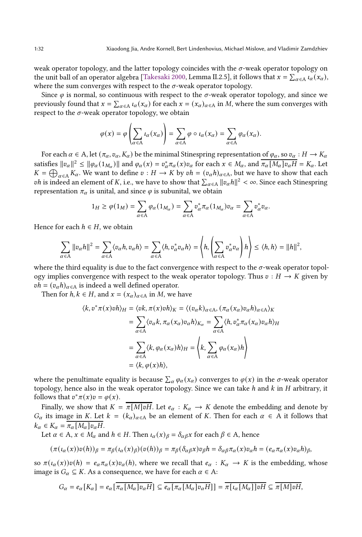weak operator topology, and the latter topology coincides with the  $\sigma$ -weak operator topology on the unit ball of an operator algebra [\[Takesaki 2000](#page-27-1), Lemma II.2.5], it follows that  $x = \sum_{\alpha \in A} l_{\alpha}(x_{\alpha})$ , where the sum converges with respect to the  $\sigma$ -weak operator topology.

Since  $\varphi$  is normal, so continuous with respect to the  $\sigma$ -weak operator topology, and since we previously found that  $x = \sum_{\alpha \in A} t_{\alpha}(x_{\alpha})$  for each  $x = (x_{\alpha})_{\alpha \in A}$  in  $M$ , where the sum converges with respect to the  $\sigma$ -weak operator topology, we obtain

$$
\varphi(x) = \varphi\left(\sum_{\alpha \in A} \iota_{\alpha}(x_{\alpha})\right) = \sum_{\alpha \in A} \varphi \circ \iota_{\alpha}(x_{\alpha}) = \sum_{\alpha \in A} \varphi_{\alpha}(x_{\alpha}).
$$

For each  $\alpha \in A$ , let  $(\pi_\alpha, v_\alpha, K_\alpha)$  be the minimal Stinespring representation of  $\varphi_\alpha$ , so  $v_\alpha : H \to K_\alpha$ satisfies  $\|v_\alpha\|^2 \leq \|\varphi_\alpha(1_{M_\alpha})\|$  and  $\varphi_\alpha(x) = v_\alpha^* \pi_\alpha(x) v_\alpha$  for each  $x \in M_\alpha$ , and  $\overline{\pi_\alpha[M_\alpha]v_\alpha H} = K_\alpha$ . Let  $K = \bigoplus_{\alpha \in A} K_{\alpha}$ . We want to define  $v : H \to K$  by  $vh = (v_{\alpha}h)_{\alpha \in A}$ , but we have to show that each *vh* is indeed an element of *K*, i.e., we have to show that  $\sum_{\alpha \in A} ||v_{\alpha}h||^2 < \infty$ . Since each Stinespring representation  $\pi_{\alpha}$  is unital, and since  $\varphi$  is subunital, we obtain

$$
1_H \geq \varphi(1_M) = \sum_{\alpha \in A} \varphi_\alpha(1_{M_\alpha}) = \sum_{\alpha \in A} v_\alpha^* \pi_\alpha(1_{M_\alpha}) v_\alpha = \sum_{\alpha \in A} v_\alpha^* v_\alpha.
$$

Hence for each  $h \in H$ , we obtain

$$
\sum_{\alpha \in A} ||v_{\alpha}h||^2 = \sum_{\alpha \in A} \langle v_{\alpha}h, v_{\alpha}h \rangle = \sum_{\alpha \in A} \langle h, v_{\alpha}^* v_{\alpha}h \rangle = \left\langle h, \left(\sum_{\alpha \in A} v_{\alpha}^* v_{\alpha}\right)h\right\rangle \leq \langle h, h \rangle = ||h||^2,
$$

where the third equality is due to the fact convergence with respect to the  $\sigma$ -weak operator topology implies convergence with respect to the weak operator topology. Thus  $v : H \to K$  given by  $vh = (v_{\alpha}h)_{\alpha \in A}$  is indeed a well defined operator.

Then for  $h, k \in H$ , and  $x = (x_{\alpha})_{\alpha \in A}$  in M, we have

$$
\langle k, v^* \pi(x) v h \rangle_H = \langle v k, \pi(x) v h \rangle_K = \langle (v_\alpha k)_{\alpha \in A}, (\pi_\alpha (x_\alpha) v_\alpha h)_{\alpha \in A} \rangle_K
$$
  

$$
= \sum_{\alpha \in A} \langle v_\alpha k, \pi_\alpha (x_\alpha) v_\alpha h \rangle_{K_\alpha} = \sum_{\alpha \in A} \langle h, v^*_{\alpha} \pi_\alpha (x_\alpha) v_\alpha h \rangle_H
$$
  

$$
= \sum_{\alpha \in A} \langle k, \varphi_\alpha (x_\alpha) h \rangle_H = \langle k, \sum_{\alpha \in A} \varphi_\alpha (x_\alpha) h \rangle
$$
  

$$
= \langle k, \varphi(x) h \rangle,
$$

where the penultimate equality is because  $\sum_{\alpha} \varphi_{\alpha}(x_{\alpha})$  converges to  $\varphi(x)$  in the  $\sigma$ -weak operator topology, hence also in the weak operator topology. Since we can take  $h$  and  $k$  in  $H$  arbitrary, it follows that  $v^* \pi(x) v = \varphi(x)$ .

Finally, we show that  $K = \overline{\pi[M]\nuH}$ . Let  $e_{\alpha}: K_{\alpha} \to K$  denote the embedding and denote by  $G_{\alpha}$  its image in K. Let  $k = (k_{\alpha})_{\alpha \in A}$  be an element of K. Then for each  $\alpha \in A$  it follows that  $k_{\alpha} \in K_{\alpha} = \pi_{\alpha} [M_{\alpha}] v_{\alpha} H.$ 

Let  $\alpha \in A$ ,  $x \in M_\alpha$  and  $h \in H$ . Then  $\iota_\alpha(x)_{\beta} = \delta_{\alpha\beta} x$  for each  $\beta \in A$ , hence

$$
(\pi(\iota_{\alpha}(x))v(h))_{\beta}=\pi_{\beta}(\iota_{\alpha}(x)_{\beta})(v(h))_{\beta}=\pi_{\beta}(\delta_{\alpha\beta}x)v_{\beta}h=\delta_{\alpha\beta}\pi_{\alpha}(x)v_{\alpha}h=(e_{\alpha}\pi_{\alpha}(x)v_{\alpha}h)_{\beta},
$$

so  $\pi(\iota_{\alpha}(x))v(h) = e_{\alpha}\pi_{\alpha}(x)v_{\alpha}(h)$ , where we recall that  $e_{\alpha}: K_{\alpha} \to K$  is the embedding, whose image is  $G_{\alpha} \subseteq K$ . As a consequence, we have for each  $\alpha \in A$ :

$$
G_{\alpha} = e_{\alpha}[K_{\alpha}] = e_{\alpha}[\overline{\pi_{\alpha}}[M_{\alpha}]v_{\alpha}H] \subseteq \overline{e_{\alpha}[\pi_{\alpha}[M_{\alpha}]v_{\alpha}H]} = \overline{\pi[\iota_{\alpha}[M_{\alpha}]]vH} \subseteq \overline{\pi[M]vH},
$$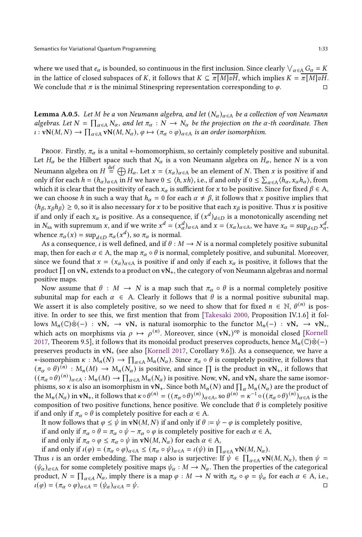where we used that  $e_\alpha$  is bounded, so continuous in the first inclusion. Since clearly  $\bigvee_{\alpha\in A} G_\alpha = K$ in the lattice of closed subspaces of K, it follows that  $K \subseteq \overline{\pi[M]vH}$ , which implies  $K = \overline{\pi[M]vH}$ . We conclude that  $\pi$  is the minimal Stinespring representation corresponding to  $\varphi$ .

<span id="page-32-0"></span>**Lemma A.0.5.** Let M be a von Neumann algebra, and let  $(N_\alpha)_{\alpha \in A}$  be a collection of von Neumann algebras. Let  $N = \prod_{\alpha \in A} N_{\alpha}$ , and let  $\pi_{\alpha} : N \to N_{\alpha}$  be the projection on the  $\alpha$ -th coordinate. Then  $\iota: \mathbf{vN}(M,N) \to \prod_{\alpha \in A} \mathbf{vN}(M,N_{\alpha}), \varphi \mapsto (\pi_{\alpha} \circ \varphi)_{\alpha \in A}$  is an order isomorphism.

Proof. Firstly,  $\pi_{\alpha}$  is a unital ∗-homomorphism, so certainly completely positive and subunital. Let  $H_{\alpha}$  be the Hilbert space such that  $N_{\alpha}$  is a von Neumann algebra on  $H_{\alpha}$ , hence N is a von Neumann algebra on  $H\stackrel{\rm def}{=} \bigoplus H_\alpha.$  Let  $x=(x_\alpha)_{\alpha\in {\rm A}}$  be an element of  $N.$  Then  $x$  is positive if and only if for each  $h = (h_\alpha)_{\alpha \in A}$  in H we have  $0 \le \langle h, xh \rangle$ , i.e., if and only if  $0 \le \sum_{\alpha \in A} \langle h_\alpha, x_\alpha h_\alpha \rangle$ , from which it is clear that the positivity of each  $x_{\alpha}$  is sufficient for x to be positive. Since for fixed  $\beta \in A$ , we can choose h in such a way that  $h_{\alpha} = 0$  for each  $\alpha \neq \beta$ , it follows that x positive implies that  $\langle h_\beta, x_\beta h_\beta \rangle \geq 0$ , so it is also necessary for x to be positive that each  $x_\beta$  is positive. Thus x is positive if and only if each  $x_\alpha$  is positive. As a consequence, if  $(x^d)_{d\in D}$  is a monotonically ascending net in  $N_{sa}$  with supremum x, and if we write  $x^d = (x^d_\alpha)_{\alpha \in A}$  and  $x = (x_\alpha)_{\alpha \in A}$ , we have  $x_\alpha = \sup_{d \in D} x^d_\alpha$ , whence  $\pi_{\alpha}(x) = \sup_{d \in D} \pi_{\alpha}(x^d)$ , so  $\pi_{\alpha}$  is normal.

As a consequence, *i* is well defined, and if  $\theta : M \to N$  is a normal completely positive subunital map, then for each  $\alpha \in A$ , the map  $\pi_{\alpha} \circ \theta$  is normal, completely positive, and subunital. Moreover, since we found that  $x = (x_\alpha)_{\alpha \in A}$  is positive if and only if each  $x_\alpha$  is positive, it follows that the product  $\prod$  on vN<sub>\*</sub> extends to a product on vN<sub>+</sub>, the category of von Neumann algebras and normal positive maps.

Now assume that  $\theta : M \to N$  is a map such that  $\pi_{\alpha} \circ \theta$  is a normal completely positive subunital map for each  $\alpha \in A$ . Clearly it follows that  $\theta$  is a normal positive subunital map. We assert it is also completely positive, so we need to show that for fixed  $n \in \mathbb{N}$ ,  $\theta^{(n)}$  is positive. In order to see this, we first mention that from [\[Takesaki 2000,](#page-27-1) Proposition IV.1.6] it follows  $M_n(\mathbb{C})\bar{\otimes}(-) : vN_* \to vN_*$  is natural isomorphic to the functor  $M_n(-) : vN_* \to vN_*$ , which acts on morphisms via  $\rho \mapsto \rho^{(n)}$ . Moreover, since  $(vN_*)^{\rm op}$  is monoidal closed [\[Kornell](#page-26-28) [2017,](#page-26-28) Theorem 9.5], it follows that its monoidal product preserves coproducts, hence  $M_n(\mathbb{C})\bar{\otimes}(-)$ preserves products in vN<sup>∗</sup> (see also [\[Kornell 2017,](#page-26-28) Corollary 9.6]). As a consequence, we have a  $\overline{\mathcal{A}}$ -isomorphism  $\kappa : M_n(N) \to \prod_{\alpha \in A} M_n(N_\alpha)$ . Since  $\pi_\alpha \circ \theta$  is completely positive, it follows that  $(\pi_{\alpha} \circ \theta)^{(n)} : M_n(M) \to M_n(N_{\alpha})$  is positive, and since  $\prod$  is the product in vN<sub>+</sub>, it follows that  $((\pi_{\alpha}\circ\theta)^{(n)})_{\alpha\in A}:M_n(M)\to\prod_{\alpha\in A}M_n(N_{\alpha})$  is positive. Now,  $vN_*$  and  $vN_+$  share the same isomorphisms, so  $\kappa$  is also an isomorphism in vN<sub>+</sub>. Since both  $M_n(N)$  and  $\prod_{\alpha} M_n(N_{\alpha})$  are the product of the  $M_n(N_\alpha)$  in vN<sub>+</sub>, it follows that  $\kappa \circ \theta^{(n)} = ((\pi_\alpha \circ \theta)^{(n)})_{\alpha \in A}$ , so  $\theta^{(n)} = \kappa^{-1} \circ ((\pi_\alpha \circ \theta)^{(n)})_{\alpha \in A}$  is the composition of two positive functions, hence positive. We conclude that  $\theta$  is completely positive if and only if  $\pi_{\alpha} \circ \theta$  is completely positive for each  $\alpha \in A$ .

It now follows that  $\varphi \leq \psi$  in vN(*M*, *N*) if and only if  $\theta := \psi - \varphi$  is completely positive,

if and only if  $\pi_{\alpha} \circ \theta = \pi_{\alpha} \circ \psi - \pi_{\alpha} \circ \varphi$  is completely positive for each  $\alpha \in A$ ,

if and only if  $\pi_{\alpha} \circ \varphi \leq \pi_{\alpha} \circ \psi$  in vN $(M, N_{\alpha})$  for each  $\alpha \in A$ ,

if and only if  $\iota(\varphi) = (\pi_{\alpha} \circ \varphi)_{\alpha \in A} \leq (\pi_{\alpha} \circ \psi)_{\alpha \in A} = \iota(\psi)$  in  $\prod_{\alpha \in A} vN(M, N_{\alpha})$ .

Thus *i* is an order embedding. The map *i* also is surjective: If  $\psi \in \prod_{\alpha \in A} vN(M, N_{\alpha})$ , then  $\psi =$  $(\psi_\alpha)_{\alpha \in A}$  for some completely positive maps  $\psi_\alpha : M \to N_\alpha$ . Then the properties of the categorical product,  $N = \prod_{\alpha \in A} N_{\alpha}$ , imply there is a map  $\varphi : M \to N$  with  $\pi_{\alpha} \circ \varphi = \psi_{\alpha}$  for each  $\alpha \in A$ , i.e.,  $\iota(\varphi) = (\pi_\alpha \circ \varphi)_{\alpha \in A} = (\psi_\alpha)_{\alpha \in A} = \psi.$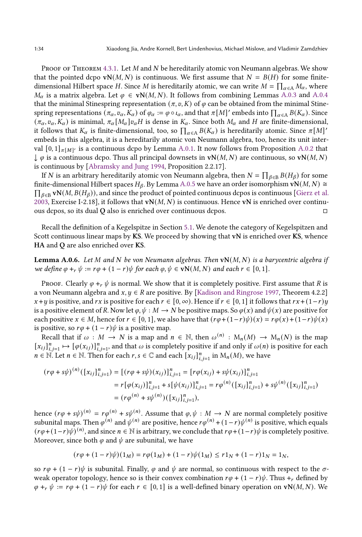PROOF OF THEOREM [4.3.1.](#page-14-2) Let  $M$  and  $N$  be hereditarily atomic von Neumann algebras. We show that the pointed dcpo vN( $M$ ,  $N$ ) is continuous. We first assume that  $N = B(H)$  for some finitedimensional Hilbert space H. Since M is hereditarily atomic, we can write  $M = \prod_{\alpha \in A} M_{\alpha}$ , where  $M_{\alpha}$  is a matrix algebra. Let  $\varphi \in vN(M, N)$ . It follows from combining Lemmas [A.0.3](#page-29-2) and [A.0.4](#page-30-1) that the minimal Stinespring representation  $(\pi, v, K)$  of  $\varphi$  can be obtained from the minimal Stinespring representations  $(\pi_\alpha, v_\alpha, K_\alpha)$  of  $\varphi_\alpha := \varphi \circ \iota_\alpha$ , and that  $\pi[M]'$  embeds into  $\prod_{\alpha \in A} B(K_\alpha)$ . Since  $(\pi_{\alpha}, \pi_{\alpha}, K_{\alpha})$  is minimal,  $\pi_{\alpha}[M_{\alpha}] \circ_{\alpha} H$  is dense in  $K_{\alpha}$ . Since both  $M_{\alpha}$  and  $H$  are finite-dimensional, it follows that  $K_{\alpha}$  is finite-dimensional, too, so  $\prod_{\alpha \in A} B(K_{\alpha})$  is hereditarily atomic. Since  $\pi[M]$ ' embeds in this algebra, it is a hereditarily atomic von Neumann algebra, too, hence its unit interval  $[0,1]_{\pi[M]}$  is a continuous dcpo by Lemma [A.0.1.](#page-28-1) It now follows from Proposition [A.0.2](#page-28-2) that  $\downarrow \varphi$  is a continuous dcpo. Thus all principal downsets in vN(*M*, *N*) are continuous, so vN(*M*, *N*) is continuous by [\[Abramsky and Jung 1994,](#page-25-4) Proposition 2.2.17].

If N is an arbitrary hereditarily atomic von Neumann algebra, then  $N = \prod_{\beta \in B} B(H_\beta)$  for some finite-dimensional Hilbert spaces  $H_\beta$ . By Lemma [A.0.5](#page-32-0) we have an order isomorphism  $vN(M, N) \cong$  $\prod_{\beta \in B}$  vN(*M*,  $B(H_\beta)$ ), and since the product of pointed continuous dcpos is continuous [\[Gierz et al.](#page-26-13) [2003,](#page-26-13) Exercise I-2.18], it follows that  $vN(M, N)$  is continuous. Hence vN is enriched over continuous dcpos, so its dual Q also is enriched over continuous dcpos.

Recall the definition of a Kegelspitze in Section [5.1.](#page-14-3) We denote the category of Kegelspitzen and Scott continuous linear maps by KS. We proceed by showing that vN is enriched over KS, whence HA and Q are also enriched over KS.

**Lemma A.0.6.** Let M and N be von Neumann algebras. Then  $vN(M, N)$  is a barycentric algebra if we define  $\varphi +_r \psi := r\varphi + (1 - r)\psi$  for each  $\varphi, \psi \in \text{vN}(M, N)$  and each  $r \in [0, 1]$ .

Proof. Clearly  $\varphi +_{r} \psi$  is normal. We show that it is completely positive. First assume that R is a von Neumann algebra and  $x, y \in R$  are positive. By [\[Kadison and Ringrose 1997,](#page-26-16) Theorem 4.2.2]  $x + y$  is positive, and rx is positive for each  $r \in [0, \infty)$ . Hence if  $r \in [0, 1]$  it follows that  $rx + (1-r)y$ is a positive element of R. Now let  $\varphi, \psi : M \to N$  be positive maps. So  $\varphi(x)$  and  $\psi(x)$  are positive for each positive  $x \in M$ , hence for  $r \in [0, 1]$ , we also have that  $(r\varphi + (1-r)\psi)(x) = r\varphi(x) + (1-r)\psi(x)$ is positive, so  $r\varphi + (1 - r)\psi$  is a positive map.

Recall that if  $\omega : M \to N$  is a map and  $n \in \mathbb{N}$ , then  $\omega^{(n)} : M_n(M) \to M_n(N)$  is the map  $[x_{ij}]_{i,j=1}^n \mapsto [\varphi(x_{ij})]_{i,j=1}^n$ , and that  $\omega$  is completely positive if and only if  $\omega(n)$  is positive for each  $n \in \mathbb{N}$ . Let  $n \in \mathbb{N}$ . Then for each  $r, s \in \mathbb{C}$  and each  $[x_{ij}]_{i,j=1}^n$  in  $M_n(M)$ , we have

$$
(r\varphi + s\psi)^{(n)}([x_{ij}]_{i,j=1}^n) = [(r\varphi + s\psi)(x_{ij})]_{i,j=1}^n = [r\varphi(x_{ij}) + s\psi(x_{ij})]_{i,j=1}^n
$$
  
=  $r[\varphi(x_{ij})]_{i,j=1}^n + s[\psi(x_{ij})]_{i,j=1}^n = r\varphi^{(n)}([x_{ij}]_{i,j=1}^n) + s\psi^{(n)}([x_{ij}]_{i,j=1}^n)$   
=  $(r\varphi^{(n)} + s\psi^{(n)})([x_{ij}]_{i,j=1}^n)$ ,

hence  $(r\varphi + s\psi)^{(n)} = r\varphi^{(n)} + s\psi^{(n)}$ . Assume that  $\varphi, \psi : M \to N$  are normal completely positive subunital maps. Then  $\varphi^{(n)}$  and  $\psi^{(n)}$  are positive, hence  $r\varphi^{(n)}$  +  $(1-r)\psi^{(n)}$  is positive, which equals  $(r\varphi + (1-r)\psi)^{(n)}$ , and since  $n \in \mathbb{N}$  is arbitrary, we conclude that  $r\varphi + (1-r)\psi$  is completely positive. Moreover, since both  $\varphi$  and  $\psi$  are subunital, we have

$$
(r\varphi + (1-r)\psi)(1_M) = r\varphi(1_M) + (1-r)\psi(1_M) \le r1_N + (1-r)1_N = 1_N,
$$

so  $r\varphi + (1 - r)\psi$  is subunital. Finally,  $\varphi$  and  $\psi$  are normal, so continuous with respect to the  $\sigma$ weak operator topology, hence so is their convex combination  $r\varphi + (1 - r)\psi$ . Thus + $_r$  defined by  $\varphi +_r \psi := r\varphi + (1 - r)\psi$  for each  $r \in [0, 1]$  is a well-defined binary operation on vN(*M*, *N*). We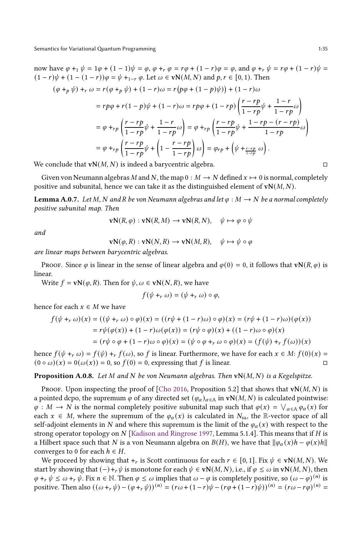now have 
$$
\varphi +_1 \psi = 1\varphi + (1 - 1)\psi = \varphi
$$
,  $\varphi +_r \varphi = r\varphi + (1 - r)\varphi = \varphi$ , and  $\varphi +_r \psi = r\varphi + (1 - r)\psi = (1 - r)\psi + (1 - (1 - r))\varphi = \psi +_{1-r} \varphi$ . Let  $\omega \in \mathbf{v}N(M, N)$  and  $p, r \in [0, 1)$ . Then  
\n
$$
(\varphi +_p \psi) +_r \omega = r(\varphi +_p \psi) + (1 - r)\omega = r(p\varphi + (1 - p)\psi) + (1 - r)\omega
$$
\n
$$
= rp\varphi + r(1 - p)\psi + (1 - r)\omega = rp\varphi + (1 - rp)\left(\frac{r - rp}{1 - rp}\psi + \frac{1 - r}{1 - rp}\omega\right)
$$
\n
$$
= \varphi +_{rp}\left(\frac{r - rp}{1 - rp}\psi + \frac{1 - r}{1 - rp}\omega\right) = \varphi +_{rp}\left(\frac{r - rp}{1 - rp}\psi + \frac{1 - rp - (r - rp)}{1 - rp}\omega\right)
$$
\n
$$
= \varphi +_{rp}\left(\frac{r - rp}{1 - rp}\psi + \left(1 - \frac{r - rp}{1 - rp}\right)\omega\right) = \varphi_{rp} + \left(\psi + \frac{r - rp}{1 - rp}\omega\right).
$$

We conclude that  $vN(M, N)$  is indeed a barycentric algebra.

Given von Neumann algebras M and N, the map  $0 : M \to N$  defined  $x \mapsto 0$  is normal, completely positive and subunital, hence we can take it as the distinguished element of  $vN(M, N)$ .

<span id="page-34-1"></span>**Lemma A.0.7.** Let M, N and R be von Neumann algebras and let  $\varphi : M \to N$  be a normal completely positive subunital map. Then

$$
vN(R, \varphi) : vN(R, M) \to vN(R, N), \quad \psi \mapsto \varphi \circ \psi
$$

and

 $\mathbf{v}N(\varphi,R): \mathbf{v}N(N,R) \to \mathbf{v}N(M,R), \quad \psi \mapsto \psi \circ \varphi$ 

are linear maps between barycentric algebras.

Proof. Since  $\varphi$  is linear in the sense of linear algebra and  $\varphi(0) = 0$ , it follows that  $vN(R, \varphi)$  is linear.

Write  $f = vN(\varphi, R)$ . Then for  $\psi, \omega \in vN(N, R)$ , we have

$$
f(\psi +_{r} \omega) = (\psi +_{r} \omega) \circ \varphi,
$$

hence for each  $x \in M$  we have

$$
f(\psi + r\omega)(x) = ((\psi + r\omega) \circ \varphi)(x) = ((r\psi + (1 - r)\omega) \circ \varphi)(x) = (r\psi + (1 - r)\omega)(\varphi(x))
$$
  
=  $r\psi(\varphi(x)) + (1 - r)\omega(\varphi(x)) = (r\psi \circ \varphi)(x) + ((1 - r)\omega \circ \varphi)(x)$   
=  $(r\psi \circ \varphi + (1 - r)\omega \circ \varphi)(x) = (\psi \circ \varphi + r\omega \circ \varphi)(x) = (f(\psi) + r f(\omega))(x)$ 

hence  $f(\psi +_{r} \omega) = f(\psi) +_{r} f(\omega)$ , so f is linear. Furthermore, we have for each  $x \in M$ :  $f(0)(x) =$  $(0 \circ \omega)(x) = 0(\omega(x)) = 0$ , so  $f(0) = 0$ , expressing that f is linear.

<span id="page-34-0"></span>**Proposition A.0.8.** Let  $M$  and  $N$  be von Neumann algebras. Then  $vN(M, N)$  is a Kegelspitze.

Proof. Upon inspecting the proof of [\[Cho 2016](#page-25-7), Proposition 5.2] that shows that  $vN(M, N)$  is a pointed dcpo, the supremum  $\varphi$  of any directed set  $(\varphi_{\alpha})_{\alpha \in A}$  in vN(*M*, *N*) is calculated pointwise:  $\varphi: M \to N$  is the normal completely positive subunital map such that  $\varphi(x) = \bigvee_{\alpha \in A} \varphi_{\alpha}(x)$  for each  $x \in M$ , where the supremum of the  $\varphi_{\alpha}(x)$  is calculated in  $N_{sa}$ , the R-vector space of all self-adjoint elements in N and where this supremum is the limit of the  $\varphi_{\alpha}(x)$  with respect to the strong operator topology on  $N$  [\[Kadison and Ringrose 1997,](#page-26-16) Lemma 5.1.4]. This means that if  $H$  is a Hilbert space such that N is a von Neumann algebra on  $B(H)$ , we have that  $\|\varphi_{\alpha}(x)h - \varphi(x)h\|$ converges to 0 for each  $h \in H$ .

We proceed by showing that  $+_{r}$  is Scott continuous for each  $r \in [0, 1]$ . Fix  $\psi \in vN(M, N)$ . We start by showing that  $(-) + f \psi$  is monotone for each  $\psi \in \mathbf{vN}(M, N)$ , i.e., if  $\varphi \leq \omega$  in  $\mathbf{vN}(M, N)$ , then  $\varphi+_r \psi \leq \omega +_r \psi$ . Fix  $n \in \mathbb{N}$ . Then  $\varphi \leq \omega$  implies that  $\omega - \varphi$  is completely positive, so  $(\omega - \varphi)^{(n)}$  is positive. Then also  $((\omega +_r \psi) - (\varphi +_r \psi))^{(n)} = (r\omega + (1-r)\psi - (r\varphi + (1-r)\psi))^{(n)} = (r\omega - r\varphi)^{(n)} =$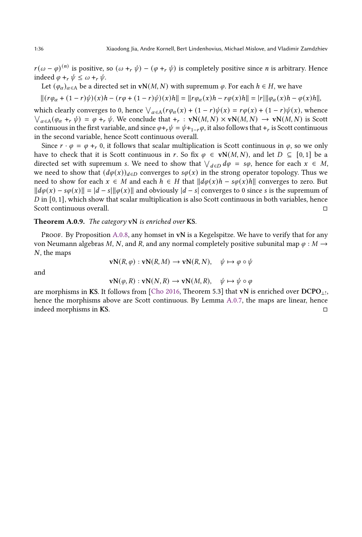$r(\omega - \varphi)^{(n)}$  is positive, so  $(\omega + r \psi) - (\varphi + r \psi)$  is completely positive since *n* is arbitrary. Hence indeed  $\varphi +_r \psi \leq \omega +_r \psi$ .

Let  $(\varphi_{\alpha})_{\alpha \in A}$  be a directed set in vN $(M, N)$  with supremum  $\varphi$ . For each  $h \in H$ , we have

$$
||(r\varphi_{\alpha} + (1 - r)\psi)(x)h - (r\varphi + (1 - r)\psi)(x)h|| = ||r\varphi_{\alpha}(x)h - r\varphi(x)h|| = |r| ||\varphi_{\alpha}(x)h - \varphi(x)h||,
$$

which clearly converges to 0, hence  $\bigvee_{\alpha \in A} (r \varphi_{\alpha}(x) + (1 - r) \psi(x) = r \varphi(x) + (1 - r) \psi(x)$ , whence  $\bigvee_{\alpha \in A} (\varphi_{\alpha} +_{r} \psi) = \varphi +_{r} \psi$ . We conclude that  $+_{r} : vN(M,N) \times vN(M,N) \to vN(M,N)$  is Scott continuous in the first variable, and since  $\varphi + r\psi = \psi + 1 - r\varphi$ , it also follows that  $+_r$  is Scott continuous in the second variable, hence Scott continuous overall.

Since  $r \cdot \varphi = \varphi +_r 0$ , it follows that scalar multiplication is Scott continuous in  $\varphi$ , so we only have to check that it is Scott continuous in r. So fix  $\varphi \in vN(M,N)$ , and let  $D \subseteq [0,1]$  be a directed set with supremum *s*. We need to show that  $\bigvee_{d \in D} d\varphi = s\varphi$ , hence for each  $x \in M$ , we need to show that  $(d\varphi(x))_{d\in D}$  converges to  $s\varphi(x)$  in the strong operator topology. Thus we need to show for each  $x \in M$  and each  $h \in H$  that  $||d\varphi(x)h - s\varphi(x)h||$  converges to zero. But  $||d\varphi(x) - s\varphi(x)|| = |d - s||\varphi(x)||$  and obviously  $|d - s|$  converges to 0 since s is the supremum of  $D$  in  $[0, 1]$ , which show that scalar multiplication is also Scott continuous in both variables, hence Scott continuous overall.

#### Theorem A.0.9. The category vN is enriched over KS.

Proof. By Proposition [A.0.8,](#page-34-0) any homset in vN is a Kegelspitze. We have to verify that for any von Neumann algebras  $M$ ,  $N$ , and  $R$ , and any normal completely positive subunital map  $\varphi : M \rightarrow$  $N$ , the maps

$$
\mathbf{vN}(R,\varphi) : \mathbf{vN}(R,M) \to \mathbf{vN}(R,N), \quad \psi \mapsto \varphi \circ \psi
$$

and

$$
vN(\varphi, R) : vN(N, R) \to vN(M, R), \quad \psi \mapsto \psi \circ \varphi
$$

are morphisms in KS. It follows from [\[Cho 2016,](#page-25-7) Theorem 5.3] that vN is enriched over  $\text{DCPO}_{\perp!},$ hence the morphisms above are Scott continuous. By Lemma [A.0.7,](#page-34-1) the maps are linear, hence indeed morphisms in KS.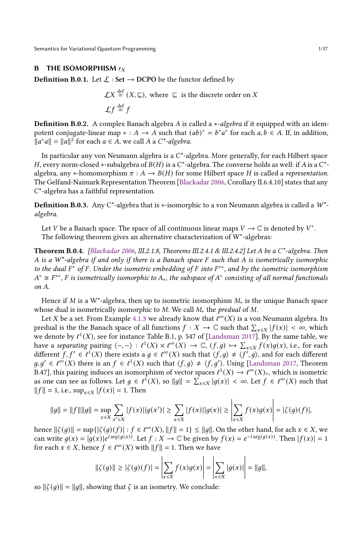# <span id="page-36-0"></span>B THE ISOMORPHISM  $r_X$

**Definition B.0.1.** Let  $\mathcal{L}$  : Set  $\rightarrow$  DCPO be the functor defined by

 $\mathcal{L}X \stackrel{\text{def}}{=} (X, \sqsubseteq),$  where  $\sqsubseteq$  is the discrete order on X  $\mathcal{L}f \stackrel{\text{def}}{=} f$ 

**Definition B.0.2.** A complex Banach algebra A is called a  $*$ -algebra if it equipped with an idempotent conjugate-linear map  $* : A \to A$  such that  $(ab)^* = b^*a^*$  for each  $a, b \in A$ . If, in addition,  $||a^*a|| = ||a||^2$  for each  $a \in A$ , we call A a C<sup>\*</sup>-algebra.

In particular any von Neumann algebra is a C\*-algebra. More generally, for each Hilbert space H, every norm-closed \*-subalgebra of  $B(H)$  is a C<sup>\*</sup>-algebra. The converse holds as well: if A is a C<sup>\*</sup>algebra, any ∗-homomorphism  $\pi : A \to B(H)$  for some Hilbert space H is called a representation. The Gelfand-Naimark Representation Theorem [\[Blackadar 2006,](#page-25-5) Corollary II.6.4.10] states that any C\*-algebra has a faithful representation.

**Definition B.0.3.** Any C\*-algebra that is  $*$ -isomorphic to a von Neumann algebra is called a  $W^*$ algebra.

Let V be a Banach space. The space of all continuous linear maps  $V \to \mathbb{C}$  is denoted by  $V^*$ . The following theorem gives an alternative characterization of W\*-algebras:

**Theorem B.0.4.** [\[Blackadar 2006,](#page-25-5) III.2.1.8, Theorems III.2.4.1 & III.2.4.2] Let A be a C\*-algebra. Then A is a W\*-algebra if and only if there is a Banach space  $F$  such that  $A$  is isometrically isomorphic to the dual  $F^*$  of F. Under the isometric embedding of F into  $F^{**}$ , and by the isometric isomorphism  $A^* \cong F^{**}$ , F is isometrically isomorphic to  $A_*$ , the subspace of  $A^*$  consisting of all normal functionals on A.

Hence if *M* is a W\*-algebra, then up to isometric isomorphism  $M_*$  is the unique Banach space whose dual is isometrically isomorphic to  $M$ . We call  $M_*$  the *predual* of  $M$ .

Let X be a set. From Example [4.1.3](#page-12-2) we already know that  $\ell^{\infty}(X)$  is a von Neumann algebra. Its predual is the the Banach space of all functions  $f: X \to \mathbb{C}$  such that  $\sum_{x \in X} |f(x)| < \infty$ , which we denote by  $\ell^1(X)$ , see for instance Table B.1, p. 547 of [\[Landsman 2017\]](#page-26-18). By the same table, we have a separating pairing  $\langle -, - \rangle : \ell^1(X) \times \ell^{\infty}(X) \to \mathbb{C}$ ,  $(f, g) \mapsto \sum_{x \in X} f(x)g(x)$ , i.e., for each different  $f, f' \in \ell^1(X)$  there exists a  $g \in \ell^{\infty}(X)$  such that  $\langle f, g \rangle \neq \langle f', g \rangle$ , and for each different  $g, g' \in \ell^{\infty}(X)$  there is an  $f \in \ell^{1}(X)$  such that  $\langle f, g \rangle \neq \langle f, g' \rangle$ . Using [\[Landsman 2017](#page-26-18), Theorem B.47], this pairing induces an isomorphism of vector spaces  $\ell^1(X) \to \ell^\infty(X)_*$ , which is isometric as one can see as follows. Let  $g \in \ell^1(X)$ , so  $||g|| = \sum_{x \in X} |g(x)| < \infty$ . Let  $f \in \ell^{\infty}(X)$  such that  $||f|| = 1$ , i.e.,  $\sup_{x \in X} |f(x)| = 1$ . Then

$$
\|g\| = \|f\| \|g\| = \sup_{x \in X} \sum_{x' \in X} |f(x)| |g(x')| \ge \sum_{x \in X} |f(x)| |g(x)| \ge \left| \sum_{x \in X} f(x) g(x) \right| = |\zeta(g)(f)|,
$$

hence  $\|\zeta(g)\| = \sup\{|\zeta(g)(f)| : f \in \ell^{\infty}(X), \|f\| = 1\} \le \|g\|$ . On the other hand, for ach  $x \in X$ , we can write  $g(x) = |g(x)|e^{i \arg(g(x))}$ . Let  $f: X \to \mathbb{C}$  be given by  $f(x) = e^{-i \arg(g(x))}$ . Then  $|f(x)| = 1$ for each  $x \in X$ , hence  $f \in \ell^{\infty}(X)$  with  $||f|| = 1$ . Then we have

$$
\|\zeta(g)\| \ge |\zeta(g)(f)| = \left|\sum_{x \in X} f(x)g(x)\right| = \left|\sum_{x \in X} |g(x)|\right| = \|g\|,
$$

so  $\|\zeta(q)\| = \|q\|$ , showing that  $\zeta$  is an isometry. We conclude: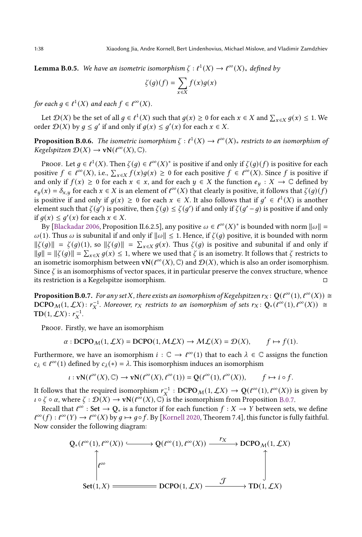**Lemma B.0.5.** We have an isometric isomorphism  $\zeta: \ell^1(X) \to \ell^\infty(X)$ , defined by

$$
\zeta(g)(f) = \sum_{x \in X} f(x)g(x)
$$

for each  $g \in \ell^1(X)$  and each  $f \in \ell^{\infty}(X)$ .

Let  $\mathcal{D}(X)$  be the set of all  $g \in \ell^1(X)$  such that  $g(x) \ge 0$  for each  $x \in X$  and  $\sum_{x \in X} g(x) \le 1$ . We order  $\mathcal{D}(X)$  by  $g \leq g'$  if and only if  $g(x) \leq g'(x)$  for each  $x \in X$ .

**Proposition B.0.6.** The isometric isomorphism  $\zeta : \ell^1(X) \to \ell^\infty(X)$  westricts to an isomorphism of Kegelspitzen  $\mathcal{D}(X) \to \mathbf{vN}(t^{\infty}(X), \mathbb{C})$ .

Proof. Let  $g \in \ell^1(X)$ . Then  $\zeta(g) \in \ell^\infty(X)^*$  is positive if and only if  $\zeta(g)(f)$  is positive for each positive  $f \in \ell^{\infty}(X)$ , i.e.,  $\sum_{x \in X} f(x)g(x) \ge 0$  for each positive  $f \in \ell^{\infty}(X)$ . Since f is positive if and only if  $f(x) \ge 0$  for each  $x \in x$ , and for each  $y \in X$  the function  $e_y : X \to \mathbb{C}$  defined by  $e_y(x) = \delta_{x,y}$  for each  $x \in X$  is an element of  $\ell^{\infty}(X)$  that clearly is positive, it follows that  $\zeta(g)(f)$ is positive if and only if  $g(x) \ge 0$  for each  $x \in X$ . It also follows that if  $g' \in \ell^1(X)$  is another element such that  $\zeta(g')$  is positive, then  $\zeta(g) \leq \zeta(g')$  if and only if  $\zeta(g'-g)$  is positive if and only if  $g(x) \leq g'(x)$  for each  $x \in X$ .

By [\[Blackadar 2006,](#page-25-5) Proposition II.6.2.5], any positive  $\omega \in \ell^{\infty}(X)^*$  is bounded with norm  $\|\omega\| =$  $\omega(1)$ . Thus  $\omega$  is subunital if and only if  $\|\omega\| \leq 1$ . Hence, if  $\zeta(g)$  positive, it is bounded with norm  $\|\zeta(g)\| = \zeta(g)(1)$ , so  $\|\zeta(g)\| = \sum_{x \in \mathcal{X}} g(x)$ . Thus  $\zeta(g)$  is positive and subunital if and only if  $||g|| = ||\zeta(g)|| = \sum_{x \in X} g(x) \le 1$ , where we used that  $\zeta$  is an isometry. It follows that  $\zeta$  restricts to an isometric isomorphism between  $vN(\ell^{\infty}(X), \mathbb{C})$  and  $\mathcal{D}(X)$ , which is also an order isomorphism. Since  $\zeta$  is an isomorphisms of vector spaces, it in particular preserve the convex structure, whence its restriction is a Kegelspitze isomorphism.

<span id="page-37-0"></span>**Proposition B.0.7.** For any set X, there exists an isomorphism of Kegelspitzen  $r_X\colon Q(\ell^{\infty}(1),\ell^{\infty}(X))\cong$  $\text{DCPO}_{\mathcal{M}}(1,\mathcal{L}X)$ :  $r_X^{-1}$ . Moreover,  $r_X$  restricts to an isomorphism of sets  $r_X\colon \mathbf{Q}_*(\ell^{\infty}(1),\ell^{\infty}(X)) \cong$  $TD(1, \mathcal{L}X)$ :  $r_X^{-1}$ .

PROOF. Firstly, we have an isomorphism

$$
\alpha : \text{DCPO}_{\mathcal{M}}(1, \mathcal{L}X) = \text{DCPO}(1, \mathcal{ML}X) \to \mathcal{ML}(X) = \mathcal{D}(X), \qquad f \mapsto f(1).
$$

Furthermore, we have an isomorphism  $i: \mathbb{C} \to \ell^{\infty}(1)$  that to each  $\lambda \in \mathbb{C}$  assigns the function  $c_{\lambda} \in \ell^{\infty}(1)$  defined by  $c_{\lambda}(*) = \lambda$ . This isomorphism induces an isomorphism

$$
\iota: \mathbf{vN}(\ell^{\infty}(X), \mathbb{C}) \to \mathbf{vN}(\ell^{\infty}(X), \ell^{\infty}(1)) = \mathbf{Q}(\ell^{\infty}(1), \ell^{\infty}(X)), \qquad f \mapsto i \circ f.
$$

It follows that the required isomorphism  $r_X^{-1}$  :  $DCPO_{\mathcal{M}}(1,\mathcal{L}X) \to Q(\ell^{\infty}(1),\ell^{\infty}(X))$  is given by  $\iota \circ \zeta \circ \alpha$ , where  $\zeta : \mathcal{D}(X) \to \mathbf{vN}(\ell^{\infty}(X), \mathbb{C})$  is the isomorphism from Proposition [B.0.7.](#page-37-0)

Recall that  $\ell^{\infty}$  : Set  $\to Q_*$  is a functor if for each function  $f:X\to Y$  between sets, we define  $\ell^{\infty}(f): \ell^{\infty}(Y) \to \ell^{\infty}(X)$  by  $g \mapsto g \circ f$ . By [\[Kornell 2020,](#page-26-17) Theorem 7.4], this functor is fully faithful. Now consider the following diagram:

$$
Q_*(\ell^{\infty}(1), \ell^{\infty}(X)) \xrightarrow{\qquad} Q(\ell^{\infty}(1), \ell^{\infty}(X)) \xrightarrow{\qquad \qquad \qquad} \text{DCPO}_{\mathcal{M}}(1, \mathcal{L}X)
$$
\n
$$
\downarrow \qquad \qquad \downarrow \qquad \qquad \downarrow
$$
\n
$$
\text{Set}(1, X) \xrightarrow{\qquad \qquad} \text{DCPO}(1, \mathcal{L}X) \xrightarrow{\qquad \qquad \mathcal{J}} \text{TD}(1, \mathcal{L}X)
$$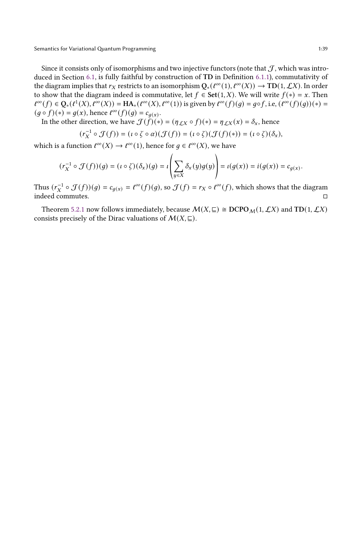Since it consists only of isomorphisms and two injective functors (note that  $J$ , which was introduced in Section [6.1,](#page-17-0) is fully faithful by construction of TD in Definition [6.1.1\)](#page-17-1), commutativity of the diagram implies that  $r_X$  restricts to an isomorphism  $Q_*(\ell^{\infty}(1), \ell^{\infty}(X)) \to TD(1, \mathcal{L}X)$ . In order to show that the diagram indeed is commutative, let  $f \in \text{Set}(1, X)$ . We will write  $f(*) = x$ . Then  $\ell^{\infty}(f) \in \mathbf{Q}_{*}(\ell^{1}(X), \ell^{\infty}(X)) = \text{HA}_{*}(\ell^{\infty}(X), \ell^{\infty}(1))$  is given by  $\ell^{\infty}(f)(g) = g \circ f$ , i.e,  $(\ell^{\infty}(f)(g))(*) =$  $(g \circ f)(*) = g(x)$ , hence  $\ell^{\infty}(f)(g) = c_{g(x)}$ .

In the other direction, we have  $\mathcal{J}(\hat{f})(*) = (\eta_{\mathcal{L}X} \circ f)(*) = \eta_{\mathcal{L}X}(x) = \delta_x$ , hence

$$
(r_X^{-1} \circ \mathcal{J}(f)) = (\iota \circ \zeta \circ \alpha)(\mathcal{J}(f)) = (\iota \circ \zeta)(\mathcal{J}(f)(*)) = (\iota \circ \zeta)(\delta_x),
$$

which is a function  $\ell^{\infty}(X) \to \ell^{\infty}(1)$ , hence for  $g \in \ell^{\infty}(X)$ , we have

$$
(r_X^{-1} \circ \mathcal{J}(f))(g) = (\iota \circ \zeta)(\delta_x)(g) = \iota\left(\sum_{y \in X} \delta_x(y)g(y)\right) = \iota(g(x)) = i(g(x)) = c_{g(x)}.
$$

Thus  $(r_X^{-1} \circ \mathcal{J}(f))(g) = c_{g(X)} = \ell^{\infty}(f)(g)$ , so  $\mathcal{J}(f) = r_X \circ \ell^{\infty}(f)$ , which shows that the diagram indeed commutes.

Theorem [5.2.1](#page-15-1) now follows immediately, because  $\mathcal{M}(X, \Xi) \cong \mathbf{DCPO}_{\mathcal{M}}(1, \mathcal{L}X)$  and TD(1,  $\mathcal{L}X$ ) consists precisely of the Dirac valuations of  $\mathcal{M}(X,\subseteq)$ .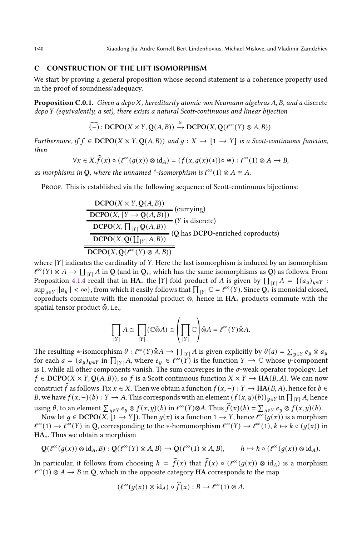# <span id="page-39-0"></span>C CONSTRUCTION OF THE LIFT ISOMORPHISM

We start by proving a general proposition whose second statement is a coherence property used in the proof of soundness/adequacy.

Proposition C.0.1. Given a dcpo  $X$ , hereditarily atomic von Neumann algebras  $A$ ,  $B$ , and a discrete dcpo Y (equivalently, a set), there exists a natural Scott-continuous and linear bijection

$$
\widehat{(-)}\colon \text{DCPO}(X\times Y, \text{Q}(A,B)) \xrightarrow{\cong} \text{DCPO}(X, \text{Q}(\ell^{\infty}(Y)\otimes A,B)).
$$

Furthermore, if  $f \in DCPO(X \times Y, Q(A, B))$  and  $q: X \to [1 \to Y]$  is a Scott-continuous function, then

$$
\forall x \in X. \widehat{f}(x) \circ (t^{\infty}(g(x)) \otimes id_A) = (f(x, g(x)) \otimes g) : t^{\infty}(1) \otimes A \to B,
$$

as morphisms in Q, where the unnamed \*-isomorphism is  $\ell^{\infty}(1) \otimes A \cong A$ .

PROOF. This is established via the following sequence of Scott-continuous bijections:

$$
\frac{\frac{\text{DCPO}(X \times Y, Q(A, B))}{\text{DCPO}(X, [Y \to Q(A, B)])}}{\frac{\text{DCPO}(X, [Y \to Q(A, B)])}{\text{DCPO}(X, \prod_{|Y|} Q(A, B))}} (Y \text{ is discrete})
$$
\n
$$
\frac{\frac{\text{DCPO}(X, Q([I_{|Y|} A, B))}{\text{DCPO}(X, Q([I_{|Y|} A, B))}} (Q \text{ has DCPO-enriched coproducts})
$$

where  $|Y|$  indicates the cardinality of  $Y$ . Here the last isomorphism is induced by an isomorphism  $\ell^{\infty}(Y) \otimes A \to \coprod_{|Y|} A$  in Q (and in Q<sub>\*</sub>, which has the same isomorphisms as Q) as follows. From Proposition [4.1.4](#page-12-0) recall that in HA<sub>\*</sub> the |Y|-fold product of A is given by  $\prod_{|Y|} A = \{(a_y)_{y \in Y} :$  $\sup_{y\in Y} ||a_y|| < \infty$ , from which it easily follows that  $\prod_{|Y|}\mathbb{C} = \ell^{\infty}(Y)$ . Since  $Q_*$  is monoidal closed, coproducts commute with the monoidal product ⊗, hence in HA<sup>∗</sup> products commute with the spatial tensor product  $\bar{\otimes}$ , i.e.,

$$
\prod_{|Y|} A \cong \prod_{|Y|} (\mathbb{C} \bar{\otimes} A) \cong \left(\prod_{|Y|} \mathbb{C}\right) \bar{\otimes} A = \ell^{\infty}(Y) \bar{\otimes} A.
$$

The resulting ∗-isomorphism  $\theta: \ell^{\infty}(Y)\bar{\otimes}A \to \prod_{|Y|} A$  is given explicitly by  $\theta(a) = \sum_{y \in Y} e_y \otimes a_y$ for each  $a = (a_y)_{y \in Y}$  in  $\prod_{|Y|} A$ , where  $e_y \in \ell^{\infty}(Y)$  is the function  $Y \to \mathbb{C}$  whose y-component is 1, while all other components vanish. The sum converges in the  $\sigma$ -weak operator topology. Let  $f \in \text{DCPO}(X \times Y, Q(A, B))$ , so f is a Scott continuous function  $X \times Y \to HA(B, A)$ . We can now construct f as follows. Fix  $x \in X$ . Then we obtain a function  $f(x, -) : Y \to \text{HA}(B, A)$ , hence for  $b \in$ B, we have  $f(x,-)(b): Y \to A$ . This corresponds with an element  $(f(x,y)(b))_{y \in Y}$  in  $\prod_{|Y|} A$ , hence using  $\theta$ , to an element  $\sum_{y\in Y}e_y\otimes f(x,y)(b)$  in  $\ell^{\infty}(Y)\bar{\otimes}A$ . Thus  $\widehat{f}(x)(b) = \sum_{y\in Y}e_y\otimes f(x,y)(b)$ .

Now let  $g \in \text{DCPO}(X, [1 \to Y])$ . Then  $g(x)$  is a function  $1 \to Y$ , hence  $\ell^{\infty}(g(x))$  is a morphism  $\ell^{\infty}(1) \to \ell^{\infty}(Y)$  in Q, corresponding to the \*-homomorphism  $\ell^{\infty}(Y) \to \ell^{\infty}(1)$ ,  $k \mapsto k \circ (g(x))$  in HA∗. Thus we obtain a morphism

$$
Q(\ell^{\infty}(g(x))\otimes id_{A}, B): Q(\ell^{\infty}(Y)\otimes A, B)\rightarrow Q(\ell^{\infty}(1)\otimes A, B), \qquad h\mapsto h\circ (\ell^{\infty}(g(x))\otimes id_{A}).
$$

In particular, it follows from choosing  $h = \hat{f}(x)$  that  $\hat{f}(x) \circ (l^{\infty}(g(x)) \otimes id_A)$  is a morphism  $\ell^{\infty}(1)$  ⊗  $A \to B$  in Q, which in the opposite category HA corresponds to the map

$$
({{\ell}^{\infty}(g(x)) \otimes id_A}) \circ \widehat{f}(x) : B \to {{\ell}^{\infty}(1) \otimes A}.
$$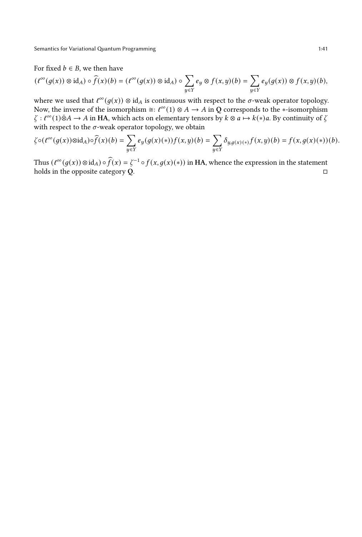For fixed  $b \in B$ , we then have

$$
(\ell^{\infty}(g(x))\otimes id_{A})\circ \widehat{f}(x)(b)=(\ell^{\infty}(g(x))\otimes id_{A})\circ \sum_{y\in Y}e_{y}\otimes f(x,y)(b)=\sum_{y\in Y}e_{y}(g(x))\otimes f(x,y)(b),
$$

where we used that  $\ell^{\infty}(g(x)) \otimes id_A$  is continuous with respect to the  $\sigma$ -weak operator topology. Now, the inverse of the isomorphism  $\cong: \ell^{\infty}(1) \otimes A \to A$  in Q corresponds to the ∗-isomorphism  $\zeta : \ell^{\infty}(1) \bar{\otimes} A \to A$  in HA, which acts on elementary tensors by  $k \otimes a \mapsto k(*)a$ . By continuity of  $\zeta$ with respect to the  $\sigma$ -weak operator topology, we obtain

$$
\zeta \circ (f^{\infty}(g(x)) \otimes id_A) \circ \widehat{f}(x)(b) = \sum_{y \in Y} e_y(g(x)(\ast)) f(x, y)(b) = \sum_{y \in Y} \delta_{y, g(x)(\ast)} f(x, y)(b) = f(x, g(x)(\ast))(b).
$$

Thus  $(\ell^{\infty}(g(x)) \otimes id_A) \circ \widehat{f}(x) = \zeta^{-1} \circ f(x, g(x)(*) )$  in HA, whence the expression in the statement holds in the opposite category Q.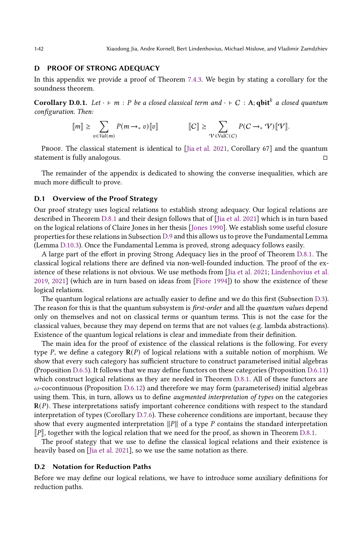# <span id="page-41-0"></span>D PROOF OF STRONG ADEQUACY

In this appendix we provide a proof of Theorem [7.4.3.](#page-24-1) We begin by stating a corollary for the soundness theorem.

<span id="page-41-1"></span>**Corollary D.0.1.** Let  $\cdot \vdash m : P$  be a closed classical term and  $\cdot \vdash C : A$ ;  $\textbf{qbit}^k$  a closed quantum configuration. Then:

$$
[\![m]\!] \geq \sum_{v \in Val(m)} P(m \rightarrow_{\ast} v) [\![v]\!]
$$
 
$$
[\![C]\!] \geq \sum_{\mathcal{V} \in ValC(C)} P(C \rightarrow_{\ast} \mathcal{V}) [\![\mathcal{V}]\!].
$$

PROOF. The classical statement is identical to [\[Jia et al. 2021](#page-26-3), Corollary 67] and the quantum statement is fully analogous.

The remainder of the appendix is dedicated to showing the converse inequalities, which are much more difficult to prove.

# D.1 Overview of the Proof Strategy

Our proof strategy uses logical relations to establish strong adequacy. Our logical relations are described in Theorem [D.8.1](#page-49-0) and their design follows that of [\[Jia et al. 2021\]](#page-26-3) which is in turn based on the logical relations of Claire Jones in her thesis [\[Jones 1990\]](#page-26-14). We establish some useful closure properties for these relations in Subsection [D.9](#page-50-0) and this allows us to prove the Fundamental Lemma (Lemma [D.10.3\)](#page-52-0). Once the Fundamental Lemma is proved, strong adequacy follows easily.

A large part of the effort in proving Strong Adequacy lies in the proof of Theorem [D.8.1.](#page-49-0) The classical logical relations there are defined via non-well-founded induction. The proof of the existence of these relations is not obvious. We use methods from [\[Jia et al. 2021;](#page-26-3) [Lindenhovius et al.](#page-26-27) [2019,](#page-26-27) [2021](#page-26-26)] (which are in turn based on ideas from [\[Fiore 1994\]](#page-26-10)) to show the existence of these logical relations.

The quantum logical relations are actually easier to define and we do this first (Subsection [D.3\)](#page-42-0). The reason for this is that the quantum subsystem is *first-order* and all the *quantum values* depend only on themselves and not on classical terms or quantum terms. This is not the case for the classical values, because they may depend on terms that are not values (e.g. lambda abstractions). Existence of the quantum logical relations is clear and immediate from their definition.

The main idea for the proof of existence of the classical relations is the following. For every type P, we define a category  $R(P)$  of logical relations with a suitable notion of morphism. We show that every such category has sufficient structure to construct parameterised initial algebras (Proposition [D.6.5\)](#page-45-0). It follows that we may define functors on these categories (Proposition [D.6.11\)](#page-46-0) which construct logical relations as they are needed in Theorem [D.8.1.](#page-49-0) All of these functors are  $\omega$ -cocontinuous (Proposition [D.6.12\)](#page-46-1) and therefore we may form (parameterised) initial algebras using them. This, in turn, allows us to define *augmented interpretation of types* on the categories  $R(P)$ . These interpretations satisfy important coherence conditions with respect to the standard interpretation of types (Corollary [D.7.6\)](#page-48-0). These coherence conditions are important, because they show that every augmented interpretation  $||P||$  of a type P contains the standard interpretation  $\llbracket P \rrbracket$ , together with the logical relation that we need for the proof, as shown in Theorem [D.8.1.](#page-49-0)

The proof stategy that we use to define the classical logical relations and their existence is heavily based on [\[Jia et al. 2021\]](#page-26-3), so we use the same notation as there.

### D.2 Notation for Reduction Paths

Before we may define our logical relations, we have to introduce some auxiliary definitions for reduction paths.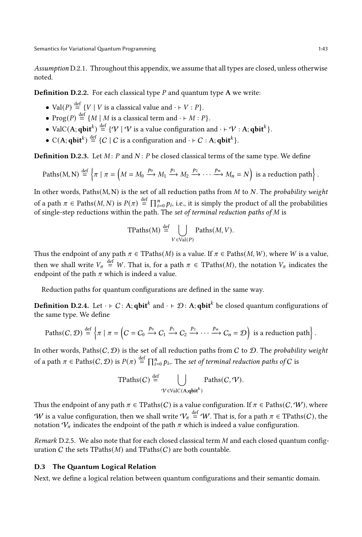Assumption D.2.1. Throughout this appendix, we assume that all types are closed, unless otherwise noted.

**Definition D.2.2.** For each classical type  $P$  and quantum type  $A$  we write:

- Val( $P$ )  $\stackrel{\text{def}}{=}$  { $V \mid V$  is a classical value and  $\cdot \vdash V : P$  }.
- $\text{Prog}(P) \stackrel{\text{def}}{=} \{ M \mid M \text{ is a classical term and } \cdot \vdash M : P \}.$
- ValC(A;  $\textbf{qbit}^k$ )  $\stackrel{\text{def}}{=} \{ \mathcal{V} \mid \mathcal{V} \text{ is a value configuration and } \cdot \vdash \mathcal{V} : \mathbf{A}; \textbf{qbit}^k \}.$
- C(A; qbit<sup>k</sup>)  $\stackrel{\text{def}}{=}$  {C | C is a configuration and · ⊢ C : A; qbit<sup>k</sup>}.

<span id="page-42-1"></span>**Definition D.2.3.** Let  $M: P$  and  $N: P$  be closed classical terms of the same type. We define

Paths(M, N) 
$$
\stackrel{\text{def}}{=} \left\{ \pi \mid \pi = \left( M = M_0 \xrightarrow{p_0} M_1 \xrightarrow{p_1} M_2 \xrightarrow{p_2} \cdots \xrightarrow{p_n} M_n = N \right) \text{ is a reduction path} \right\}.
$$

In other words, Paths $(M, N)$  is the set of all reduction paths from  $M$  to  $N$ . The *probability weight* of a path  $\pi \in \text{Paths}(M, N)$  is  $P(\pi) \stackrel{\text{def}}{=} \prod_{i=0}^{n} p_i$ , i.e., it is simply the product of all the probabilities of single-step reductions within the path. The set of terminal reduction paths of  $M$  is

$$
\text{TPaths}(M) \stackrel{\text{def}}{=} \bigcup_{V \in \text{Val}(P)} \text{Paths}(M, V).
$$

Thus the endpoint of any path  $\pi \in \text{Paths}(M)$  is a value. If  $\pi \in \text{Paths}(M, W)$ , where W is a value, then we shall write  $V_{\pi} \stackrel{\text{def}}{=} W$ . That is, for a path  $\pi \in \text{TPaths}(M)$ , the notation  $V_{\pi}$  indicates the endpoint of the path  $\pi$  which is indeed a value.

Reduction paths for quantum configurations are defined in the same way.

**Definition D.2.4.** Let  $\cdot \vdash C$  : A;  $\textbf{qbit}^k$  and  $\cdot \vdash \mathcal{D}$  : A;  $\textbf{qbit}^k$  be closed quantum configurations of the same type. We define

Paths
$$
(C, \mathcal{D}) \stackrel{\text{def}}{=} \left\{ \pi \mid \pi = \left( C = C_0 \xrightarrow{p_0} C_1 \xrightarrow{p_1} C_2 \xrightarrow{p_2} \cdots \xrightarrow{p_n} C_n = \mathcal{D} \right) \text{ is a reduction path} \right\}.
$$

In other words, Paths $(C, \mathcal{D})$  is the set of all reduction paths from C to D. The probability weight of a path  $\pi \in \text{Paths}(C, \mathcal{D})$  is  $P(\pi) \stackrel{\text{def}}{=} \prod_{i=0}^n p_i$ . The set of terminal reduction paths of  $C$  is

$$
\text{TPaths}(C) \stackrel{\text{def}}{=} \bigcup_{\mathcal{V} \in \text{ValC}(A: \text{qbit}^k)} \text{Paths}(C, \mathcal{V}).
$$

Thus the endpoint of any path  $\pi \in \text{Paths}(C)$  is a value configuration. If  $\pi \in \text{Paths}(C, W)$ , where  $W$  is a value configuration, then we shall write  $\mathcal{V}_\pi\stackrel{\rm def}{=}\mathcal{W}.$  That is, for a path  $\pi\in\mathrm{TPaths}(C),$  the notation  $V_{\pi}$  indicates the endpoint of the path  $\pi$  which is indeed a value configuration.

Remark D.2.5. We also note that for each closed classical term  $M$  and each closed quantum configuration C the sets  $\text{TPaths}(M)$  and  $\text{TPaths}(C)$  are both countable.

#### <span id="page-42-0"></span>D.3 The Quantum Logical Relation

Next, we define a logical relation between quantum configurations and their semantic domain.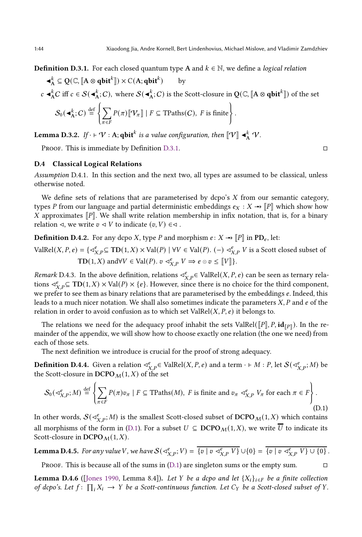<span id="page-43-0"></span>**Definition D.3.1.** For each closed quantum type A and  $k \in \mathbb{N}$ , we define a *logical relation* 

$$
\begin{aligned}\n&\blacktriangleleft_{\mathbf{A}}^k \subseteq \mathbf{Q}(\mathbb{C}, \llbracket \mathbf{A} \otimes \mathbf{qbit}^k \rrbracket) \times \mathbf{C}(\mathbf{A}; \mathbf{qbit}^k) & \text{by} \\
&c \blacktriangleleft_{\mathbf{A}}^k C \text{ iff } c \in \mathcal{S}(\blacktriangleleft_{\mathbf{A}}^k; C), \text{ where } \mathcal{S}(\blacktriangleleft_{\mathbf{A}}^k; C) \text{ is the Scott-closure in } \mathbf{Q}(\mathbb{C}, \llbracket \mathbf{A} \otimes \mathbf{qbit}^k \rrbracket) \text{ of the set} \\
&S_0(\blacktriangleleft_{\mathbf{A}}^k; C) \stackrel{\text{def}}{=} \left\{ \sum_{\pi \in F} P(\pi) \llbracket \mathcal{V}_\pi \rrbracket \mid F \subseteq \text{TPaths}(C), \text{ } F \text{ is finite} \right\}.\n\end{aligned}
$$

<span id="page-43-2"></span>**Lemma D.3.2.** If  $\cdot \vdash \mathcal{V} : A$ ;  $\mathbf{qbit}^k$  is a value configuration, then  $\llbracket \mathcal{V} \rrbracket \blacktriangleleft^k_\mathbf{A} \mathcal{V}.$ 

**PROOF.** This is immediate by Definition [D.3.1.](#page-43-0)

# D.4 Classical Logical Relations

Assumption D.4.1. In this section and the next two, all types are assumed to be classical, unless otherwise noted.

We define sets of relations that are parameterised by dcpo's  $X$  from our semantic category, types P from our language and partial deterministic embeddings  $e_X : X \rightarrow [P]$  which show how X approximates  $\llbracket P \rrbracket$ . We shall write relation membership in infix notation, that is, for a binary relation  $\triangleleft$ , we write  $v \triangleleft V$  to indicate  $(v, V) \in \triangleleft$ .

**Definition D.4.2.** For any dcpo *X*, type *P* and morphism  $e: X \rightarrow [P]$  in PD<sub>e</sub>, let:

 $ValRel(X, P, e) = \{ \triangleleft_{X,P}^e \subseteq TD(1,X) \times Val(P) \mid \forall V \in Val(P). (-) \triangleleft_{X,P}^e V \text{ is a Scott closed subset of } \}$ TD(1, X) and $\forall V \in \text{Val}(P)$ .  $v \triangleleft_{X,P}^e V \Rightarrow e \circ v \leq [V]$  }.

*Remark* D.4.3. In the above definition, relations  $\prec_{X,P}^e \in \text{ValRel}(X,P,e)$  can be seen as ternary relations  $\triangleleft^e_{X,P} \subseteq TD(1,X) \times Val(P) \times \{e\}$ . However, since there is no choice for the third component, we prefer to see them as binary relations that are parameterised by the embeddings  $e$ . Indeed, this leads to a much nicer notation. We shall also sometimes indicate the parameters  $X, P$  and  $e$  of the relation in order to avoid confusion as to which set ValRel $(X, P, e)$  it belongs to.

The relations we need for the adequacy proof inhabit the sets ValRel( $\llbracket P \rrbracket, P, \mathbf{id}_{\llbracket P \rrbracket}$ ). In the remainder of the appendix, we will show how to choose exactly one relation (the one we need) from each of those sets.

The next definition we introduce is crucial for the proof of strong adequacy.

**Definition D.4.4.** Given a relation  $\lhd_{X,P}^e \in \mathrm{ValRel}(X,P,e)$  and a term  $\cdot \vdash M : P$ , let  $\mathcal{S}(\lhd_{X,P}^e;M)$  be the Scott-closure in  $DCPO<sub>M</sub>(1, X)$  of the set

<span id="page-43-1"></span>
$$
\mathcal{S}_0(\lhd_{X,P}^e;M) \stackrel{\text{def}}{=} \left\{ \sum_{\pi \in F} P(\pi)v_{\pi} \mid F \subseteq \text{TPaths}(M), \ F \text{ is finite and } v_{\pi} \lhd_{X,P}^e V_{\pi} \text{ for each } \pi \in F \right\}.
$$
\n(D.1)

In other words,  $\mathcal{S}(\triangleleft^e_{X,P};M)$  is the smallest Scott-closed subset of  $\mathsf{DCPO}_{\mathcal{M}}(1,X)$  which contains all morphisms of the form in [\(D.1\)](#page-43-1). For a subset  $U \subseteq DCPO_{\mathcal{M}}(1,X)$ , we write  $\overline{U}$  to indicate its Scott-closure in  $DCPO<sub>M</sub>(1, X)$ .

**Lemma D.4.5.** For any value V, we have  $S(\triangleleft_{X,P}^e;V) = \overline{\{v \mid v \triangleleft_{X,P}^e V\}} \cup \{0\} = \overline{\{v \mid v \triangleleft_{X,P}^e V\}} \cup \{0\}$ .

PROOF. This is because all of the sums in  $(D.1)$  are singleton sums or the empty sum.  $\square$ 

**Lemma D.4.6** ([\[Jones 1990](#page-26-14), Lemma 8.4]). Let *Y* be a dcpo and let  $\{X_i\}_{i \in F}$  be a finite collection of dcpo's. Let  $f: \prod_i X_i \to Y$  be a Scott-continuous function. Let  $C_Y$  be a Scott-closed subset of Y.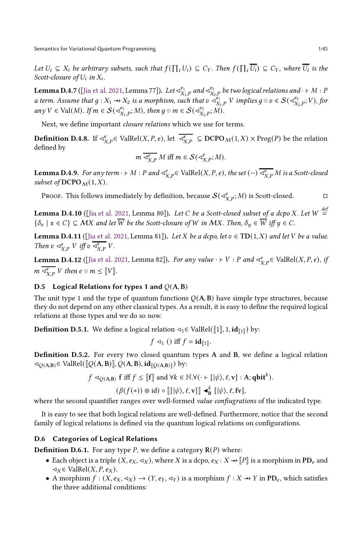Let  $U_i \subseteq X_i$  be arbitrary subsets, such that  $f(\prod_i U_i) \subseteq C_Y$ . Then  $f(\prod_i \overline{U_i}) \subseteq C_Y$ , where  $\overline{U_i}$  is the Scott-closure of  $U_i$  in  $X_i$ .

<span id="page-44-0"></span>**Lemma D.4.7** ([\[Jia et al. 2021,](#page-26-3) Lemma 77]). *Let*  $\triangleleft^{e_1}_{X_1,P}$  and  $\triangleleft^{e_2}_{X_2,P}$  be two logical relations and  $\cdot \vdash M:P$ **Lemma D.4.**  $\tau$  (Figure at at 2021, Lemma  $\tau$ ). Let  $\triangleleft_{X_1,P}$  and  $\triangleleft_{X_2,P}$  be two logical relations and  $\cdot \vdash M$  :  $r$  a term. Assume that  $g: X_1 \rightarrow X_2$  is a morphism, such that  $v \triangleleft_{X_1,P}^{e_1}$  V implies  $g \circ v \in S$ any  $V \in \text{Val}(M)$ . If  $m \in \mathcal{S}(\prec_{X_1,P}^{e_1}; M)$ , then  $g \circ m \in \mathcal{S}(\prec_{X_2,P}^{e_2}; M)$ .

Next, we define important closure relations which we use for terms.

**Definition D.4.8.** If  $\lhd^e_{X,P} \in \text{ValRel}(X,P,e)$ , let  $\lnotvert \{e_{X,P}^e \subseteq \text{DCPO}_{\mathcal{M}}(1,X) \times \text{Prog}(P) \}$  be the relation defined by

$$
m \overline{\lhd^e_{X,P}} M \text{ iff } m \in \mathcal{S}(\lhd^e_{X,P}; M).
$$

**Lemma D.4.9.** For any term  $\cdot \vdash M : P$  and  $\triangleleft^e_{X,P} \in \text{ValRel}(X,P,e)$ , the set  $(-)$   $\overline{\triangleleft^e_{X,P}}$   $M$  is a Scott-closed subset of  $\text{DCPO}_M(1,X)$ .

Proof. This follows immediately by definition, because  $\mathcal{S}(\prec_{X,P}^e;M)$  is Scott-closed. □

**Lemma D.4.10** ([\[Jia et al. 2021,](#page-26-3) Lemma 80]). Let C be a Scott-closed subset of a dcpo X. Let  $W$ def =  $\{\delta_x \mid x \in C\} \subseteq M X$  and let  $\overline{W}$  be the Scott-closure of W in MX. Then,  $\delta_y \in \overline{W}$  iff  $y \in C$ .

Lemma D.4.11 ([\[Jia et al. 2021,](#page-26-3) Lemma 81]). Let X be a dcpo, let  $v \in TD(1, X)$  and let V be a value. Then  $v \triangleleft^e_{X,P} V$  iff  $v \triangleleft^e_{X,P} V$ .

**Lemma D.4.12** ([\[Jia et al. 2021,](#page-26-3) Lemma 82]). For any value  $\cdot \vdash V : P$  and  $\lhd_{X,P}^e \in \text{ValRel}(X,P,e)$ , if  $m \overline{\lhd^e_{X,P}}$  V then  $e \odot m \leq [V]$ .

# D.5 Logical Relations for types 1 and  $Q(A, B)$

The unit type 1 and the type of quantum functions  $Q(A, B)$  have simple type structures, because they do not depend on any other classical types. As a result, it is easy to define the required logical relations at those types and we do so now.

**Definition D.5.1.** We define a logical relation ⊲<sub>1</sub>∈ ValRel([[1]], 1,  $id_{\llbracket 1\rrbracket}$ ) by:

$$
f \triangleleft_1 () \text{ iff } f = \mathbf{id}_{\llbracket 1 \rrbracket}.
$$

Definition D.5.2. For every two closed quantum types A and B, we define a logical relation  $\triangleleft_{Q(A,B)} \in \text{ValRel}([\![Q(A,B)]\!], Q(A,B), id_{[\![Q(A,B)]\!]}$  by:

$$
f \triangleleft_{Q(A,B)} f
$$
 iff  $f \leq [[f]]$  and  $\forall k \in \mathbb{N}.\forall (\cdot \vdash [|\psi\rangle, \ell, v] : A; qbit^k)$ .

$$
(\beta(f(*)) \otimes id) \circ [[[\psi \rangle, \ell, v]] \blacktriangleleft_{B}^{k} [\psi \rangle, \ell, fv],
$$

where the second quantifier ranges over well-formed value confiugrations of the indicated type.

It is easy to see that both logical relations are well-defined. Furthermore, notice that the second family of logical relations is defined via the quantum logical relations on configurations.

### D.6 Categories of Logical Relations

**Definition D.6.1.** For any type P, we define a category  $\mathbf{R}(P)$  where:

- Each object is a triple  $(X, e_X, \neg_X)$ , where X is a dcpo,  $e_X : X \rightarrow \|P\|$  is a morphism in PD<sub>e</sub> and  $\lhd$ <sub>X</sub>∈ ValRel(*X*, *P*, *e*<sub>X</sub>).
- A morphism  $f : (X, e_X, \neg_X) \to (Y, e_Y, \neg_Y)$  is a morphism  $f : X \to Y$  in PD<sub>e</sub>, which satisfies the three additional conditions: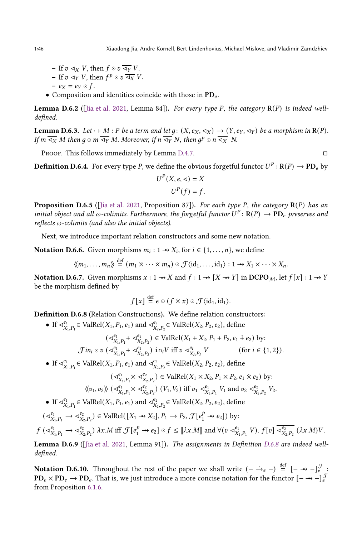- If  $v \triangleleft_X V$ , then  $f \odot v \overline{\triangleleft_Y V}$ .
- If  $v \triangleleft_Y V$ , then  $f^p \odot v \overline{\triangleleft_X V}$ .
- $e_X = e_Y \odot f$ .
- Composition and identities coincide with those in  $PD_e$ .

**Lemma D.6.2** ([\[Jia et al. 2021,](#page-26-3) Lemma 84]). For every type P, the category  $R(P)$  is indeed welldefined.

**Lemma D.6.3.** Let  $\cdot \vdash M : P$  be a term and let  $g : (X, e_X, \triangleleft_X) \rightarrow (Y, e_Y, \triangleleft_Y)$  be a morphism in  $\mathbb{R}(P)$ . If  $m\overline{\lhd_X}$   $M$  then  $g\circ m\overline{\lhd_Y}$   $M.$  Moreover, if  $n\overline{\lhd_Y}$   $N,$  then  $g^p\circ n\overline{\lhd_X}$   $N.$ 

Proof. This follows immediately by Lemma [D.4.7.](#page-44-0)  $\Box$ 

**Definition D.6.4.** For every type P, we define the obvious forgetful functor  $U^P \colon \mathbf{R}(P) \to \mathbf{PD}_e$  by

$$
U^{P}(X, e, \triangleleft) = X
$$

$$
U^{P}(f) = f.
$$

<span id="page-45-0"></span>**Proposition D.6.5** ([\[Jia et al. 2021,](#page-26-3) Proposition 87]). For each type P, the category  $R(P)$  has an initial object and all  $\omega$ -colimits. Furthermore, the forgetful functor  $U^P\colon \mathbf{R}(P)\to \mathbf{PD}_e$  preserves and reflects  $\omega$ -colimits (and also the initial objects).

Next, we introduce important relation constructors and some new notation.

Notation D.6.6. Given morphisms  $m_i : 1 \rightarrow X_i$ , for  $i \in \{1, ..., n\}$ , we define

$$
\langle\!\langle m_1,\ldots,m_n\rangle\!\rangle \stackrel{\text{def}}{=} (m_1 \times \cdots \times m_n) \circ \mathcal{J} \langle \text{id}_1,\ldots,\text{id}_1 \rangle : 1 \to X_1 \times \cdots \times X_n.
$$

Notation D.6.7. Given morphisms  $x : 1 \rightarrow X$  and  $f : 1 \rightarrow [X \rightarrow Y]$  in DCPO<sub>M</sub>, let  $f[x] : 1 \rightarrow Y$ be the morphism defined by

$$
f[x] \stackrel{\text{def}}{=} \epsilon \circ (f \times x) \circ \mathcal{J} \langle id_1, id_1 \rangle.
$$

<span id="page-45-1"></span>Definition D.6.8 (Relation Constructions). We define relation constructors:

• If  $\triangleleft^{e_1}_{X}$  $e_1$ <sub> $X_1, P_1$ </sub> $\in$  ValRel $(X_1, P_1, e_1)$  and  $\triangleleft^{e_2}_{X_1}$  $e_2$ <br> $X_2, P_2 \in \text{ValRel}(X_2, P_2, e_2)$ , define

$$
(\lhd_{X_1,P_1}^{e_1} + \lhd_{X_2,P_2}^{e_2}) \in \text{ValRel}(X_1 + X_2, P_1 + P_2, e_1 \dotplus e_2) \text{ by:}
$$
  

$$
\mathcal{J}in_i \circ v \; (\lhd_{X_1,P_1}^{e_1} + \lhd_{X_2,P_2}^{e_2}) \; \text{in}_i V \text{ iff } v \; \lhd_{X_i,P_i}^{e_i} V \qquad \text{(for } i \in \{1,2\}).
$$

• If  $\triangleleft^{e_1}_{X}$  $e_1$ <sub> $X_1, P_1$ </sub> $\in$  ValRel $(X_1, P_1, e_1)$  and  $\triangleleft^{e_2}_{X_1}$  $e_2$ <sub> $X_2, P_2$ </sub> $\in$  ValRel $(X_2, P_2, e_2)$ , define

$$
(\lhd_{X_1,P_1}^{e_1} \times \lhd_{X_2,P_2}^{e_2}) \in \text{ValRel}(X_1 \times X_2, P_1 \times P_2, e_1 \times e_2) \text{ by:}
$$
  

$$
\langle\langle v_1, v_2 \rangle\rangle \left( \lhd_{X_1,P_1}^{e_1} \times \lhd_{X_2,P_2}^{e_2} \right) (V_1, V_2) \text{ iff } v_1 \lhd_{X_1,P_1}^{e_1} V_1 \text{ and } v_2 \lhd_{X_2,P_2}^{e_2} V_2.
$$

• If  $\triangleleft^{e_1}_{X}$  $e_1$ <sub> $X_1, P_1$ </sub> $\in$  ValRel $(X_1, P_1, e_1)$  and  $\triangleleft^{e_2}_{X_1}$  $e_2$ <sub> $X_2, P_2$ </sub> $\in$  ValRel $(X_2, P_2, e_2)$ , define

 $(\triangleleft_{X_1,P_1}^{e_1} \rightarrow \triangleleft_{X_1}^{e_2})$  $\begin{aligned} e_{2}, e_{2}, e_{2} \in \text{ValRel}([X_{1} \leftrightarrow X_{2}], P_{1} \rightarrow P_{2}, \mathcal{J}[e_{1}^{p} \rightarrow e_{2}]) \text{ by:} \end{aligned}$  $f\left(\triangleleft^{e_1}_{X_1,P_1}\right) \to \triangleleft^{e_2}_{X_1}$  $\begin{bmatrix} e_2 \\ e_2 \\ X_2, P_2 \end{bmatrix}$   $\lambda x.M$  iff  $\mathcal{J}[e_1^p \rightarrow e_2] \circ f \leq [\![\lambda x.M]\!]$  and  $\forall (v \triangleleft_X^{e_1})$  $\frac{e_1}{X_1, P_1}$  V).  $f[v]$   $\frac{e_2}{\sqrt{X_1}}$ 

Lemma D.6.9 ([\[Jia et al. 2021,](#page-26-3) Lemma 91]). The assignments in Definition [D.6.8](#page-45-1) are indeed welldefined.

 $^{e_2}_{X_2,P_2}$   $(\lambda x.M)V$ .

Notation D.6.10. Throughout the rest of the paper we shall write  $(- \rightarrow_e -)$   $\stackrel{\text{def}}{=} [- \rightarrow_e -]_e^{\mathcal{J}}$  : **PD**<sub>e</sub>  $\times$  PD<sub>e</sub>  $\rightarrow$  PD<sub>e</sub>. That is, we just introduce a more concise notation for the functor  $[- \rightarrow -]_e^{\mathcal{L}}$ . from Proposition [6.1.6.](#page-19-1)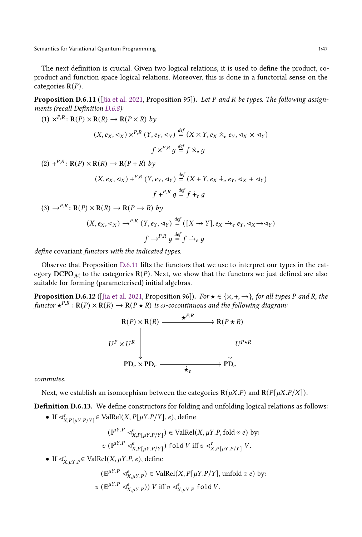The next definition is crucial. Given two logical relations, it is used to define the product, coproduct and function space logical relations. Moreover, this is done in a functorial sense on the categories  $R(P)$ .

<span id="page-46-0"></span>**Proposition D.6.11** ([\[Jia et al. 2021,](#page-26-3) Proposition 95]). Let P and R be types. The following assignments (recall Definition [D.6.8\)](#page-45-1):

(1) 
$$
\times^{P,R}
$$
:  $\mathbf{R}(P) \times \mathbf{R}(R) \to \mathbf{R}(P \times R)$  by  
\n $(X, e_X, \triangleleft_X) \times^{P,R} (Y, e_Y, \triangleleft_Y) \stackrel{def}{=} (X \times Y, e_X \times_e e_Y, \triangleleft_X \times \triangleleft_Y)$   
\n $f \times^{P,R} g \stackrel{def}{=} f \times_e g$   
\n(2) +<sup>P,R</sup>:  $\mathbf{R}(P) \times \mathbf{R}(R) \to \mathbf{R}(P + R)$  by

$$
(X, e_X, \lhd_X) +^{P,R} (Y, e_Y, \lhd_Y) \stackrel{def}{=} (X + Y, e_X \dotplus e_Y, \lhd_X + \lhd_Y)
$$
  

$$
f +^{P,R} g \stackrel{def}{=} f \dotplus e g
$$

$$
(3) \to^{P,R}: \mathbf{R}(P) \times \mathbf{R}(R) \to \mathbf{R}(P \to R) \, by
$$

$$
(X, e_X, \lhd_X) \to^{P,R} (Y, e_Y, \lhd_Y) \stackrel{\text{def}}{=} ([X \to Y], e_X \xrightarrow{\rightarrow} e e_Y, \lhd_X \to \lhd_Y)
$$
  

$$
f \to^{P,R} g \stackrel{\text{def}}{=} f \xrightarrow{\rightarrow} e g
$$

define covariant functors with the indicated types.

Observe that Proposition [D.6.11](#page-46-0) lifts the functors that we use to interpret our types in the category  $DCPO_M$  to the categories  $R(P)$ . Next, we show that the functors we just defined are also suitable for forming (parameterised) initial algebras.

<span id="page-46-1"></span>**Proposition D.6.12** ([\[Jia et al. 2021,](#page-26-3) Proposition 96]). For  $\star \in \{x, +, \to\}$ , for all types P and R, the functor  $\star^{P,R} : \mathbf{R}(P) \times \mathbf{R}(R) \to \mathbf{R}(P \star R)$  is  $\omega$ -cocontinuous and the following diagram:



commutes.

Next, we establish an isomorphism between the categories  $\mathbf{R}(\mu X.P)$  and  $\mathbf{R}(P[\mu X.P/X])$ .

Definition D.6.13. We define constructors for folding and unfolding logical relations as follows:

• If  $\lhd^e_{X,P[\mu Y,P/Y]} \in \text{ValRel}(X,P[\mu Y.P/Y], e)$ , define

$$
(\mathbb{I}^{\mu Y.P} \triangleleft^e_{X,P[\mu Y.P/Y]}) \in \text{ValRel}(X, \mu Y.P, \text{fold} \odot e) \text{ by:}
$$
  

$$
v (\mathbb{I}^{\mu Y.P} \triangleleft^e_{X,P[\mu Y.P/Y]}) \text{ fold } V \text{ iff } v \triangleleft^e_{X,P[\mu Y.P/Y]} V.
$$

• If  $\lhd^e_{X,\mu Y,P} \in \text{ValRel}(X, \mu Y.P, e)$ , define

$$
(\mathbb{E}^{\mu Y.P} \triangleleft^e_{X,\mu Y.P}) \in \text{ValRel}(X, P[\mu Y.P/Y], \text{unfold} \circ e) \text{ by:}
$$
  

$$
v (\mathbb{E}^{\mu Y.P} \triangleleft^e_{X,\mu Y.P})) V \text{ iff } v \triangleleft^e_{X,\mu Y.P} \text{ fold } V.
$$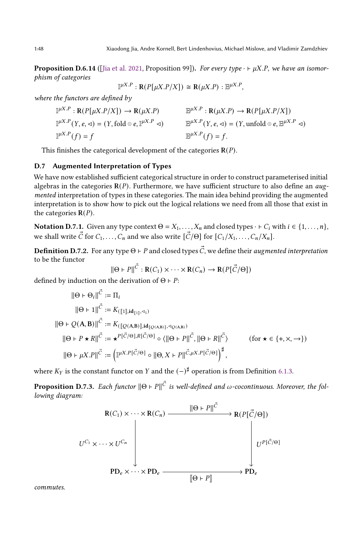**Proposition D.6.14** ([\[Jia et al. 2021,](#page-26-3) Proposition 99]). For every type  $\cdot \vdash \mu X.P$ , we have an isomorphism of categories

$$
\mathbb{I}^{\mu X.P} : \mathbf{R}(P[\mu X.P/X]) \cong \mathbf{R}(\mu X.P) : \mathbb{E}^{\mu X.P},
$$

where the functors are defined by

$$
\mathbb{I}^{\mu X.P} : \mathbf{R}(P[\mu X.P/X]) \to \mathbf{R}(\mu X.P) \qquad \mathbb{E}^{\mu X.P} : \mathbf{R}(\mu X.P) \to \mathbf{R}(P[\mu X.P/X])
$$
  

$$
\mathbb{I}^{\mu X.P}(Y, e, \lhd) = (Y, \text{fold} \odot e, \mathbb{I}^{\mu X.P} \lhd) \qquad \mathbb{E}^{\mu X.P}(Y, e, \lhd) = (Y, \text{unfold} \odot e, \mathbb{E}^{\mu X.P} \lhd)
$$
  

$$
\mathbb{I}^{\mu X.P}(f) = f \qquad \mathbb{E}^{\mu X.P}(f) = f.
$$

This finishes the categorical development of the categories  $R(P)$ .

# D.7 Augmented Interpretation of Types

We have now established sufficient categorical structure in order to construct parameterised initial algebras in the categories  $R(P)$ . Furthermore, we have sufficient structure to also define an *aug*mented interpretation of types in these categories. The main idea behind providing the augmented interpretation is to show how to pick out the logical relations we need from all those that exist in the categories  $R(P)$ .

**Notation D.7.1.** Given any type context  $\Theta = X_1, \ldots, X_n$  and closed types  $\cdot \vdash C_i$  with  $i \in \{1, \ldots, n\}$ , we shall write  $\vec{C}$  for  $C_1, \ldots, C_n$  and we also write  $[\vec{C}/\Theta]$  for  $[C_1/X_1, \ldots, C_n/X_n]$ .

**Definition D.7.2.** For any type  $\Theta \vdash P$  and closed types  $\vec{C}$ , we define their *augmented interpretation* to be the functor

$$
\|\Theta \vdash P\|^{\vec{C}} : \mathbf{R}(C_1) \times \cdots \times \mathbf{R}(C_n) \to \mathbf{R}(P[\vec{C}/\Theta])
$$

defined by induction on the derivation of  $\Theta \vdash P$ :

$$
\|\Theta \vdash \Theta_i\|^{\vec{C}} := \Pi_i
$$
  
\n
$$
\|\Theta \vdash 1\|^{\vec{C}} := K_{([\![1]\!], id_{[\![1]\!], \lhd_1)}
$$
  
\n
$$
\|\Theta \vdash Q(\mathbf{A}, \mathbf{B})\|^{\vec{C}} := K_{([\![Q(\mathbf{A}, \mathbf{B})]\!], id_{[\![Q(\mathbf{A}, \mathbf{B})]\!]}, \lhd_{Q(\mathbf{A}, \mathbf{B})})}
$$
  
\n
$$
\|\Theta \vdash P \star R\|^{\vec{C}} := \star^{P[\vec{C}/\Theta], R[\vec{C}/\Theta]} \circ (\|\Theta \vdash P\|^{\vec{C}}, \|\Theta \vdash R\|^{\vec{C}})
$$
  
\n
$$
\|\Theta \vdash \mu X.P\|^{\vec{C}} := (\mathbb{I}^{\mu X.P[\vec{C}/\Theta]} \circ \|\Theta, X \vdash P\|^{\vec{C}, \mu X.P[\vec{C}/\Theta]})^{\sharp},
$$

where  $K_Y$  is the constant functor on Y and the  $(-)^{\#}$  operation is from Definition [6.1.3.](#page-18-1)

<span id="page-47-0"></span>**Proposition D.7.3.** Each functor  $\|\Theta \vdash P\|^{C}$  is well-defined and  $\omega$ -cocontinuous. Moreover, the following diagram:

$$
R(C_1) \times \cdots \times R(C_n) \xrightarrow{\| \Theta \vdash P \|^{\vec{C}} \to R(P[\vec{C}/\Theta])}
$$
\n
$$
U^{C_1} \times \cdots \times U^{C_n} \downarrow \qquad \qquad U^{P[\vec{C}/\Theta]}
$$
\n
$$
PD_e \times \cdots \times PD_e \xrightarrow{\qquad \qquad [\Theta \vdash P]]} PD_e
$$

commutes.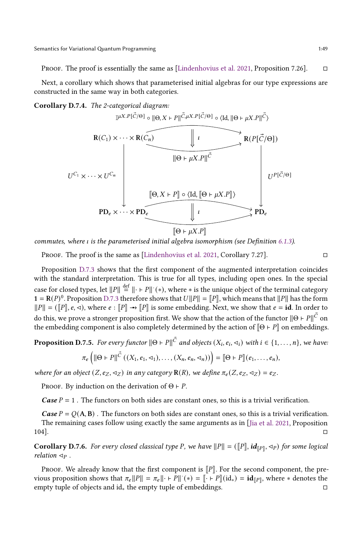PROOF. The proof is essentially the same as [\[Lindenhovius et al. 2021,](#page-26-26) Proposition 7.26].  $\Box$ 

Next, a corollary which shows that parameterised initial algebras for our type expressions are constructed in the same way in both categories.

Corollary D.7.4. The 2-categorical diagram:



commutes, where  $\iota$  is the parameterised initial algebra isomorphism (see Definition [6.1.3\)](#page-18-1).

Proof. The proof is the same as [\[Lindenhovius et al. 2021,](#page-26-26) Corollary 7.27].

Proposition [D.7.3](#page-47-0) shows that the first component of the augmented interpretation coincides with the standard interpretation. This is true for all types, including open ones. In the special case for closed types, let  $\|P\| \overset{\text{def}}{=} \|\cdot \vdash P\|$   $(*)$ , where  $*$  is the unique object of the terminal category  $1 = \mathbf{R}(P)^0$ . Proposition [D.7.3](#page-47-0) therefore shows that  $U||P|| = [P]$ , which means that  $||P||$  has the form  $||P|| = (||P||, e, \triangleleft),$  where  $e : ||P|| \rightarrow ||P||$  is some embedding. Next, we show that  $e = id$ . In order to do this, we prove a stronger proposition first. We show that the action of the functor  $\|\Theta \vdash P\|^{\vec{C}}$  on the embedding component is also completely determined by the action of  $\Theta \vdash P \parallel$  on embeddings.

**Proposition D.7.5.** For every functor  $\|\Theta \vdash P\|^{\vec{C}}$  and objects  $(X_i, e_i, \triangleleft_i)$  with  $i \in \{1, ..., n\}$ , we have:

$$
\pi_e\left(\left|\left|\Theta\vdash P\right|\right| \vec{C}\left((X_1,e_1,\lhd_1),\ldots,(X_n,e_n,\lhd_n)\right)\right)=\left[\left|\Theta\vdash P\right]\right](e_1,\ldots,e_n),
$$

where for an object  $(Z, e_Z, \triangleleft_Z)$  in any category  $\mathbf{R}(R)$ , we define  $\pi_e(Z, e_Z, \triangleleft_Z) = e_Z$ .

PROOF. By induction on the derivation of  $\Theta \vdash P$ .

**Case**  $P = 1$ . The functors on both sides are constant ones, so this is a trivial verification.

**Case**  $P = O(A, B)$ . The functors on both sides are constant ones, so this is a trivial verification. The remaining cases follow using exactly the same arguments as in [\[Jia et al. 2021,](#page-26-3) Proposition 104].

<span id="page-48-0"></span>**Corollary D.7.6.** For every closed classical type P, we have  $||P|| = (\llbracket P \rrbracket, id_{\llbracket P \rrbracket}, \triangleleft_P)$  for some logical relation  $\lhd_P$ .

PROOF. We already know that the first component is  $\llbracket P \rrbracket$ . For the second component, the previous proposition shows that  $\pi_e ||P|| = \pi_e ||\cdot \vdash P||'(*) = ||\cdot \vdash P|| (id_*) = id_{[P]},$  where  $*$  denotes the empty tuple of objects and id<sub>∗</sub> the empty tuple of embeddings.  $□$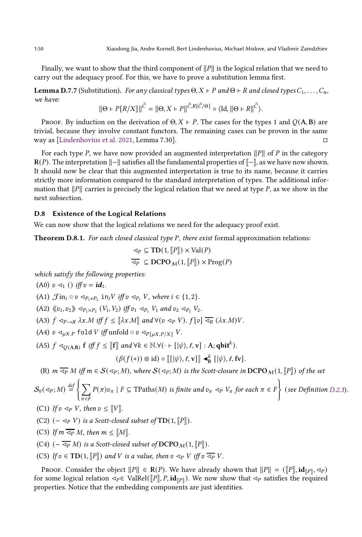Finally, we want to show that the third component of  $||P||$  is the logical relation that we need to carry out the adequacy proof. For this, we have to prove a substitution lemma first.

**Lemma D.7.7** (Substitution). For any classical types  $\Theta$ ,  $X \vdash P$  and  $\Theta \vdash R$  and closed types  $C_1, \ldots, C_n$ , we have:

$$
\|\Theta \vdash P[R/X]\|^{\mathcal{C}} = \|\Theta, X \vdash P\|^{\mathcal{C}, R[\mathcal{C}/\Theta]} \circ \langle \mathrm{Id}, \|\Theta \vdash R\|^{\mathcal{C}} \rangle.
$$

PROOF. By induction on the derivation of  $\Theta$ ,  $X \vdash P$ . The cases for the types 1 and  $Q(A, B)$  are trivial, because they involve constant functors. The remaining cases can be proven in the same way as [\[Lindenhovius et al. 2021,](#page-26-26) Lemma 7.30].

For each type P, we have now provided an augmented interpretation  $||P||$  of P in the category  $R(P)$ . The interpretation  $\Vert - \Vert$  satisfies all the fundamental properties of  $\Vert - \Vert$ , as we have now shown. It should now be clear that this augmented interpretation is true to its name, because it carries strictly more information compared to the standard interpretation of types. The additional information that  $||P||$  carries is precisely the logical relation that we need at type P, as we show in the next subsection.

# D.8 Existence of the Logical Relations

We can now show that the logical relations we need for the adequacy proof exist.

<span id="page-49-0"></span>**Theorem D.8.1.** For each closed classical type  $P$ , there exist formal approximation relations:

$$
\langle P \subseteq TD(1, [P]] \times \text{Val}(P)
$$
  

$$
\langle \overline{P} \subseteq DCPO_{\mathcal{M}}(1, [P]] \times \text{Prog}(P)
$$

which satisfy the following properties:

(A0)  $v \leq_1 ()$  iff  $v = id_1$ .

(A1)  $\mathcal{J}$  in<sub>i</sub>  $\circ v \triangleleft_{P_1+P_2}$  in<sub>i</sub> $V$  iff  $v \triangleleft_{P_i} V$ , where  $i \in \{1, 2\}$ .

(A2)  $\langle v_1, v_2 \rangle \sim_{P_1 \times P_2} (V_1, V_2)$  iff  $v_1 \prec_{P_1} V_1$  and  $v_2 \prec_{P_2} V_2$ .

(A3)  $f \triangleleft_{P\rightarrow R} \lambda x.M$  iff  $f \triangleleft \lceil \lambda x.M \rceil \right\rceil$  and  $\forall (v \triangleleft_{P} V)$ .  $f[v] \triangleleft_{R} (\lambda x.M)V$ .

(A4)  $v \triangleleft_{uX,P}$  fold V iff unfold  $\odot v \triangleleft_{P[uX,P/X]} V$ .

(A5)  $f \triangleleft_{Q(A,B)} f \text{ iff } f \leq [\![f]\!] \text{ and } \forall k \in \mathbb{N}. \forall (\cdot \vdash [\!|\psi \rangle, \ell, v] : A; \text{qbit}^k).$ 

$$
(\beta(f(*)) \otimes id) \circ [[[\psi \rangle, \ell, v]] \blacktriangleleft_{B}^{k} [\psi \rangle, \ell, fv].
$$

(R)  $m \overline{\triangleleft p}$  M iff  $m \in S(\triangleleft p; M)$ , where  $S(\triangleleft p; M)$  is the Scott-closure in DCPO  $_M(1, \|P\|)$  of the set

$$
S_0(\lhd_P;M) \stackrel{\text{def}}{=} \left\{ \sum_{\pi \in F} P(\pi) v_\pi \mid F \subseteq \text{TPaths}(M) \text{ is finite and } v_\pi \lhd_P V_\pi \text{ for each } \pi \in F \right\} \text{ (see Definition D.2.3).}
$$

- (C1) If  $v \triangleleft_P V$ , then  $v \leq ||V||$ .
- (C2)  $(- \triangleleft_P V)$  is a Scott-closed subset of TD(1,  $\llbracket P \rrbracket$ ).
- (C3) If  $m \overline{\triangleleft p} M$ , then  $m \leq [M]$ .
- (C4)  $\left(-\overline{\lhd_{P}}\,M\right)$  is a Scott-closed subset of DCPO  $_{M}(1,\lbrack\lbrack P \rbrack\rbrack)$ .
- (C5) If  $v \in TD(1, [P])$  and V is a value, then  $v \triangleleft_P V$  iff  $v \overline{\triangleleft_P V}$ .

Proof. Consider the object  $||P|| \in \mathbf{R}(P)$ . We have already shown that  $||P|| = (\llbracket P \rrbracket, id_{\llbracket P \rrbracket}, \triangleleft_P)$ for some logical relation  $\triangleleft_P \in \text{ValRel}([\![P]\!], P, id_{[\![P]\!]}).$  We now show that  $\triangleleft_P$  satisfies the required properties. Notice that the embedding components are just identities.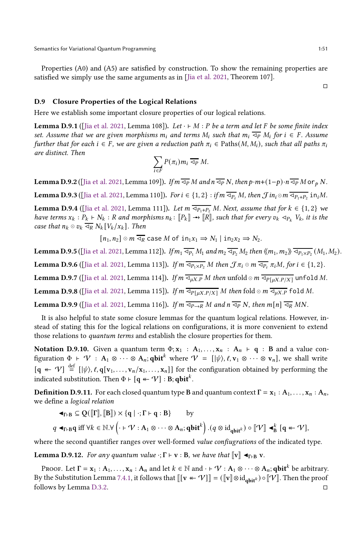Properties (A0) and (A5) are satisfied by construction. To show the remaining properties are satisfied we simply use the same arguments as in [\[Jia et al. 2021,](#page-26-3) Theorem 107].

 $\Box$ 

# <span id="page-50-0"></span>D.9 Closure Properties of the Logical Relations

Here we establish some important closure properties of our logical relations.

<span id="page-50-1"></span>**Lemma D.9.1** ([\[Jia et al. 2021,](#page-26-3) Lemma 108]). Let  $\cdot \vdash M : P$  be a term and let F be some finite index set. Assume that we are given morphisms  $m_i$  and terms  $M_i$  such that  $m_i \overline{ \Delta p} M_i$  for  $i \in F$ . Assume further that for each  $i \in F$ , we are given a reduction path  $\pi_i \in \text{Paths}(M, M_i)$ , such that all paths  $\pi_i$ are distinct. Then

$$
\sum_{i\in F} P(\pi_i) m_i \overline{\lhd_P} M.
$$

**Lemma D.9.2** ([\[Jia et al. 2021](#page-26-3), Lemma 109]). If  $m \overline{dp} M$  and  $n \overline{dp} N$ , then  $p \cdot m + (1-p) \cdot n \overline{dp} M$  or  $_p N$ .

**Lemma D.9.3** ([\[Jia et al. 2021](#page-26-3), Lemma 110]). For  $i\in\{1,2\} :$  if  $m$   $\overline{\triangleleft p_i}$   $M$ , then  ${\cal J}$  in $_i$   $\odot$   $m$   $\overline{\triangleleft p_1+p_2}$   $\,$  in $_i$   $M$ .

**Lemma D.9.4** ([\[Jia et al. 2021,](#page-26-3) Lemma 111]). Let  $m \overline{\langle p_1+p_2 \rangle} M$ . Next, assume that for  $k \in \{1,2\}$  we have terms  $x_k : P_k \vdash N_k$ : R and morphisms  $n_k : [P_k] \rightarrow [R]$ , such that for every  $v_k \lhd_{P_k} V_k$ , it is the case that  $n_k \circ v_k \overline{\triangleleft_R} N_k[V_k/x_k]$ . Then

$$
[n_1, n_2] \circ m \overline{\lhd_R} \text{ case } M \text{ of } \text{in}_1 x_1 \Rightarrow N_1 \mid \text{in}_2 x_2 \Rightarrow N_2.
$$

**Lemma D.9.5** ([\[Jia et al. 2021](#page-26-3), Lemma 112]). If  $m_1 \overline{\triangleleft p_1} M_1$  and  $m_2 \overline{\triangleleft p_2} M_2$  then  $\langle\!\langle m_1, m_2 \rangle\!\rangle \overline{\triangleleft p_1 \times p_2} (M_1, M_2)$ . **Lemma D.9.6** ([\[Jia et al. 2021,](#page-26-3) Lemma 113]). If  $m \overline{\langle P_1 \times P_2 \rangle} M$  then  $\mathcal{J} \pi_i \circ m \overline{\langle P_1 \times P_2 \rangle} M$ , for  $i \in \{1, 2\}$ . **Lemma D.9.7** ([\[Jia et al. 2021](#page-26-3), Lemma 114]). If  $m \overline{\triangleleft_{\mu X.P}} M$  then unfold  $\odot m \overline{\triangleleft_{\mu [_{\mu X.P/X}]}}$  unfold M.

**Lemma D.9.8** ([\[Jia et al. 2021,](#page-26-3) Lemma 115]). If  $m \overline{\triangleleft p_{\mu X,P/X}}$  *M* then fold  $\odot m \overline{\triangleleft p_{\mu X,P}}$  fold *M*.

**Lemma D.9.9** ([\[Jia et al. 2021,](#page-26-3) Lemma 116]). If  $m \overline{4p \rightarrow R} M$  and  $n \overline{4p} N$ , then  $m[n] \overline{4R} MN$ .

It is also helpful to state some closure lemmas for the quantum logical relations. However, instead of stating this for the logical relations on configurations, it is more convenient to extend those relations to quantum terms and establish the closure properties for them.

Notation D.9.10. Given a quantum term  $\Phi; x_1 : A_1, \ldots, x_n : A_n \vdash q : B$  and a value configuration  $\Phi \vdash \Psi : A_1 \otimes \cdots \otimes A_n$ ;  $\text{qbit}^k$  where  $\Psi = [\psi, \ell, v_1 \otimes \cdots \otimes v_n]$ , we shall write  $[q \leftarrow \gamma] \stackrel{\text{def}}{=} [|\psi\rangle, \ell, q[v_1, \ldots, v_n/x_1, \ldots, x_n]]$  for the configuration obtained by performing the indicated substitution. Then  $\Phi \vdash [\mathsf{q} \twoheadleftarrow \mathcal{V}] : \mathsf{B}; \mathsf{qbit}^k.$ 

**Definition D.9.11.** For each closed quantum type **B** and quantum context  $\Gamma = \mathbf{x}_1 : \mathbf{A}_1, \ldots, \mathbf{x}_n : \mathbf{A}_n$ , we define a logical relation

$$
\begin{aligned}\n\blacktriangleleft_{\Gamma\vdash B}\subseteq\textbf{Q}([\Gamma\rrbracket,[\mathbf{B}])\times\{\mathbf{q}~|~\cdot;\Gamma\vdash\mathbf{q}:B\} &\text{by} \\
q~\blacktriangleleft_{\Gamma\vdash B}q~\text{iff}~\forall k\in\mathbb{N}.\forall\left(\cdot\vdash\mathcal{V}:A_1\otimes\cdots\otimes A_n;\mathbf{qbit}^k\right). (q\otimes\text{id}_{\mathbf{qbit}^k})\circ\llbracket\mathcal{V}\rrbracket\blacktriangleleft_{B}^k~[\mathbf{q}\nleftrightarrow\mathcal{V}],\n\end{aligned}
$$

where the second quantifier ranges over well-formed value confiugrations of the indicated type.

**Lemma D.9.12.** For any quantum value  $\cdot$ ;  $\Gamma \vdash v : B$ , we have that  $\lbrack\lbrack v \rbrack \rbrack \rbrack$   $\blacktriangleleft_{\Gamma \vdash B} v$ .

Proof. Let  $\Gamma = \mathbf{x}_1 : A_1, \ldots, \mathbf{x}_n : A_n$  and let  $k \in \mathbb{N}$  and  $\cdot \vdash \mathcal{V} : A_1 \otimes \cdots \otimes A_n$ ; qbit $^k$  be arbitrary. By the Substitution Lemma [7.4.1,](#page-24-2) it follows that  $[[[v \leftarrow V]] = ([v] \otimes id_{abit^k}) \circ [[V]]$ . Then the proof follows by Lemma [D.3.2.](#page-43-2)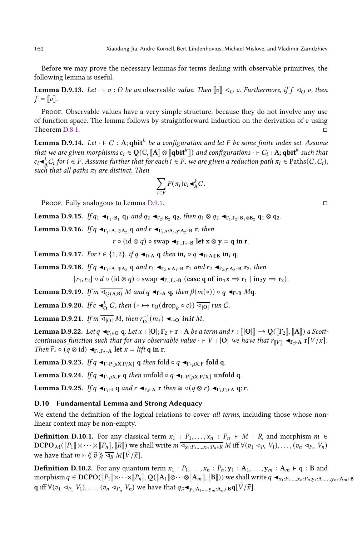Before we may prove the necessary lemmas for terms dealing with observable primitives, the following lemma is useful.

**Lemma D.9.13.** Let  $\cdot \vdash v : O$  be an observable value. Then  $[v] \triangleleft_O v$ . Furthermore, if  $f \triangleleft_O v$ , then  $f = ||v||.$ 

Proof. Observable values have a very simple structure, because they do not involve any use of function space. The lemma follows by straightforward induction on the derivation of  $v$  using Theorem  $D.8.1.$ 

<span id="page-51-0"></span>**Lemma D.9.14.** Let  $\cdot \vdash C : A$ ;  $\textbf{qbit}^k$  be a configuration and let F be some finite index set. Assume that we are given morphisms  $c_i\in\mathbf{Q}(\mathbb{C},\llbracket \mathbf{A}\rrbracket\otimes \llbracket \mathbf{qbit}^k\rrbracket)$  and configurations  $\cdot\vdash C_i: \mathbf{A}; \mathbf{qbit}^k$  such that  $c_i \blacktriangleleft^k_{\text{A}} C_i$  for  $i \in F$ . Assume further that for each  $i \in F$ , we are given a reduction path  $\pi_i \in \text{Paths}(C, C_i)$ , such that all paths  $\pi_i$  are distinct. Then

$$
\sum_{i \in F} P(\pi_i) c_i \blacktriangleleft_{\mathbf{A}}^k C.
$$

Proof. Fully analogous to Lemma [D.9.1.](#page-50-1)

**Lemma D.9.15.** If  $q_1 \blacktriangleleft r_1 \blacktriangleleft r_1$  and  $q_2 \blacktriangleleft r_2 \blacktriangleleft r_2$ , then  $q_1 \otimes q_2 \blacktriangleleft r_1, r_2 \blacktriangleleft r_2$ ,  $q_1 \otimes q_2$ .

Lemma D.9.16. If  $q \triangleleft r_1 \triangleleft r_2 \triangleleft q$  and  $r \triangleleft r_2$ ,  $x:A_1,y:A_2 \vdash B$  r, then

 $r \circ (\mathrm{id} \otimes q) \circ \mathrm{swap} \triangleleft_{\Gamma_1,\Gamma_2\vdash B} \mathrm{let} \times \otimes y = q \mathrm{in} \, r.$ 

Lemma D.9.17. For  $i \in \{1, 2\}$ , if  $q \blacktriangleleft_{\Gamma \vdash A} q$  then  $in_i \circ q \blacktriangleleft_{\Gamma \vdash A \oplus B} in_i q$ .

**Lemma D.9.18.** If  $q \triangleleft r_1 \triangleleft r_2$  and  $r_1 \triangleleft r_2$ ,  $r_1$  and  $r_2 \triangleleft r_2$ ,  $r_2 \triangleleft r_2$ , then

 $[r_1, r_2] \circ d \circ (\mathrm{id} \otimes q) \circ \mathrm{swap} \blacktriangleleft_{\Gamma_1, \Gamma_2 \vdash B} (\mathrm{case} \ q \mathrm{ of} \mathrm{in}_1 x \Rightarrow r_1 \mid \mathrm{in}_2 y \Rightarrow r_2).$ 

**Lemma D.9.19.** If  $m \overline{\triangleleft_{O(A,B)}} M$  and  $q \blacktriangleleft_{\Gamma \vdash A} q$ , then  $\beta(m(*) ) \circ q \blacktriangleleft_{\Gamma \vdash B} Mq$ .

**Lemma D.9.20.** If  $c \triangleleft^k_C C$ , then  $(* \mapsto r_O(\text{drop}_k \circ c))$   $\overline{\triangleleft_{|O|}}$  run C.

**Lemma D.9.21.** If  $m \triangleleft_{|O|} M$ , then  $r_O^{-1}(m_*) \triangleleft_{\cdot \vdash O} \textbf{init } M$ .

**Lemma D.9.22.** Let  $q \triangleleft r_1 \cdot q_0$ . Let  $x : |Q|$ ;  $\Gamma_2 \vdash r : A$  be a term and  $r : ||Q|| \rightarrow Q([\Gamma_2], ||A||)$  a Scottcontinuous function such that for any observable value  $\cdot \vdash V : |O|$  we have that  $r_{\llbracket V \rrbracket} \triangleleft_{\mathbb{r}_2 \vdash A} r[V/x].$ Then  $\widehat{r}_* \circ (q \otimes id) \blacktriangleleft r_1, r_2 \dashv A$  let  $x = l$ ift q in r.

**Lemma D.9.23.** If  $q \blacktriangleleft_{\Gamma \vdash P[\mu X.P/X]} q$  then fold  $\circ q \blacktriangleleft_{\Gamma \vdash \mu X.P}$  fold q.

**Lemma D.9.24.** If  $q \triangleleft r_{F\mu X.P} q$  then unfold  $\circ q \triangleleft r_{F\mu X.P/X}$  unfold q.

**Lemma D.9.25.** If  $q \blacktriangleleft_{\Gamma_1 \vdash I} q$  and  $r \blacktriangleleft_{\Gamma_2 \vdash A} r$  then  $\cong \circ (q \otimes r) \blacktriangleleft_{\Gamma_1, \Gamma_2 \vdash A} q$ ; r.

### D.10 Fundamental Lemma and Strong Adequacy

We extend the definition of the logical relations to cover all terms, including those whose nonlinear context may be non-empty.

**Definition D.10.1.** For any classical term  $x_1 : P_1, \ldots, x_n : P_n \vdash M : R$ , and morphism  $m \in$ DCPO<sub>M</sub> ( $[ P_1 \mathbb{X} \cdots \mathbb{X} [P_n], [R]$ ) we shall write  $m \overline{\Delta_{x_1:P_1,\ldots,x_n:P_n \vdash R}} M$  iff  $\forall (v_1 \triangleleft_{P_1} V_1), \ldots, (v_n \triangleleft_{P_n} V_n)$ we have that  $m \circ \langle \langle \vec{v} \rangle \rangle \overline{\triangleleft_R} M[\vec{V}/\vec{x}]$ .

**Definition D.10.2.** For any quantum term  $x_1 : P_1, \ldots, x_n : P_n; y_1 : A_1, \ldots, y_m : A_m \vdash q : B$  and morphism  $q \in \text{DCPO}(\llbracket P_1 \rrbracket \times \cdots \times \llbracket P_n \rrbracket, Q(\llbracket A_1 \rrbracket \otimes \cdots \otimes \llbracket A_m \rrbracket, \llbracket B \rrbracket))$  we shall write  $q \blacktriangleleft_{x_1: P_1, \ldots, x_n: P_n: y_1: A_1, \ldots, y_m: A_m \vdash B}$ q iff  $\forall (v_1 \triangleleft p, V_1), \dots, (v_n \triangleleft p, V_n)$  we have that  $q_{\vec{v}} \triangleleft q_{y_1:A_1,\dots,y_m:A_m \vdash B} q[\vec{V}/\vec{x}].$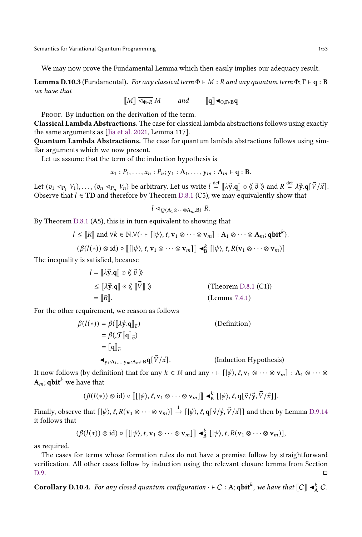We may now prove the Fundamental Lemma which then easily implies our adequacy result.

<span id="page-52-0"></span>**Lemma D.10.3** (Fundamental). For any classical term  $\Phi \vdash M : R$  and any quantum term  $\Phi$ ;  $\Gamma \vdash q : B$ we have that

 $\llbracket M \rrbracket \overline{\triangleleft} \Phi_{\text{F}} M$  and  $\llbracket \mathbf{q} \rrbracket \triangleleft} \Phi_{\text{F}}$ 

PROOF. By induction on the derivation of the term.

Classical Lambda Abstractions. The case for classical lambda abstractions follows using exactly the same arguments as [\[Jia et al. 2021](#page-26-3), Lemma 117].

Quantum Lambda Abstractions. The case for quantum lambda abstractions follows using similar arguments which we now present.

Let us assume that the term of the induction hypothesis is

$$
x_1:P_1,\ldots,x_n:P_n; y_1:A_1,\ldots,y_m:A_m\vdash q:B.
$$

Let  $(v_1 \triangleleft_{P_1} V_1), \ldots, (v_n \triangleleft_{P_n} V_n)$  be arbitrary. Let us write  $l \stackrel{\text{def}}{=} [\![\lambda \vec{\mathbf{y}}.\mathbf{q}]\!] \odot \langle\!\!\!\langle\ \vec{v} \ \rangle\!\!\!\rangle$  and  $R \stackrel{\text{def}}{=} \lambda \vec{\mathbf{y}}.\mathbf{q}[\![\vec{V}/\vec{x}]\!].$ Observe that  $l \in TD$  and therefore by Theorem [D.8.1](#page-49-0) (C5), we may equivalently show that

$$
l \triangleleft_{Q(A_1 \otimes \cdots \otimes A_m, B)} R.
$$

By Theorem [D.8.1](#page-49-0) (A5), this is in turn equivalent to showing that

$$
l \leq [R]
$$
 and  $\forall k \in \mathbb{N}.\forall (\cdot \in [|\psi\rangle, \ell, v_1 \otimes \cdots \otimes v_m] : A_1 \otimes \cdots \otimes A_m; \mathbf{qbit}^k).$ 

$$
(\beta(l(*)) \otimes id) \circ [[[\psi \rangle, \ell, v_1 \otimes \cdots \otimes v_m]] \blacktriangleleft_B^k [[\psi \rangle, \ell, R(v_1 \otimes \cdots \otimes v_m)]
$$

The inequality is satisfied, because

$$
l = [\![\lambda \vec{y}.q]\!] \circ \langle \langle \vec{v} \rangle \rangle
$$
  
\n
$$
\leq [\![\lambda \vec{y}.q]\!] \circ \langle \langle \vec{v} \cdot \vec{v} \rangle \rangle
$$
  
\n
$$
= [\![R]\!].
$$
  
\n(Lemma 7.4.1)

For the other requirement, we reason as follows

$$
\beta(l(*) ) = \beta([\![\lambda \vec{y}.q]\!]_{\vec{v}})
$$
\n
$$
= \beta(\mathcal{J}[\![q]\!]_{\vec{v}})
$$
\n
$$
= [\![q]\!]_{\vec{v}}
$$
\n
$$
\mathbf{I}_{\mathbf{y}_1:\mathbf{A}_1,\dots,\mathbf{y}_m:\mathbf{A}_m+\mathbf{B}}[\![\vec{V}/\vec{x}]\!].
$$
\n(Induction Hypothesis)

It now follows (by definition) that for any  $k \in \mathbb{N}$  and any  $\cdot \cdot [|\psi\rangle, \ell, v_1 \otimes \cdots \otimes v_m] : A_1 \otimes \cdots \otimes$  $A_m$ ; qbit<sup>k</sup> we have that

$$
(\beta(l(*))\otimes id)\circ[[[\psi\rangle,\ell,v_1\otimes\cdots\otimes v_m]]\blacktriangleleft_{B}^k[[\psi\rangle,\ell,q[\vec{v}/\vec{y},\vec{V}/\vec{x}]].
$$

Finally, observe that  $[\ket{\psi}, \ell, R( {\bf v}_1 \otimes \cdots \otimes {\bf v}_m)] \stackrel{1}{\to} [\ket{\psi}, \ell, {\bf q}[\vec{\bf v}/\vec{\bf y},\vec{V}/\vec{x}]]$  and then by Lemma [D.9.14](#page-51-0) it follows that

$$
(\beta(l(*))\otimes id)\circ [[|\psi\rangle,\ell,v_1\otimes\cdots\otimes v_m]]\blacktriangleright_{B}^{k}[[\psi\rangle,\ell,R(v_1\otimes\cdots\otimes v_m)],
$$

as required.

The cases for terms whose formation rules do not have a premise follow by straightforward verification. All other cases follow by induction using the relevant closure lemma from Section [D.9.](#page-50-0)

<span id="page-52-1"></span>**Corollary D.10.4.** For any closed quantum configuration  $\cdot$   $\vdash$  C : A;  $\textbf{qbit}^k$ , we have that  $\llbracket C \rrbracket \triangleleft^k_A C$ .